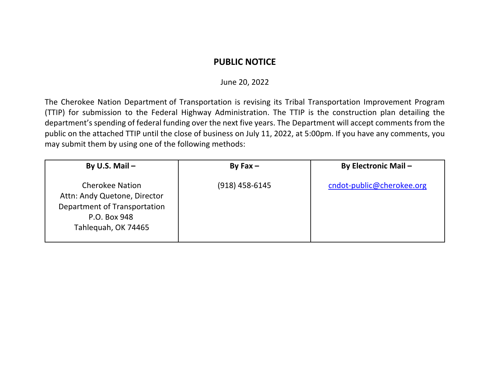## **PUBLIC NOTICE**

## June 20, 2022

The Cherokee Nation Department of Transportation is revising its Tribal Transportation Improvement Program (TTIP) for submission to the Federal Highway Administration. The TTIP is the construction plan detailing the department's spending of federal funding over the next five years. The Department will accept comments from the public on the attached TTIP until the close of business on July 11, 2022, at 5:00pm. If you have any comments, you may submit them by using one of the following methods:

| By U.S. Mail $-$                                                                                                              | By Fax $-$       | <b>By Electronic Mail -</b> |
|-------------------------------------------------------------------------------------------------------------------------------|------------------|-----------------------------|
| <b>Cherokee Nation</b><br>Attn: Andy Quetone, Director<br>Department of Transportation<br>P.O. Box 948<br>Tahleguah, OK 74465 | $(918)$ 458-6145 | cndot-public@cherokee.org   |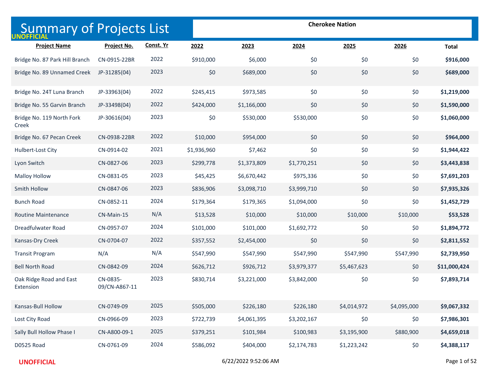| <b>Summary of Projects List</b>      |                           |           | <b>Cherokee Nation</b> |             |             |             |             |              |
|--------------------------------------|---------------------------|-----------|------------------------|-------------|-------------|-------------|-------------|--------------|
| <b>Project Name</b>                  | Project No.               | Const. Yr | 2022                   | 2023        | 2024        | 2025        | 2026        | <b>Total</b> |
| Bridge No. 87 Park Hill Branch       | CN-0915-22BR              | 2022      | \$910,000              | \$6,000     | \$0         | \$0         | \$0         | \$916,000    |
| Bridge No. 89 Unnamed Creek          | JP-31285(04)              | 2023      | \$0                    | \$689,000   | \$0         | \$0         | \$0         | \$689,000    |
| Bridge No. 24T Luna Branch           | JP-33963(04)              | 2022      | \$245,415              | \$973,585   | \$0         | \$0         | \$0         | \$1,219,000  |
| Bridge No. 55 Garvin Branch          | JP-33498(04)              | 2022      | \$424,000              | \$1,166,000 | \$0         | \$0         | \$0         | \$1,590,000  |
| Bridge No. 119 North Fork<br>Creek   | JP-30616(04)              | 2023      | \$0                    | \$530,000   | \$530,000   | \$0         | \$0         | \$1,060,000  |
| Bridge No. 67 Pecan Creek            | CN-0938-22BR              | 2022      | \$10,000               | \$954,000   | \$0         | \$0         | \$0         | \$964,000    |
| Hulbert-Lost City                    | CN-0914-02                | 2021      | \$1,936,960            | \$7,462     | \$0         | \$0         | \$0         | \$1,944,422  |
| Lyon Switch                          | CN-0827-06                | 2023      | \$299,778              | \$1,373,809 | \$1,770,251 | \$0         | \$0         | \$3,443,838  |
| <b>Malloy Hollow</b>                 | CN-0831-05                | 2023      | \$45,425               | \$6,670,442 | \$975,336   | \$0         | \$0         | \$7,691,203  |
| Smith Hollow                         | CN-0847-06                | 2023      | \$836,906              | \$3,098,710 | \$3,999,710 | \$0         | \$0         | \$7,935,326  |
| <b>Bunch Road</b>                    | CN-0852-11                | 2024      | \$179,364              | \$179,365   | \$1,094,000 | \$0         | \$0         | \$1,452,729  |
| <b>Routine Maintenance</b>           | CN-Main-15                | N/A       | \$13,528               | \$10,000    | \$10,000    | \$10,000    | \$10,000    | \$53,528     |
| Dreadfulwater Road                   | CN-0957-07                | 2024      | \$101,000              | \$101,000   | \$1,692,772 | \$0         | \$0         | \$1,894,772  |
| Kansas-Dry Creek                     | CN-0704-07                | 2022      | \$357,552              | \$2,454,000 | \$0         | \$0         | \$0         | \$2,811,552  |
| <b>Transit Program</b>               | N/A                       | N/A       | \$547,990              | \$547,990   | \$547,990   | \$547,990   | \$547,990   | \$2,739,950  |
| <b>Bell North Road</b>               | CN-0842-09                | 2024      | \$626,712              | \$926,712   | \$3,979,377 | \$5,467,623 | \$0         | \$11,000,424 |
| Oak Ridge Road and East<br>Extension | CN-0835-<br>09/CN-A867-11 | 2023      | \$830,714              | \$3,221,000 | \$3,842,000 | \$0         | \$0         | \$7,893,714  |
| Kansas-Bull Hollow                   | CN-0749-09                | 2025      | \$505,000              | \$226,180   | \$226,180   | \$4,014,972 | \$4,095,000 | \$9,067,332  |
| Lost City Road                       | CN-0966-09                | 2023      | \$722,739              | \$4,061,395 | \$3,202,167 | \$0         | \$0         | \$7,986,301  |
| Sally Bull Hollow Phase I            | CN-A800-09-1              | 2025      | \$379,251              | \$101,984   | \$100,983   | \$3,195,900 | \$880,900   | \$4,659,018  |
| D0525 Road                           | CN-0761-09                | 2024      | \$586,092              | \$404,000   | \$2,174,783 | \$1,223,242 | \$0         | \$4,388,117  |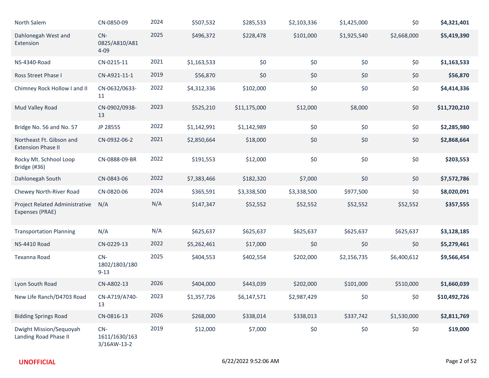| North Salem                                           | CN-0850-09                            | 2024 | \$507,532   | \$285,533    | \$2,103,336 | \$1,425,000 | \$0         | \$4,321,401  |
|-------------------------------------------------------|---------------------------------------|------|-------------|--------------|-------------|-------------|-------------|--------------|
| Dahlonegah West and<br>Extension                      | $CN-$<br>0825/A810/A81<br>$4 - 09$    | 2025 | \$496,372   | \$228,478    | \$101,000   | \$1,925,540 | \$2,668,000 | \$5,419,390  |
| <b>NS-4340-Road</b>                                   | CN-0215-11                            | 2021 | \$1,163,533 | \$0          | \$0         | \$0         | \$0         | \$1,163,533  |
| Ross Street Phase I                                   | CN-A921-11-1                          | 2019 | \$56,870    | \$0          | \$0         | \$0         | \$0         | \$56,870     |
| Chimney Rock Hollow I and II                          | CN-0632/0633-<br>11                   | 2022 | \$4,312,336 | \$102,000    | \$0         | \$0         | \$0         | \$4,414,336  |
| Mud Valley Road                                       | CN-0902/0938-<br>13                   | 2023 | \$525,210   | \$11,175,000 | \$12,000    | \$8,000     | \$0         | \$11,720,210 |
| Bridge No. 56 and No. 57                              | JP 28555                              | 2022 | \$1,142,991 | \$1,142,989  | \$0         | \$0         | \$0         | \$2,285,980  |
| Northeast Ft. Gibson and<br><b>Extension Phase II</b> | CN-0932-06-2                          | 2021 | \$2,850,664 | \$18,000     | \$0         | \$0         | \$0         | \$2,868,664  |
| Rocky Mt. Schhool Loop<br>Bridge (#36)                | CN-0888-09-BR                         | 2022 | \$191,553   | \$12,000     | \$0         | \$0         | \$0         | \$203,553    |
| Dahlonegah South                                      | CN-0843-06                            | 2022 | \$7,383,466 | \$182,320    | \$7,000     | \$0         | \$0         | \$7,572,786  |
| Chewey North-River Road                               | CN-0820-06                            | 2024 | \$365,591   | \$3,338,500  | \$3,338,500 | \$977,500   | \$0         | \$8,020,091  |
| Project Related Administrative<br>Expenses (PRAE)     | N/A                                   | N/A  | \$147,347   | \$52,552     | \$52,552    | \$52,552    | \$52,552    | \$357,555    |
| <b>Transportation Planning</b>                        | N/A                                   | N/A  | \$625,637   | \$625,637    | \$625,637   | \$625,637   | \$625,637   | \$3,128,185  |
| <b>NS-4410 Road</b>                                   | CN-0229-13                            | 2022 | \$5,262,461 | \$17,000     | \$0         | \$0         | \$0         | \$5,279,461  |
| Texanna Road                                          | $CN-$<br>1802/1803/180<br>$9 - 13$    | 2025 | \$404,553   | \$402,554    | \$202,000   | \$2,156,735 | \$6,400,612 | \$9,566,454  |
| Lyon South Road                                       | CN-A802-13                            | 2026 | \$404,000   | \$443,039    | \$202,000   | \$101,000   | \$510,000   | \$1,660,039  |
| New Life Ranch/D4703 Road                             | CN-A719/A740-<br>13                   | 2023 | \$1,357,726 | \$6,147,571  | \$2,987,429 | \$0         | \$0         | \$10,492,726 |
| <b>Bidding Springs Road</b>                           | CN-0816-13                            | 2026 | \$268,000   | \$338,014    | \$338,013   | \$337,742   | \$1,530,000 | \$2,811,769  |
| Dwight Mission/Sequoyah<br>Landing Road Phase II      | $CN-$<br>1611/1630/163<br>3/16AW-13-2 | 2019 | \$12,000    | \$7,000      | \$0         | \$0         | \$0         | \$19,000     |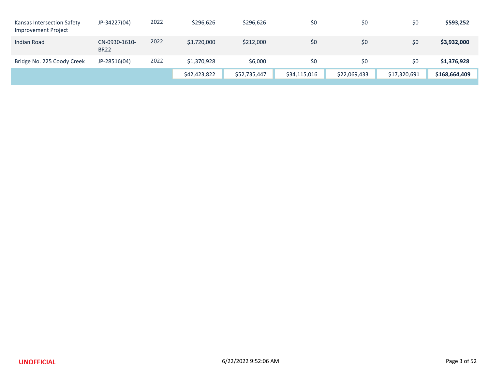| Kansas Intersection Safety<br><b>Improvement Project</b> | JP-34227(04)                 | 2022 | \$296,626    | \$296,626    | \$0          | \$0          | \$0          | \$593,252     |
|----------------------------------------------------------|------------------------------|------|--------------|--------------|--------------|--------------|--------------|---------------|
| Indian Road                                              | CN-0930-1610-<br><b>BR22</b> | 2022 | \$3,720,000  | \$212,000    | \$0          | \$0          | \$0          | \$3,932,000   |
| Bridge No. 225 Coody Creek                               | JP-28516(04)                 | 2022 | \$1,370,928  | \$6,000      | \$0          | \$0          | \$0          | \$1,376,928   |
|                                                          |                              |      | \$42,423,822 | \$52,735,447 | \$34,115,016 | \$22,069,433 | \$17,320,691 | \$168,664,409 |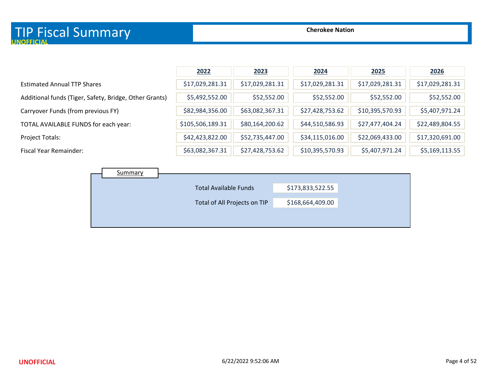|                                                        | 2022             | 2023            | 2024            | 2025            | 2026            |
|--------------------------------------------------------|------------------|-----------------|-----------------|-----------------|-----------------|
| <b>Estimated Annual TTP Shares</b>                     | \$17,029,281.31  | \$17,029,281.31 | \$17,029,281.31 | \$17,029,281.31 | \$17,029,281.31 |
| Additional funds (Tiger, Safety, Bridge, Other Grants) | \$5,492,552.00   | \$52,552.00     | \$52,552.00     | \$52,552.00     | \$52,552.00     |
| Carryover Funds (from previous FY)                     | \$82,984,356.00  | \$63,082,367.31 | \$27,428,753.62 | \$10,395,570.93 | \$5,407,971.24  |
| TOTAL AVAILABLE FUNDS for each year:                   | \$105,506,189.31 | \$80,164,200.62 | \$44,510,586.93 | \$27,477,404.24 | \$22,489,804.55 |
| Project Totals:                                        | \$42,423,822.00  | \$52,735,447.00 | \$34,115,016.00 | \$22,069,433.00 | \$17,320,691.00 |
| Fiscal Year Remainder:                                 | \$63,082,367.31  | \$27,428,753.62 | \$10,395,570.93 | \$5,407,971.24  | \$5,169,113.55  |

| Summary |                              |                  |
|---------|------------------------------|------------------|
|         | <b>Total Available Funds</b> | \$173,833,522.55 |
|         | Total of All Projects on TIP | \$168,664,409.00 |
|         |                              |                  |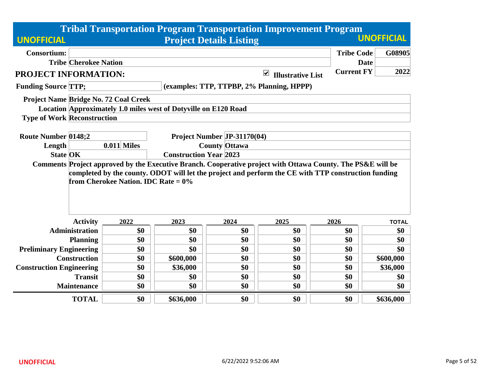| <b>Tribal Transportation Program Transportation Improvement Program</b> |                              |                                                                                                                 |                                           |                                                     |                                                                                                                                                                                                                    |                                  |              |  |  |  |
|-------------------------------------------------------------------------|------------------------------|-----------------------------------------------------------------------------------------------------------------|-------------------------------------------|-----------------------------------------------------|--------------------------------------------------------------------------------------------------------------------------------------------------------------------------------------------------------------------|----------------------------------|--------------|--|--|--|
| <b>UNOFFICIAL</b>                                                       |                              |                                                                                                                 |                                           | <b>UNOFFICIAL</b>                                   |                                                                                                                                                                                                                    |                                  |              |  |  |  |
| <b>Consortium:</b>                                                      | <b>Tribe Cherokee Nation</b> |                                                                                                                 |                                           |                                                     |                                                                                                                                                                                                                    | <b>Tribe Code</b><br><b>Date</b> | G08905       |  |  |  |
| PROJECT INFORMATION:                                                    |                              |                                                                                                                 |                                           |                                                     | ☑<br><b>Illustrative List</b>                                                                                                                                                                                      | <b>Current FY</b>                | 2022         |  |  |  |
| <b>Funding Source TTP:</b>                                              |                              |                                                                                                                 | (examples: TTP, TTPBP, 2% Planning, HPPP) |                                                     |                                                                                                                                                                                                                    |                                  |              |  |  |  |
| <b>Type of Work Reconstruction</b>                                      |                              | <b>Project Name Bridge No. 72 Coal Creek</b><br>Location Approximately 1.0 miles west of Dotyville on E120 Road |                                           |                                                     |                                                                                                                                                                                                                    |                                  |              |  |  |  |
| <b>Route Number 0148;2</b><br>Length<br><b>State OK</b>                 |                              | $0.011$ Miles                                                                                                   | <b>Construction Year 2023</b>             | Project Number JP-31170(04)<br><b>County Ottawa</b> |                                                                                                                                                                                                                    |                                  |              |  |  |  |
|                                                                         |                              | from Cherokee Nation. IDC Rate = $0\%$                                                                          |                                           |                                                     | Comments Project approved by the Executive Branch. Cooperative project with Ottawa County. The PS&E will be<br>completed by the county. ODOT will let the project and perform the CE with TTP construction funding |                                  |              |  |  |  |
|                                                                         | <b>Activity</b>              | 2022                                                                                                            | 2023                                      | 2024                                                | 2025                                                                                                                                                                                                               | 2026                             | <b>TOTAL</b> |  |  |  |
|                                                                         | <b>Administration</b>        | \$0                                                                                                             | \$0                                       | \$0                                                 | \$0                                                                                                                                                                                                                | \$0                              | \$0          |  |  |  |
|                                                                         | <b>Planning</b>              | \$0                                                                                                             | \$0                                       | \$0                                                 | \$0                                                                                                                                                                                                                | \$0                              | \$0          |  |  |  |
| <b>Preliminary Engineering</b>                                          |                              | \$0                                                                                                             | \$0                                       | \$0                                                 | \$0                                                                                                                                                                                                                | \$0                              | \$0          |  |  |  |
|                                                                         | <b>Construction</b>          | \$0                                                                                                             | \$600,000                                 | \$0                                                 | \$0                                                                                                                                                                                                                | \$0                              | \$600,000    |  |  |  |
| <b>Construction Engineering</b>                                         |                              | \$0                                                                                                             | \$36,000                                  | \$0                                                 | \$0                                                                                                                                                                                                                | \$0                              | \$36,000     |  |  |  |
|                                                                         | <b>Transit</b>               | \$0                                                                                                             | \$0                                       | \$0                                                 | \$0                                                                                                                                                                                                                | \$0                              | \$0          |  |  |  |
|                                                                         | <b>Maintenance</b>           | \$0                                                                                                             | \$0                                       | \$0                                                 | \$0                                                                                                                                                                                                                | \$0                              | \$0          |  |  |  |
|                                                                         | <b>TOTAL</b>                 | \$0                                                                                                             | \$636,000                                 | \$0                                                 | \$0                                                                                                                                                                                                                | \$0                              | \$636,000    |  |  |  |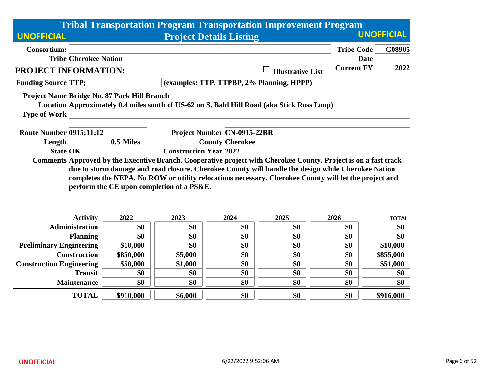|                                          | <b>Tribal Transportation Program Transportation Improvement Program</b>                                                                                                                                                                                                                                                                                                     |                                             |                               |                                |                                                                                            |                   |                   |  |  |  |
|------------------------------------------|-----------------------------------------------------------------------------------------------------------------------------------------------------------------------------------------------------------------------------------------------------------------------------------------------------------------------------------------------------------------------------|---------------------------------------------|-------------------------------|--------------------------------|--------------------------------------------------------------------------------------------|-------------------|-------------------|--|--|--|
| <b>UNOFFICIAL</b>                        |                                                                                                                                                                                                                                                                                                                                                                             |                                             |                               | <b>Project Details Listing</b> |                                                                                            |                   | <b>UNOFFICIAL</b> |  |  |  |
| <b>Consortium:</b>                       |                                                                                                                                                                                                                                                                                                                                                                             |                                             |                               |                                |                                                                                            | <b>Tribe Code</b> | G08905            |  |  |  |
|                                          | <b>Tribe Cherokee Nation</b>                                                                                                                                                                                                                                                                                                                                                |                                             |                               |                                |                                                                                            | <b>Date</b>       |                   |  |  |  |
| <b>PROJECT INFORMATION:</b>              |                                                                                                                                                                                                                                                                                                                                                                             |                                             |                               |                                | <b>Illustrative List</b>                                                                   | <b>Current FY</b> | 2022              |  |  |  |
| <b>Funding Source TTP;</b>               |                                                                                                                                                                                                                                                                                                                                                                             |                                             |                               |                                | (examples: TTP, TTPBP, 2% Planning, HPPP)                                                  |                   |                   |  |  |  |
|                                          |                                                                                                                                                                                                                                                                                                                                                                             | Project Name Bridge No. 87 Park Hill Branch |                               |                                |                                                                                            |                   |                   |  |  |  |
|                                          |                                                                                                                                                                                                                                                                                                                                                                             |                                             |                               |                                | Location Approximately 0.4 miles south of US-62 on S. Bald Hill Road (aka Stick Ross Loop) |                   |                   |  |  |  |
| <b>Type of Work</b>                      |                                                                                                                                                                                                                                                                                                                                                                             |                                             |                               |                                |                                                                                            |                   |                   |  |  |  |
|                                          |                                                                                                                                                                                                                                                                                                                                                                             |                                             |                               |                                |                                                                                            |                   |                   |  |  |  |
| <b>Route Number 0915;11;12</b><br>Length | <b>Project Number CN-0915-22BR</b><br>0.5 Miles<br><b>County Cherokee</b>                                                                                                                                                                                                                                                                                                   |                                             |                               |                                |                                                                                            |                   |                   |  |  |  |
| <b>State OK</b>                          |                                                                                                                                                                                                                                                                                                                                                                             |                                             | <b>Construction Year 2022</b> |                                |                                                                                            |                   |                   |  |  |  |
|                                          | Comments Approved by the Executive Branch. Cooperative project with Cherokee County. Project is on a fast track<br>due to storm damage and road closure. Cherokee County will handle the design while Cherokee Nation<br>completes the NEPA. No ROW or utility relocations necessary. Cherokee County will let the project and<br>perform the CE upon completion of a PS&E. |                                             |                               |                                |                                                                                            |                   |                   |  |  |  |
|                                          | <b>Activity</b>                                                                                                                                                                                                                                                                                                                                                             | 2022                                        | 2023                          | 2024                           | 2025                                                                                       | 2026              | <b>TOTAL</b>      |  |  |  |
|                                          | <b>Administration</b>                                                                                                                                                                                                                                                                                                                                                       | \$0                                         | \$0                           | \$0                            | \$0                                                                                        | \$0               | \$0               |  |  |  |
|                                          | <b>Planning</b>                                                                                                                                                                                                                                                                                                                                                             | \$0                                         | \$0                           | \$0                            | \$0                                                                                        | \$0               | \$0               |  |  |  |
| <b>Preliminary Engineering</b>           |                                                                                                                                                                                                                                                                                                                                                                             | \$10,000                                    | \$0                           | \$0                            | \$0                                                                                        | \$0               | \$10,000          |  |  |  |
|                                          | <b>Construction</b>                                                                                                                                                                                                                                                                                                                                                         | \$850,000                                   | \$5,000                       | \$0                            | \$0                                                                                        | \$0               | \$855,000         |  |  |  |
| <b>Construction Engineering</b>          |                                                                                                                                                                                                                                                                                                                                                                             | \$50,000                                    | \$1,000                       | \$0                            | \$0                                                                                        | \$0               | \$51,000          |  |  |  |
|                                          | <b>Transit</b>                                                                                                                                                                                                                                                                                                                                                              | \$0                                         | \$0                           | \$0                            | \$0                                                                                        | \$0               | \$0               |  |  |  |
|                                          | <b>Maintenance</b>                                                                                                                                                                                                                                                                                                                                                          | \$0                                         | \$0                           | \$0                            | \$0                                                                                        | \$0               | \$0               |  |  |  |
|                                          | <b>TOTAL</b>                                                                                                                                                                                                                                                                                                                                                                | \$910,000                                   | \$6,000                       | \$0                            | \$0                                                                                        | \$0               | \$916,000         |  |  |  |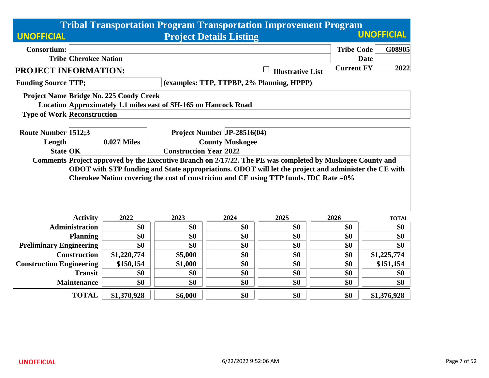|                                    | <b>Tribal Transportation Program Transportation Improvement Program</b> |                                         |                                                                 |                                |                                                                                                           |                   |                   |  |  |  |
|------------------------------------|-------------------------------------------------------------------------|-----------------------------------------|-----------------------------------------------------------------|--------------------------------|-----------------------------------------------------------------------------------------------------------|-------------------|-------------------|--|--|--|
| <b>UNOFFICIAL</b>                  |                                                                         |                                         |                                                                 | <b>Project Details Listing</b> |                                                                                                           |                   | <b>UNOFFICIAL</b> |  |  |  |
| <b>Consortium:</b>                 |                                                                         |                                         |                                                                 |                                |                                                                                                           | <b>Tribe Code</b> | G08905            |  |  |  |
|                                    | <b>Tribe Cherokee Nation</b>                                            |                                         |                                                                 |                                |                                                                                                           | <b>Date</b>       |                   |  |  |  |
| PROJECT INFORMATION:               |                                                                         |                                         |                                                                 |                                | <b>Illustrative List</b>                                                                                  | <b>Current FY</b> | 2022              |  |  |  |
| <b>Funding Source TTP;</b>         |                                                                         |                                         |                                                                 |                                | (examples: TTP, TTPBP, 2% Planning, HPPP)                                                                 |                   |                   |  |  |  |
|                                    |                                                                         | Project Name Bridge No. 225 Coody Creek |                                                                 |                                |                                                                                                           |                   |                   |  |  |  |
|                                    |                                                                         |                                         | Location Approximately 1.1 miles east of SH-165 on Hancock Road |                                |                                                                                                           |                   |                   |  |  |  |
| <b>Type of Work Reconstruction</b> |                                                                         |                                         |                                                                 |                                |                                                                                                           |                   |                   |  |  |  |
| <b>Route Number 1512;3</b>         |                                                                         |                                         |                                                                 | Project Number JP-28516(04)    |                                                                                                           |                   |                   |  |  |  |
| Length                             |                                                                         | $0.027$ Miles                           |                                                                 | <b>County Muskogee</b>         |                                                                                                           |                   |                   |  |  |  |
| <b>State OK</b>                    |                                                                         |                                         | <b>Construction Year 2022</b>                                   |                                |                                                                                                           |                   |                   |  |  |  |
|                                    |                                                                         |                                         |                                                                 |                                | Comments Project approved by the Executive Branch on 2/17/22. The PE was completed by Muskogee County and |                   |                   |  |  |  |
|                                    |                                                                         |                                         |                                                                 |                                | ODOT with STP funding and State appropriations. ODOT will let the project and administer the CE with      |                   |                   |  |  |  |
|                                    |                                                                         |                                         |                                                                 |                                | Cherokee Nation covering the cost of constricion and CE using TTP funds. IDC Rate = $0\%$                 |                   |                   |  |  |  |
|                                    |                                                                         |                                         |                                                                 |                                |                                                                                                           |                   |                   |  |  |  |
|                                    |                                                                         |                                         |                                                                 |                                |                                                                                                           |                   |                   |  |  |  |
|                                    |                                                                         |                                         |                                                                 |                                |                                                                                                           |                   |                   |  |  |  |
|                                    | <b>Activity</b>                                                         | 2022                                    | 2023                                                            | 2024                           | 2025                                                                                                      | 2026              | <b>TOTAL</b>      |  |  |  |
|                                    | <b>Administration</b>                                                   | \$0                                     | \$0                                                             | \$0                            | \$0                                                                                                       | \$0               | \$0               |  |  |  |
|                                    | <b>Planning</b>                                                         | \$0                                     | \$0                                                             | \$0                            | \$0                                                                                                       | \$0               | \$0               |  |  |  |
| <b>Preliminary Engineering</b>     |                                                                         | \$0                                     | \$0                                                             | \$0                            | \$0                                                                                                       | \$0               | \$0               |  |  |  |
|                                    | <b>Construction</b>                                                     | \$1,220,774                             | \$5,000                                                         | \$0                            | \$0                                                                                                       | \$0               | \$1,225,774       |  |  |  |
| <b>Construction Engineering</b>    |                                                                         | \$150,154                               | \$1,000                                                         | \$0                            | \$0                                                                                                       | \$0               | \$151,154         |  |  |  |
|                                    | <b>Transit</b>                                                          | \$0                                     | \$0                                                             | \$0                            | \$0                                                                                                       | \$0               | \$0               |  |  |  |
|                                    | <b>Maintenance</b>                                                      | \$0                                     | \$0                                                             | \$0                            | \$0                                                                                                       | \$0               | \$0               |  |  |  |
|                                    | <b>TOTAL</b>                                                            | \$1,370,928                             | \$6,000                                                         | \$0                            | \$0                                                                                                       | \$0               | \$1,376,928       |  |  |  |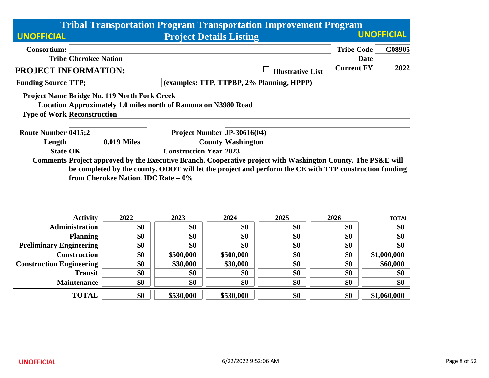|                                    |                              |                                                     |                                                                |                                | <b>Tribal Transportation Program Transportation Improvement Program</b>                                                                                                                                                |                   |                   |  |  |
|------------------------------------|------------------------------|-----------------------------------------------------|----------------------------------------------------------------|--------------------------------|------------------------------------------------------------------------------------------------------------------------------------------------------------------------------------------------------------------------|-------------------|-------------------|--|--|
| <b>UNOFFICIAL</b>                  |                              |                                                     |                                                                | <b>Project Details Listing</b> |                                                                                                                                                                                                                        |                   | <b>UNOFFICIAL</b> |  |  |
| <b>Consortium:</b>                 |                              |                                                     |                                                                |                                |                                                                                                                                                                                                                        | <b>Tribe Code</b> | G08905            |  |  |
|                                    | <b>Tribe Cherokee Nation</b> |                                                     |                                                                |                                |                                                                                                                                                                                                                        | <b>Date</b>       |                   |  |  |
| PROJECT INFORMATION:               |                              |                                                     |                                                                |                                | <b>Illustrative List</b>                                                                                                                                                                                               | <b>Current FY</b> | 2022              |  |  |
| <b>Funding Source TTP;</b>         |                              |                                                     |                                                                |                                | (examples: TTP, TTPBP, 2% Planning, HPPP)                                                                                                                                                                              |                   |                   |  |  |
|                                    |                              | <b>Project Name Bridge No. 119 North Fork Creek</b> |                                                                |                                |                                                                                                                                                                                                                        |                   |                   |  |  |
|                                    |                              |                                                     | Location Approximately 1.0 miles north of Ramona on N3980 Road |                                |                                                                                                                                                                                                                        |                   |                   |  |  |
| <b>Type of Work Reconstruction</b> |                              |                                                     |                                                                |                                |                                                                                                                                                                                                                        |                   |                   |  |  |
| <b>Route Number 0415;2</b>         |                              |                                                     |                                                                | Project Number JP-30616(04)    |                                                                                                                                                                                                                        |                   |                   |  |  |
| Length                             |                              | <b>0.019 Miles</b>                                  | <b>County Washington</b>                                       |                                |                                                                                                                                                                                                                        |                   |                   |  |  |
| <b>State OK</b>                    |                              |                                                     | <b>Construction Year 2023</b>                                  |                                |                                                                                                                                                                                                                        |                   |                   |  |  |
|                                    |                              | from Cherokee Nation. IDC Rate = $0\%$              |                                                                |                                | Comments Project approved by the Executive Branch. Cooperative project with Washington County. The PS&E will<br>be completed by the county. ODOT will let the project and perform the CE with TTP construction funding |                   |                   |  |  |
|                                    | <b>Activity</b>              | 2022                                                | 2023                                                           | 2024                           | 2025                                                                                                                                                                                                                   | 2026              | <b>TOTAL</b>      |  |  |
|                                    | <b>Administration</b>        | \$0                                                 | \$0                                                            | \$0                            | \$0                                                                                                                                                                                                                    | \$0               | \$0               |  |  |
|                                    | <b>Planning</b>              | \$0                                                 | \$0                                                            | \$0                            | \$0                                                                                                                                                                                                                    | \$0               | \$0               |  |  |
| <b>Preliminary Engineering</b>     |                              | \$0                                                 | \$0                                                            | \$0                            | \$0                                                                                                                                                                                                                    | \$0               | \$0               |  |  |
|                                    | <b>Construction</b>          | \$0                                                 | \$500,000                                                      | \$500,000                      | \$0                                                                                                                                                                                                                    | \$0               | \$1,000,000       |  |  |
| <b>Construction Engineering</b>    |                              | \$0                                                 | \$30,000                                                       | \$30,000                       | \$0                                                                                                                                                                                                                    | \$0               | \$60,000          |  |  |
|                                    | <b>Transit</b>               | \$0                                                 | \$0                                                            | \$0                            | \$0                                                                                                                                                                                                                    | \$0               | \$0               |  |  |
|                                    | <b>Maintenance</b>           | \$0                                                 | \$0                                                            | \$0                            | \$0                                                                                                                                                                                                                    | \$0               | \$0               |  |  |
|                                    | <b>TOTAL</b>                 | \$0                                                 | \$530,000                                                      | \$530,000                      | \$0                                                                                                                                                                                                                    | \$0               | \$1,060,000       |  |  |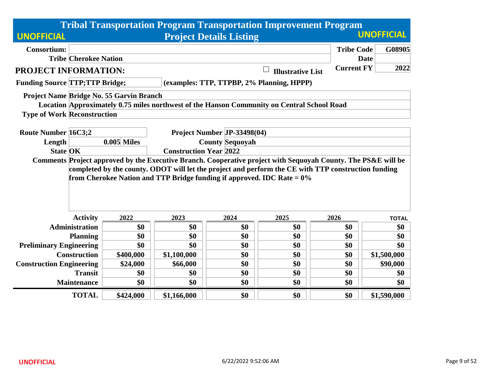| <b>Tribal Transportation Program Transportation Improvement Program</b> |                                                                                                               |                                          |                                                                           |                                |                                                                                                     |                   |                   |  |  |
|-------------------------------------------------------------------------|---------------------------------------------------------------------------------------------------------------|------------------------------------------|---------------------------------------------------------------------------|--------------------------------|-----------------------------------------------------------------------------------------------------|-------------------|-------------------|--|--|
| <b>UNOFFICIAL</b>                                                       |                                                                                                               |                                          |                                                                           | <b>Project Details Listing</b> |                                                                                                     |                   | <b>UNOFFICIAL</b> |  |  |
| <b>Consortium:</b>                                                      |                                                                                                               |                                          |                                                                           |                                |                                                                                                     | <b>Tribe Code</b> | G08905            |  |  |
|                                                                         | <b>Tribe Cherokee Nation</b>                                                                                  |                                          |                                                                           |                                |                                                                                                     | <b>Date</b>       |                   |  |  |
| PROJECT INFORMATION:                                                    |                                                                                                               |                                          |                                                                           |                                | <b>Illustrative List</b>                                                                            | <b>Current FY</b> | 2022              |  |  |
| <b>Funding Source TTP;TTP Bridge;</b>                                   |                                                                                                               |                                          |                                                                           |                                | (examples: TTP, TTPBP, 2% Planning, HPPP)                                                           |                   |                   |  |  |
|                                                                         |                                                                                                               | Project Name Bridge No. 55 Garvin Branch |                                                                           |                                |                                                                                                     |                   |                   |  |  |
|                                                                         |                                                                                                               |                                          |                                                                           |                                | Location Approximately 0.75 miles northwest of the Hanson Community on Central School Road          |                   |                   |  |  |
| <b>Type of Work Reconstruction</b>                                      |                                                                                                               |                                          |                                                                           |                                |                                                                                                     |                   |                   |  |  |
| <b>Route Number 16C3:2</b>                                              |                                                                                                               |                                          |                                                                           |                                |                                                                                                     |                   |                   |  |  |
| Length                                                                  |                                                                                                               | $0.005$ Miles                            | Project Number JP-33498(04)<br><b>County Sequoyah</b>                     |                                |                                                                                                     |                   |                   |  |  |
| <b>State OK</b>                                                         |                                                                                                               |                                          | <b>Construction Year 2022</b>                                             |                                |                                                                                                     |                   |                   |  |  |
|                                                                         | Comments Project approved by the Executive Branch. Cooperative project with Sequoyah County. The PS&E will be |                                          |                                                                           |                                |                                                                                                     |                   |                   |  |  |
|                                                                         |                                                                                                               |                                          |                                                                           |                                | completed by the county. ODOT will let the project and perform the CE with TTP construction funding |                   |                   |  |  |
|                                                                         |                                                                                                               |                                          | from Cherokee Nation and TTP Bridge funding if approved. IDC Rate = $0\%$ |                                |                                                                                                     |                   |                   |  |  |
|                                                                         |                                                                                                               |                                          |                                                                           |                                |                                                                                                     |                   |                   |  |  |
|                                                                         |                                                                                                               |                                          |                                                                           |                                |                                                                                                     |                   |                   |  |  |
|                                                                         |                                                                                                               |                                          |                                                                           |                                |                                                                                                     |                   |                   |  |  |
|                                                                         | <b>Activity</b>                                                                                               | 2022                                     | 2023                                                                      | 2024                           | 2025                                                                                                | 2026              | <b>TOTAL</b>      |  |  |
|                                                                         | <b>Administration</b>                                                                                         | \$0                                      | \$0                                                                       | \$0                            | \$0                                                                                                 | \$0               | \$0               |  |  |
|                                                                         | <b>Planning</b>                                                                                               | \$0                                      | \$0                                                                       | \$0                            | \$0                                                                                                 | \$0               | \$0               |  |  |
| <b>Preliminary Engineering</b>                                          |                                                                                                               | \$0                                      | \$0                                                                       | \$0                            | \$0                                                                                                 | \$0               | \$0               |  |  |
|                                                                         | <b>Construction</b>                                                                                           | \$400,000                                | \$1,100,000                                                               | \$0                            | \$0                                                                                                 | \$0               | \$1,500,000       |  |  |
| <b>Construction Engineering</b>                                         |                                                                                                               | \$24,000                                 | \$66,000                                                                  | \$0                            | \$0                                                                                                 | \$0               | \$90,000          |  |  |
|                                                                         | <b>Transit</b>                                                                                                | \$0                                      | \$0                                                                       | \$0                            | \$0                                                                                                 | \$0               | \$0               |  |  |
|                                                                         | <b>Maintenance</b>                                                                                            | \$0                                      | \$0                                                                       | \$0                            | \$0                                                                                                 | \$0               | \$0               |  |  |
|                                                                         | <b>TOTAL</b>                                                                                                  | \$424,000                                | \$1,166,000                                                               | \$0                            | \$0                                                                                                 | \$0               | \$1,590,000       |  |  |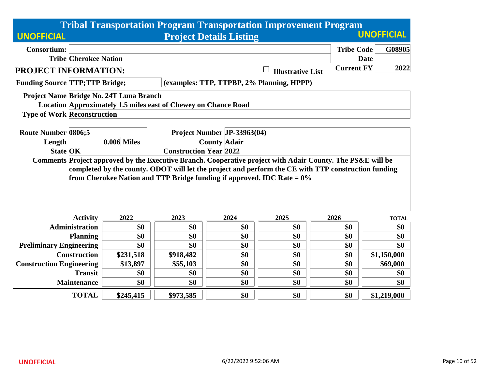| <b>Tribal Transportation Program Transportation Improvement Program</b>                                                                                                                                                                                                                        |               |                               |                                                    |                          |                   |                   |  |  |
|------------------------------------------------------------------------------------------------------------------------------------------------------------------------------------------------------------------------------------------------------------------------------------------------|---------------|-------------------------------|----------------------------------------------------|--------------------------|-------------------|-------------------|--|--|
| <b>UNOFFICIAL</b>                                                                                                                                                                                                                                                                              |               |                               | <b>Project Details Listing</b>                     |                          |                   | <b>UNOFFICIAL</b> |  |  |
| <b>Consortium:</b>                                                                                                                                                                                                                                                                             |               |                               |                                                    |                          | <b>Tribe Code</b> | G08905            |  |  |
| <b>Tribe Cherokee Nation</b>                                                                                                                                                                                                                                                                   |               |                               |                                                    |                          |                   | <b>Date</b>       |  |  |
| PROJECT INFORMATION:                                                                                                                                                                                                                                                                           |               |                               |                                                    | <b>Illustrative List</b> | <b>Current FY</b> | 2022              |  |  |
| <b>Funding Source TTP;TTP Bridge;</b>                                                                                                                                                                                                                                                          |               |                               | (examples: TTP, TTPBP, 2% Planning, HPPP)          |                          |                   |                   |  |  |
| Project Name Bridge No. 24T Luna Branch                                                                                                                                                                                                                                                        |               |                               |                                                    |                          |                   |                   |  |  |
| Location Approximately 1.5 miles east of Chewey on Chance Road                                                                                                                                                                                                                                 |               |                               |                                                    |                          |                   |                   |  |  |
| <b>Type of Work Reconstruction</b>                                                                                                                                                                                                                                                             |               |                               |                                                    |                          |                   |                   |  |  |
| <b>Route Number 0806;5</b>                                                                                                                                                                                                                                                                     |               |                               |                                                    |                          |                   |                   |  |  |
| Length                                                                                                                                                                                                                                                                                         | $0.006$ Miles |                               | Project Number JP-33963(04)<br><b>County Adair</b> |                          |                   |                   |  |  |
| <b>State OK</b>                                                                                                                                                                                                                                                                                |               | <b>Construction Year 2022</b> |                                                    |                          |                   |                   |  |  |
| Comments Project approved by the Executive Branch. Cooperative project with Adair County. The PS&E will be<br>completed by the county. ODOT will let the project and perform the CE with TTP construction funding<br>from Cherokee Nation and TTP Bridge funding if approved. IDC Rate $= 0\%$ |               |                               |                                                    |                          |                   |                   |  |  |
| <b>Activity</b>                                                                                                                                                                                                                                                                                | 2022          | 2023                          | 2024                                               | 2025                     | 2026              | <b>TOTAL</b>      |  |  |
| <b>Administration</b>                                                                                                                                                                                                                                                                          | \$0           | \$0                           | \$0                                                | \$0                      | \$0               | \$0               |  |  |
| <b>Planning</b>                                                                                                                                                                                                                                                                                | \$0           | \$0                           | \$0                                                | \$0                      | \$0               | \$0               |  |  |
| <b>Preliminary Engineering</b>                                                                                                                                                                                                                                                                 | \$0           | \$0                           | \$0                                                | \$0                      | \$0               | \$0               |  |  |
| <b>Construction</b>                                                                                                                                                                                                                                                                            | \$231,518     | \$918,482                     | \$0                                                | \$0                      | \$0               | \$1,150,000       |  |  |
| <b>Construction Engineering</b>                                                                                                                                                                                                                                                                | \$13,897      | \$55,103                      | \$0                                                | \$0                      | \$0               | \$69,000          |  |  |
| <b>Transit</b>                                                                                                                                                                                                                                                                                 | \$0           | \$0                           | \$0                                                | \$0                      | \$0               | \$0               |  |  |
| <b>Maintenance</b>                                                                                                                                                                                                                                                                             | \$0           | \$0                           | \$0                                                | \$0                      | \$0               | \$0               |  |  |
| <b>TOTAL</b>                                                                                                                                                                                                                                                                                   | \$245,415     | \$973,585                     | \$0                                                | \$0                      | \$0               | \$1,219,000       |  |  |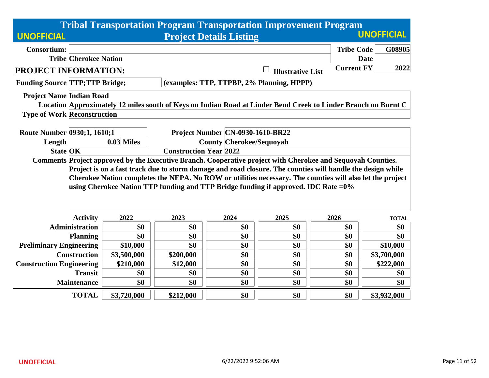|                                       |                                                                                                             |                                                                  |           |                                  | <b>Tribal Transportation Program Transportation Improvement Program</b>                                       |                   |                   |  |
|---------------------------------------|-------------------------------------------------------------------------------------------------------------|------------------------------------------------------------------|-----------|----------------------------------|---------------------------------------------------------------------------------------------------------------|-------------------|-------------------|--|
| <b>UNOFFICIAL</b>                     |                                                                                                             |                                                                  |           | <b>Project Details Listing</b>   |                                                                                                               |                   | <b>UNOFFICIAL</b> |  |
| <b>Consortium:</b>                    |                                                                                                             |                                                                  |           |                                  |                                                                                                               | <b>Tribe Code</b> | G08905            |  |
|                                       | <b>Tribe Cherokee Nation</b>                                                                                |                                                                  |           |                                  |                                                                                                               | <b>Date</b>       |                   |  |
| <b>PROJECT INFORMATION:</b>           |                                                                                                             |                                                                  |           |                                  | <b>Illustrative List</b>                                                                                      | <b>Current FY</b> | 2022              |  |
| <b>Funding Source TTP;TTP Bridge;</b> |                                                                                                             |                                                                  |           |                                  | (examples: TTP, TTPBP, 2% Planning, HPPP)                                                                     |                   |                   |  |
| <b>Project Name Indian Road</b>       |                                                                                                             |                                                                  |           |                                  |                                                                                                               |                   |                   |  |
|                                       |                                                                                                             |                                                                  |           |                                  | Location Approximately 12 miles south of Keys on Indian Road at Linder Bend Creek to Linder Branch on Burnt C |                   |                   |  |
| <b>Type of Work Reconstruction</b>    |                                                                                                             |                                                                  |           |                                  |                                                                                                               |                   |                   |  |
| Route Number 0930;1, 1610;1           |                                                                                                             |                                                                  |           | Project Number CN-0930-1610-BR22 |                                                                                                               |                   |                   |  |
| Length                                |                                                                                                             | $0.03$ Miles                                                     |           |                                  |                                                                                                               |                   |                   |  |
| <b>State OK</b>                       |                                                                                                             | <b>County Cherokee/Sequoyah</b><br><b>Construction Year 2022</b> |           |                                  |                                                                                                               |                   |                   |  |
|                                       | Comments Project approved by the Executive Branch. Cooperative project with Cherokee and Sequoyah Counties. |                                                                  |           |                                  |                                                                                                               |                   |                   |  |
|                                       |                                                                                                             |                                                                  |           |                                  | Project is on a fast track due to storm damage and road closure. The counties will handle the design while    |                   |                   |  |
|                                       |                                                                                                             |                                                                  |           |                                  | Cherokee Nation completes the NEPA. No ROW or utilities necessary. The counties will also let the project     |                   |                   |  |
|                                       |                                                                                                             |                                                                  |           |                                  | using Cherokee Nation TTP funding and TTP Bridge funding if approved. IDC Rate $=0\%$                         |                   |                   |  |
|                                       |                                                                                                             |                                                                  |           |                                  |                                                                                                               |                   |                   |  |
|                                       |                                                                                                             |                                                                  |           |                                  |                                                                                                               |                   |                   |  |
|                                       | <b>Activity</b>                                                                                             | 2022                                                             | 2023      | 2024                             | 2025                                                                                                          | 2026              | <b>TOTAL</b>      |  |
|                                       | <b>Administration</b>                                                                                       | \$0                                                              | \$0       | \$0                              | \$0                                                                                                           | \$0               | \$0               |  |
|                                       | <b>Planning</b>                                                                                             | \$0                                                              | \$0       | \$0                              | \$0                                                                                                           | \$0               | \$0               |  |
| <b>Preliminary Engineering</b>        |                                                                                                             | \$10,000                                                         | \$0       | \$0                              | \$0                                                                                                           | \$0               | \$10,000          |  |
|                                       | <b>Construction</b>                                                                                         | \$3,500,000                                                      | \$200,000 | \$0                              | \$0                                                                                                           | \$0               | \$3,700,000       |  |
| <b>Construction Engineering</b>       |                                                                                                             | \$210,000                                                        | \$12,000  | \$0                              | \$0                                                                                                           | \$0               | \$222,000         |  |
|                                       | <b>Transit</b>                                                                                              | \$0                                                              | \$0       | \$0                              | \$0                                                                                                           | \$0               | \$0               |  |
|                                       | <b>Maintenance</b>                                                                                          | \$0                                                              | \$0       | \$0                              | \$0                                                                                                           | \$0               | \$0               |  |
|                                       | <b>TOTAL</b>                                                                                                | \$3,720,000                                                      | \$212,000 | \$0                              | \$0                                                                                                           | \$0               | \$3,932,000       |  |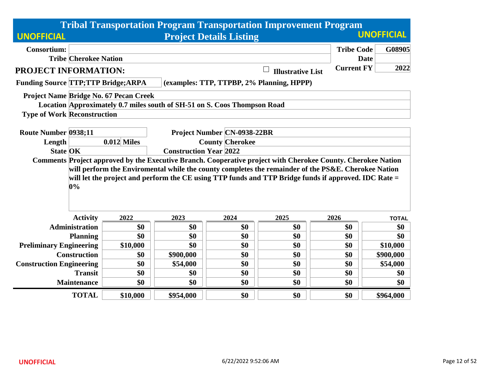|                                           |                                                                                                                                               |                                                  |                                                                          |                                | <b>Tribal Transportation Program Transportation Improvement Program</b>                              |                   |                   |  |  |  |
|-------------------------------------------|-----------------------------------------------------------------------------------------------------------------------------------------------|--------------------------------------------------|--------------------------------------------------------------------------|--------------------------------|------------------------------------------------------------------------------------------------------|-------------------|-------------------|--|--|--|
| <b>UNOFFICIAL</b>                         |                                                                                                                                               |                                                  |                                                                          | <b>Project Details Listing</b> |                                                                                                      |                   | <b>UNOFFICIAL</b> |  |  |  |
| <b>Consortium:</b>                        |                                                                                                                                               |                                                  |                                                                          |                                |                                                                                                      | <b>Tribe Code</b> | G08905            |  |  |  |
|                                           | <b>Tribe Cherokee Nation</b>                                                                                                                  |                                                  |                                                                          |                                |                                                                                                      |                   | <b>Date</b>       |  |  |  |
| PROJECT INFORMATION:                      |                                                                                                                                               |                                                  |                                                                          |                                | <b>Illustrative List</b>                                                                             | <b>Current FY</b> | 2022              |  |  |  |
| <b>Funding Source TTP;TTP Bridge;ARPA</b> |                                                                                                                                               |                                                  |                                                                          |                                | (examples: TTP, TTPBP, 2% Planning, HPPP)                                                            |                   |                   |  |  |  |
|                                           |                                                                                                                                               | Project Name Bridge No. 67 Pecan Creek           |                                                                          |                                |                                                                                                      |                   |                   |  |  |  |
|                                           |                                                                                                                                               |                                                  | Location Approximately 0.7 miles south of SH-51 on S. Coos Thompson Road |                                |                                                                                                      |                   |                   |  |  |  |
| <b>Type of Work Reconstruction</b>        |                                                                                                                                               |                                                  |                                                                          |                                |                                                                                                      |                   |                   |  |  |  |
|                                           |                                                                                                                                               |                                                  |                                                                          |                                |                                                                                                      |                   |                   |  |  |  |
| Route Number 0938;11                      |                                                                                                                                               | <b>Project Number CN-0938-22BR</b>               |                                                                          |                                |                                                                                                      |                   |                   |  |  |  |
| Length                                    |                                                                                                                                               | $0.012$ Miles                                    | <b>County Cherokee</b>                                                   |                                |                                                                                                      |                   |                   |  |  |  |
| <b>State OK</b>                           | <b>Construction Year 2022</b><br>Comments Project approved by the Executive Branch. Cooperative project with Cherokee County. Cherokee Nation |                                                  |                                                                          |                                |                                                                                                      |                   |                   |  |  |  |
|                                           |                                                                                                                                               |                                                  |                                                                          |                                |                                                                                                      |                   |                   |  |  |  |
|                                           |                                                                                                                                               |                                                  |                                                                          |                                | will perform the Enviromental while the county completes the remainder of the PS&E. Cherokee Nation  |                   |                   |  |  |  |
|                                           | 0%                                                                                                                                            |                                                  |                                                                          |                                | will let the project and perform the CE using TTP funds and TTP Bridge funds if approved. IDC Rate = |                   |                   |  |  |  |
|                                           |                                                                                                                                               |                                                  |                                                                          |                                |                                                                                                      |                   |                   |  |  |  |
|                                           |                                                                                                                                               |                                                  |                                                                          |                                |                                                                                                      |                   |                   |  |  |  |
|                                           |                                                                                                                                               |                                                  |                                                                          |                                |                                                                                                      |                   |                   |  |  |  |
|                                           | <b>Activity</b>                                                                                                                               | 2022                                             | 2023                                                                     | 2024                           | 2025                                                                                                 | 2026              | <b>TOTAL</b>      |  |  |  |
|                                           | <b>Administration</b>                                                                                                                         | \$0                                              | \$0                                                                      | \$0                            | \$0                                                                                                  | \$0               | \$0               |  |  |  |
|                                           | <b>Planning</b>                                                                                                                               | \$0                                              | \$0                                                                      | \$0                            | \$0                                                                                                  | \$0               | \$0               |  |  |  |
| <b>Preliminary Engineering</b>            |                                                                                                                                               | \$10,000                                         | \$0                                                                      | \$0                            | \$0                                                                                                  | \$0               | \$10,000          |  |  |  |
|                                           | <b>Construction</b><br>\$900,000<br>\$0<br>\$0<br>\$0<br>\$900,000<br>\$0                                                                     |                                                  |                                                                          |                                |                                                                                                      |                   |                   |  |  |  |
| <b>Construction Engineering</b>           |                                                                                                                                               | \$0<br>\$54,000<br>\$0<br>\$0<br>\$0<br>\$54,000 |                                                                          |                                |                                                                                                      |                   |                   |  |  |  |
|                                           | <b>Transit</b>                                                                                                                                | \$0                                              | \$0                                                                      | \$0                            | \$0                                                                                                  | \$0               | \$0               |  |  |  |
|                                           | <b>Maintenance</b>                                                                                                                            | \$0                                              | \$0                                                                      | \$0                            | \$0                                                                                                  | \$0               | \$0               |  |  |  |
|                                           | <b>TOTAL</b>                                                                                                                                  | \$10,000                                         | \$954,000                                                                | \$0                            | \$0                                                                                                  | \$0               | \$964,000         |  |  |  |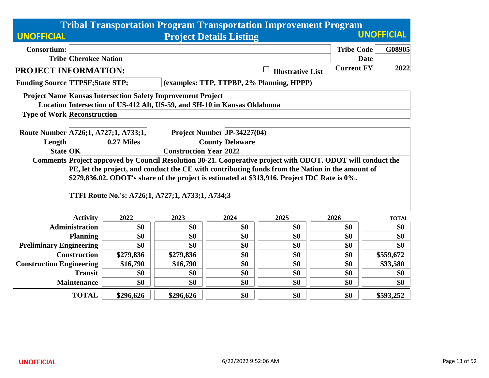|                                         |                                          |                                                                                                               |                                                                          |                                | <b>Tribal Transportation Program Transportation Improvement Program</b>                                                                                                                                                                                                                                         |                   |                     |  |  |  |
|-----------------------------------------|------------------------------------------|---------------------------------------------------------------------------------------------------------------|--------------------------------------------------------------------------|--------------------------------|-----------------------------------------------------------------------------------------------------------------------------------------------------------------------------------------------------------------------------------------------------------------------------------------------------------------|-------------------|---------------------|--|--|--|
| <b>UNOFFICIAL</b>                       |                                          |                                                                                                               |                                                                          | <b>Project Details Listing</b> |                                                                                                                                                                                                                                                                                                                 |                   | <b>UNOFFICIAL</b>   |  |  |  |
| <b>Consortium:</b>                      |                                          |                                                                                                               |                                                                          |                                |                                                                                                                                                                                                                                                                                                                 | <b>Tribe Code</b> | G08905              |  |  |  |
|                                         | <b>Tribe Cherokee Nation</b>             |                                                                                                               |                                                                          |                                |                                                                                                                                                                                                                                                                                                                 | <b>Date</b>       |                     |  |  |  |
| <b>PROJECT INFORMATION:</b>             |                                          |                                                                                                               |                                                                          |                                | <b>Illustrative List</b>                                                                                                                                                                                                                                                                                        | <b>Current FY</b> | 2022                |  |  |  |
| <b>Funding Source TTPSF; State STP;</b> |                                          |                                                                                                               |                                                                          |                                | (examples: TTP, TTPBP, 2% Planning, HPPP)                                                                                                                                                                                                                                                                       |                   |                     |  |  |  |
|                                         |                                          |                                                                                                               | <b>Project Name Kansas Intersection Safety Improvement Project</b>       |                                |                                                                                                                                                                                                                                                                                                                 |                   |                     |  |  |  |
|                                         |                                          |                                                                                                               | Location Intersection of US-412 Alt, US-59, and SH-10 in Kansas Oklahoma |                                |                                                                                                                                                                                                                                                                                                                 |                   |                     |  |  |  |
|                                         | <b>Type of Work Reconstruction</b>       |                                                                                                               |                                                                          |                                |                                                                                                                                                                                                                                                                                                                 |                   |                     |  |  |  |
|                                         |                                          |                                                                                                               |                                                                          |                                |                                                                                                                                                                                                                                                                                                                 |                   |                     |  |  |  |
| Length                                  |                                          | Route Number A726;1, A727;1, A733;1,<br>Project Number JP-34227(04)<br>$0.27$ Miles<br><b>County Delaware</b> |                                                                          |                                |                                                                                                                                                                                                                                                                                                                 |                   |                     |  |  |  |
| <b>State OK</b>                         |                                          | <b>Construction Year 2022</b>                                                                                 |                                                                          |                                |                                                                                                                                                                                                                                                                                                                 |                   |                     |  |  |  |
|                                         |                                          |                                                                                                               | TTFI Route No.'s: A726;1, A727;1, A733;1, A734;3                         |                                | Comments Project approved by Council Resolution 30-21. Cooperative project with ODOT. ODOT will conduct the<br>PE, let the project, and conduct the CE with contributing funds from the Nation in the amount of<br>\$279,836.02. ODOT's share of the project is estimated at \$313,916. Project IDC Rate is 0%. |                   |                     |  |  |  |
|                                         |                                          |                                                                                                               |                                                                          |                                |                                                                                                                                                                                                                                                                                                                 |                   |                     |  |  |  |
|                                         | <b>Activity</b><br><b>Administration</b> | 2022<br>\$0                                                                                                   | 2023<br>\$0                                                              | 2024<br>\$0                    | 2025<br>\$0                                                                                                                                                                                                                                                                                                     | 2026<br>\$0       | <b>TOTAL</b><br>\$0 |  |  |  |
|                                         |                                          | \$0                                                                                                           | \$0                                                                      | \$0                            | \$0                                                                                                                                                                                                                                                                                                             | \$0               | \$0                 |  |  |  |
| <b>Preliminary Engineering</b>          | <b>Planning</b>                          | \$0                                                                                                           | \$0                                                                      | \$0                            | \$0                                                                                                                                                                                                                                                                                                             | \$0               | \$0                 |  |  |  |
|                                         | <b>Construction</b>                      | \$279,836                                                                                                     | \$279,836                                                                | \$0                            | \$0                                                                                                                                                                                                                                                                                                             | \$0               | \$559,672           |  |  |  |
| <b>Construction Engineering</b>         |                                          | \$16,790<br>\$16,790<br>\$0<br>\$0<br>\$0<br>\$33,580                                                         |                                                                          |                                |                                                                                                                                                                                                                                                                                                                 |                   |                     |  |  |  |
|                                         | <b>Transit</b>                           | \$0                                                                                                           | \$0                                                                      | \$0                            | \$0                                                                                                                                                                                                                                                                                                             | \$0               | \$0                 |  |  |  |
|                                         | <b>Maintenance</b>                       | \$0                                                                                                           | \$0                                                                      | \$0                            | \$0                                                                                                                                                                                                                                                                                                             | \$0               | \$0                 |  |  |  |
|                                         | <b>TOTAL</b>                             | \$296,626                                                                                                     | \$296,626                                                                | \$0                            | \$0                                                                                                                                                                                                                                                                                                             | \$0               | \$593,252           |  |  |  |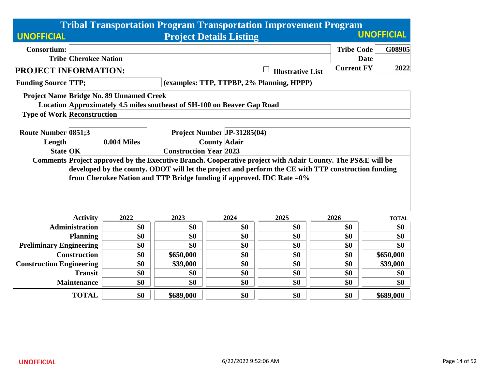|                                    |                                                                                                                                                                                                                   |                                          |                                                                          |                                | <b>Tribal Transportation Program Transportation Improvement Program</b> |                   |                   |  |  |  |
|------------------------------------|-------------------------------------------------------------------------------------------------------------------------------------------------------------------------------------------------------------------|------------------------------------------|--------------------------------------------------------------------------|--------------------------------|-------------------------------------------------------------------------|-------------------|-------------------|--|--|--|
| <b>UNOFFICIAL</b>                  |                                                                                                                                                                                                                   |                                          |                                                                          | <b>Project Details Listing</b> |                                                                         |                   | <b>UNOFFICIAL</b> |  |  |  |
| <b>Consortium:</b>                 |                                                                                                                                                                                                                   |                                          |                                                                          |                                |                                                                         | <b>Tribe Code</b> | G08905            |  |  |  |
|                                    | <b>Tribe Cherokee Nation</b>                                                                                                                                                                                      |                                          |                                                                          |                                |                                                                         | <b>Date</b>       |                   |  |  |  |
| PROJECT INFORMATION:               |                                                                                                                                                                                                                   |                                          |                                                                          |                                | <b>Illustrative List</b>                                                | <b>Current FY</b> | 2022              |  |  |  |
| <b>Funding Source TTP;</b>         |                                                                                                                                                                                                                   |                                          |                                                                          |                                | (examples: TTP, TTPBP, 2% Planning, HPPP)                               |                   |                   |  |  |  |
|                                    |                                                                                                                                                                                                                   | Project Name Bridge No. 89 Unnamed Creek |                                                                          |                                |                                                                         |                   |                   |  |  |  |
|                                    |                                                                                                                                                                                                                   |                                          | Location Approximately 4.5 miles southeast of SH-100 on Beaver Gap Road  |                                |                                                                         |                   |                   |  |  |  |
| <b>Type of Work Reconstruction</b> |                                                                                                                                                                                                                   |                                          |                                                                          |                                |                                                                         |                   |                   |  |  |  |
|                                    |                                                                                                                                                                                                                   |                                          |                                                                          |                                |                                                                         |                   |                   |  |  |  |
| <b>Route Number 0851;3</b>         |                                                                                                                                                                                                                   |                                          |                                                                          | Project Number JP-31285(04)    |                                                                         |                   |                   |  |  |  |
| Length                             |                                                                                                                                                                                                                   | $0.004$ Miles<br><b>County Adair</b>     |                                                                          |                                |                                                                         |                   |                   |  |  |  |
| <b>State OK</b>                    | <b>Construction Year 2023</b>                                                                                                                                                                                     |                                          |                                                                          |                                |                                                                         |                   |                   |  |  |  |
|                                    | Comments Project approved by the Executive Branch. Cooperative project with Adair County. The PS&E will be<br>developed by the county. ODOT will let the project and perform the CE with TTP construction funding |                                          |                                                                          |                                |                                                                         |                   |                   |  |  |  |
|                                    |                                                                                                                                                                                                                   |                                          |                                                                          |                                |                                                                         |                   |                   |  |  |  |
|                                    |                                                                                                                                                                                                                   |                                          | from Cherokee Nation and TTP Bridge funding if approved. IDC Rate $=0\%$ |                                |                                                                         |                   |                   |  |  |  |
|                                    |                                                                                                                                                                                                                   |                                          |                                                                          |                                |                                                                         |                   |                   |  |  |  |
|                                    |                                                                                                                                                                                                                   |                                          |                                                                          |                                |                                                                         |                   |                   |  |  |  |
|                                    |                                                                                                                                                                                                                   |                                          |                                                                          |                                |                                                                         |                   |                   |  |  |  |
|                                    | <b>Activity</b>                                                                                                                                                                                                   | 2022                                     | 2023                                                                     | 2024                           | 2025                                                                    | 2026              | <b>TOTAL</b>      |  |  |  |
|                                    | <b>Administration</b>                                                                                                                                                                                             | \$0                                      | \$0                                                                      | \$0                            | \$0                                                                     | \$0               | \$0               |  |  |  |
|                                    | <b>Planning</b>                                                                                                                                                                                                   | \$0                                      | \$0                                                                      | \$0                            | \$0                                                                     | \$0               | \$0               |  |  |  |
| <b>Preliminary Engineering</b>     |                                                                                                                                                                                                                   | \$0                                      | \$0                                                                      | \$0                            | \$0                                                                     | \$0               | \$0               |  |  |  |
|                                    | <b>Construction</b>                                                                                                                                                                                               | \$0                                      | \$650,000                                                                | \$0                            | \$0                                                                     | \$0               | \$650,000         |  |  |  |
| <b>Construction Engineering</b>    |                                                                                                                                                                                                                   | \$0                                      | \$39,000                                                                 | \$0                            | \$0                                                                     | \$0               | \$39,000          |  |  |  |
|                                    | <b>Transit</b>                                                                                                                                                                                                    | \$0                                      | \$0                                                                      | \$0                            | \$0                                                                     | \$0               | \$0               |  |  |  |
|                                    | <b>Maintenance</b>                                                                                                                                                                                                | \$0                                      | \$0                                                                      | \$0                            | \$0                                                                     | \$0               | \$0               |  |  |  |
|                                    | <b>TOTAL</b>                                                                                                                                                                                                      | \$0                                      | \$689,000                                                                | \$0                            | \$0                                                                     | \$0               | \$689,000         |  |  |  |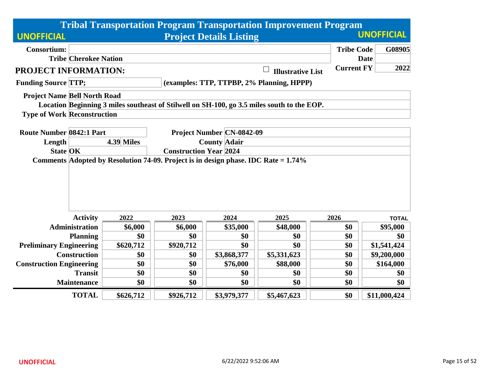|                                                                                    |                                                  |            |                                  |                                | <b>Tribal Transportation Program Transportation Improvement Program</b>                    |                   |                   |  |  |
|------------------------------------------------------------------------------------|--------------------------------------------------|------------|----------------------------------|--------------------------------|--------------------------------------------------------------------------------------------|-------------------|-------------------|--|--|
| <b>UNOFFICIAL</b>                                                                  |                                                  |            |                                  | <b>Project Details Listing</b> |                                                                                            |                   | <b>UNOFFICIAL</b> |  |  |
| <b>Consortium:</b>                                                                 |                                                  |            |                                  |                                |                                                                                            | <b>Tribe Code</b> | G08905            |  |  |
|                                                                                    | <b>Tribe Cherokee Nation</b>                     |            |                                  |                                |                                                                                            |                   | <b>Date</b>       |  |  |
| PROJECT INFORMATION:                                                               |                                                  |            |                                  |                                | <b>Illustrative List</b>                                                                   | <b>Current FY</b> | 2022              |  |  |
| <b>Funding Source TTP;</b>                                                         |                                                  |            |                                  |                                | (examples: TTP, TTPBP, 2% Planning, HPPP)                                                  |                   |                   |  |  |
| <b>Project Name Bell North Road</b>                                                |                                                  |            |                                  |                                |                                                                                            |                   |                   |  |  |
|                                                                                    |                                                  |            |                                  |                                | Location Beginning 3 miles southeast of Stilwell on SH-100, go 3.5 miles south to the EOP. |                   |                   |  |  |
| <b>Type of Work Reconstruction</b>                                                 |                                                  |            |                                  |                                |                                                                                            |                   |                   |  |  |
|                                                                                    |                                                  |            |                                  |                                |                                                                                            |                   |                   |  |  |
| <b>Route Number 0842:1 Part</b>                                                    |                                                  |            | <b>Project Number CN-0842-09</b> |                                |                                                                                            |                   |                   |  |  |
| Length                                                                             |                                                  | 4.39 Miles | <b>County Adair</b>              |                                |                                                                                            |                   |                   |  |  |
|                                                                                    | <b>State OK</b><br><b>Construction Year 2024</b> |            |                                  |                                |                                                                                            |                   |                   |  |  |
| Comments Adopted by Resolution 74-09. Project is in design phase. IDC Rate = 1.74% |                                                  |            |                                  |                                |                                                                                            |                   |                   |  |  |
|                                                                                    |                                                  |            |                                  |                                |                                                                                            |                   |                   |  |  |
|                                                                                    |                                                  |            |                                  |                                |                                                                                            |                   |                   |  |  |
|                                                                                    |                                                  |            |                                  |                                |                                                                                            |                   |                   |  |  |
|                                                                                    |                                                  |            |                                  |                                |                                                                                            |                   |                   |  |  |
|                                                                                    | <b>Activity</b>                                  | 2022       | 2023                             | 2024                           | 2025                                                                                       | 2026              | <b>TOTAL</b>      |  |  |
|                                                                                    | <b>Administration</b>                            | \$6,000    | \$6,000                          | \$35,000                       | \$48,000                                                                                   | \$0               | \$95,000          |  |  |
|                                                                                    | <b>Planning</b>                                  | \$0        | \$0                              | \$0                            | \$0                                                                                        | \$0               | \$0               |  |  |
| <b>Preliminary Engineering</b>                                                     |                                                  | \$620,712  | \$920,712                        | \$0                            | \$0                                                                                        | \$0               | \$1,541,424       |  |  |
|                                                                                    | <b>Construction</b>                              | \$0        | \$0                              | \$3,868,377                    | \$5,331,623                                                                                | \$0               | \$9,200,000       |  |  |
| <b>Construction Engineering</b>                                                    |                                                  | \$0        | \$0                              | \$76,000                       | \$88,000                                                                                   | \$0               | \$164,000         |  |  |
|                                                                                    | <b>Transit</b>                                   | \$0        | \$0                              | \$0                            | \$0                                                                                        | \$0               | \$0               |  |  |
|                                                                                    | <b>Maintenance</b>                               | \$0        | \$0                              | \$0                            | \$0                                                                                        | \$0               | \$0               |  |  |
|                                                                                    | <b>TOTAL</b>                                     | \$626,712  | \$926,712                        | \$3,979,377                    | \$5,467,623                                                                                | \$0               | \$11,000,424      |  |  |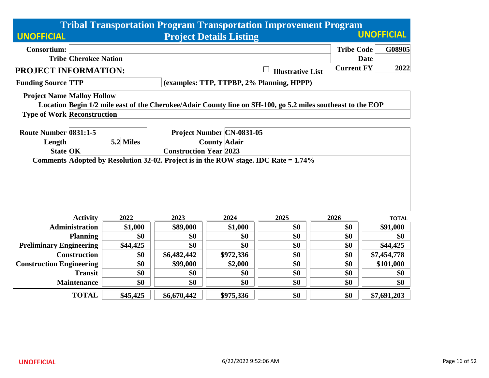|                                    |                                                                                        |           |                                                      |                                  | <b>Tribal Transportation Program Transportation Improvement Program</b>                                     |                   |                   |  |  |  |
|------------------------------------|----------------------------------------------------------------------------------------|-----------|------------------------------------------------------|----------------------------------|-------------------------------------------------------------------------------------------------------------|-------------------|-------------------|--|--|--|
| <b>UNOFFICIAL</b>                  |                                                                                        |           |                                                      | <b>Project Details Listing</b>   |                                                                                                             |                   | <b>UNOFFICIAL</b> |  |  |  |
| <b>Consortium:</b>                 |                                                                                        |           |                                                      |                                  |                                                                                                             | <b>Tribe Code</b> | G08905            |  |  |  |
|                                    | <b>Tribe Cherokee Nation</b>                                                           |           |                                                      |                                  |                                                                                                             | <b>Date</b>       |                   |  |  |  |
| <b>PROJECT INFORMATION:</b>        |                                                                                        |           |                                                      |                                  | <b>Illustrative List</b>                                                                                    | <b>Current FY</b> | 2022              |  |  |  |
| <b>Funding Source TTP</b>          |                                                                                        |           |                                                      |                                  | (examples: TTP, TTPBP, 2% Planning, HPPP)                                                                   |                   |                   |  |  |  |
| <b>Project Name Malloy Hollow</b>  |                                                                                        |           |                                                      |                                  |                                                                                                             |                   |                   |  |  |  |
|                                    |                                                                                        |           |                                                      |                                  | Location Begin 1/2 mile east of the Cherokee/Adair County line on SH-100, go 5.2 miles southeast to the EOP |                   |                   |  |  |  |
| <b>Type of Work Reconstruction</b> |                                                                                        |           |                                                      |                                  |                                                                                                             |                   |                   |  |  |  |
|                                    |                                                                                        |           |                                                      |                                  |                                                                                                             |                   |                   |  |  |  |
| Route Number 0831:1-5              |                                                                                        |           |                                                      | <b>Project Number CN-0831-05</b> |                                                                                                             |                   |                   |  |  |  |
| Length                             |                                                                                        | 5.2 Miles | <b>County Adair</b><br><b>Construction Year 2023</b> |                                  |                                                                                                             |                   |                   |  |  |  |
| <b>State OK</b>                    | Comments Adopted by Resolution 32-02. Project is in the ROW stage. IDC Rate $= 1.74\%$ |           |                                                      |                                  |                                                                                                             |                   |                   |  |  |  |
|                                    |                                                                                        |           |                                                      |                                  |                                                                                                             |                   |                   |  |  |  |
|                                    | <b>Activity</b>                                                                        | 2022      | 2023                                                 | 2024                             | 2025                                                                                                        | 2026              | <b>TOTAL</b>      |  |  |  |
|                                    | <b>Administration</b>                                                                  | \$1,000   | \$89,000                                             | \$1,000                          | \$0                                                                                                         | \$0               | \$91,000          |  |  |  |
|                                    | <b>Planning</b>                                                                        | \$0       | \$0                                                  | \$0                              | \$0                                                                                                         | \$0               | \$0               |  |  |  |
| <b>Preliminary Engineering</b>     |                                                                                        | \$44,425  | \$0                                                  | \$0                              | \$0                                                                                                         | \$0               | \$44,425          |  |  |  |
|                                    | <b>Construction</b>                                                                    | \$0       | \$6,482,442                                          | \$972,336                        | \$0                                                                                                         | \$0               | \$7,454,778       |  |  |  |
| <b>Construction Engineering</b>    |                                                                                        | \$0       | \$99,000                                             | \$2,000                          | \$0                                                                                                         | \$0               | \$101,000         |  |  |  |
|                                    | <b>Transit</b>                                                                         | \$0       | \$0                                                  | \$0                              | \$0                                                                                                         | \$0               | \$0               |  |  |  |
|                                    | <b>Maintenance</b>                                                                     | \$0       | \$0                                                  | \$0                              | \$0                                                                                                         | \$0               | \$0               |  |  |  |
|                                    | <b>TOTAL</b>                                                                           | \$45,425  | \$6,670,442                                          | \$975,336                        | \$0                                                                                                         | \$0               | \$7,691,203       |  |  |  |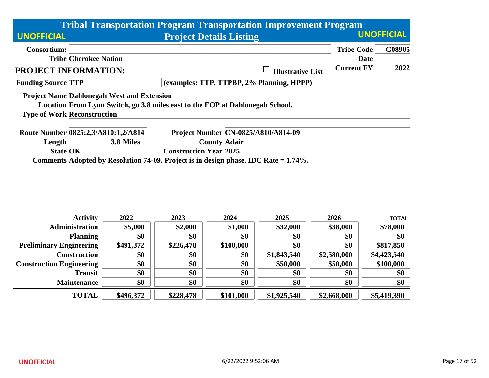|                                                                                     |                                                                                           |                                                                            | <b>Tribal Transportation Program Transportation Improvement Program</b>       |                                |                                           |                   |                   |  |  |  |
|-------------------------------------------------------------------------------------|-------------------------------------------------------------------------------------------|----------------------------------------------------------------------------|-------------------------------------------------------------------------------|--------------------------------|-------------------------------------------|-------------------|-------------------|--|--|--|
| <b>UNOFFICIAL</b>                                                                   |                                                                                           |                                                                            |                                                                               | <b>Project Details Listing</b> |                                           |                   | <b>UNOFFICIAL</b> |  |  |  |
| <b>Consortium:</b>                                                                  |                                                                                           |                                                                            |                                                                               |                                |                                           | <b>Tribe Code</b> | G08905            |  |  |  |
|                                                                                     | <b>Tribe Cherokee Nation</b>                                                              |                                                                            |                                                                               |                                |                                           |                   | <b>Date</b>       |  |  |  |
| PROJECT INFORMATION:                                                                |                                                                                           |                                                                            |                                                                               |                                | <b>Illustrative List</b>                  | <b>Current FY</b> | 2022              |  |  |  |
| <b>Funding Source TTP</b>                                                           |                                                                                           |                                                                            |                                                                               |                                | (examples: TTP, TTPBP, 2% Planning, HPPP) |                   |                   |  |  |  |
|                                                                                     |                                                                                           | <b>Project Name Dahlonegah West and Extension</b>                          |                                                                               |                                |                                           |                   |                   |  |  |  |
|                                                                                     |                                                                                           |                                                                            | Location From Lyon Switch, go 3.8 miles east to the EOP at Dahlonegah School. |                                |                                           |                   |                   |  |  |  |
| <b>Type of Work Reconstruction</b>                                                  |                                                                                           |                                                                            |                                                                               |                                |                                           |                   |                   |  |  |  |
|                                                                                     |                                                                                           |                                                                            |                                                                               |                                |                                           |                   |                   |  |  |  |
|                                                                                     |                                                                                           | Route Number 0825:2,3/A810:1,2/A814<br>Project Number CN-0825/A810/A814-09 |                                                                               |                                |                                           |                   |                   |  |  |  |
| Length                                                                              |                                                                                           | 3.8 Miles                                                                  | <b>County Adair</b>                                                           |                                |                                           |                   |                   |  |  |  |
| <b>State OK</b>                                                                     |                                                                                           |                                                                            | <b>Construction Year 2025</b>                                                 |                                |                                           |                   |                   |  |  |  |
| Comments Adopted by Resolution 74-09. Project is in design phase. IDC Rate = 1.74%. |                                                                                           |                                                                            |                                                                               |                                |                                           |                   |                   |  |  |  |
|                                                                                     |                                                                                           |                                                                            |                                                                               |                                |                                           |                   |                   |  |  |  |
|                                                                                     |                                                                                           |                                                                            |                                                                               |                                |                                           |                   |                   |  |  |  |
|                                                                                     |                                                                                           |                                                                            |                                                                               |                                |                                           |                   |                   |  |  |  |
|                                                                                     |                                                                                           |                                                                            |                                                                               |                                |                                           |                   |                   |  |  |  |
|                                                                                     | <b>Activity</b>                                                                           | 2022                                                                       | 2023                                                                          | 2024                           | 2025                                      | 2026              | <b>TOTAL</b>      |  |  |  |
|                                                                                     | <b>Administration</b>                                                                     | \$5,000                                                                    | \$2,000                                                                       | \$1,000                        | \$32,000                                  | \$38,000          | \$78,000          |  |  |  |
|                                                                                     | <b>Planning</b>                                                                           | \$0                                                                        | \$0                                                                           | \$0                            | \$0                                       | \$0               | \$0               |  |  |  |
| <b>Preliminary Engineering</b>                                                      |                                                                                           | \$491,372                                                                  | \$226,478                                                                     | \$100,000                      | \$0                                       | \$0               | \$817,850         |  |  |  |
|                                                                                     | <b>Construction</b>                                                                       | \$0                                                                        | \$0                                                                           | \$0                            | \$1,843,540                               | \$2,580,000       | \$4,423,540       |  |  |  |
|                                                                                     | <b>Construction Engineering</b><br>\$0<br>\$0<br>\$0<br>\$50,000<br>\$50,000<br>\$100,000 |                                                                            |                                                                               |                                |                                           |                   |                   |  |  |  |
|                                                                                     | <b>Transit</b>                                                                            | \$0                                                                        | \$0                                                                           | \$0                            | \$0                                       | \$0               | \$0               |  |  |  |
|                                                                                     | <b>Maintenance</b>                                                                        | \$0                                                                        | \$0                                                                           | \$0                            | \$0                                       | \$0               | \$0               |  |  |  |
|                                                                                     | <b>TOTAL</b>                                                                              | \$496,372                                                                  | \$228,478                                                                     | \$101,000                      | \$1,925,540                               | \$2,668,000       | \$5,419,390       |  |  |  |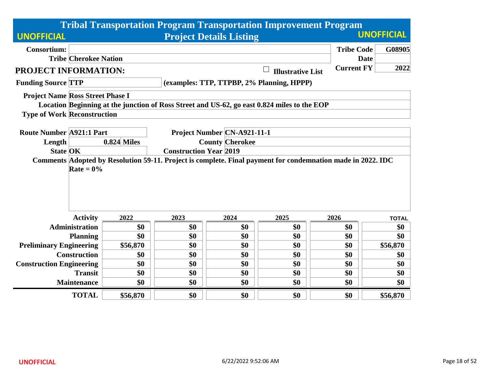|                                         |                                    |                                        |                               |                                                                                             |                          | <b>Tribal Transportation Program Transportation Improvement Program</b>                                     |                   |  |  |  |
|-----------------------------------------|------------------------------------|----------------------------------------|-------------------------------|---------------------------------------------------------------------------------------------|--------------------------|-------------------------------------------------------------------------------------------------------------|-------------------|--|--|--|
| <b>UNOFFICIAL</b>                       |                                    |                                        |                               | <b>Project Details Listing</b>                                                              |                          |                                                                                                             | <b>UNOFFICIAL</b> |  |  |  |
| <b>Consortium:</b>                      |                                    |                                        |                               |                                                                                             |                          | <b>Tribe Code</b>                                                                                           | G08905            |  |  |  |
|                                         | <b>Tribe Cherokee Nation</b>       |                                        |                               |                                                                                             |                          |                                                                                                             | <b>Date</b>       |  |  |  |
| <b>PROJECT INFORMATION:</b>             |                                    |                                        |                               |                                                                                             | <b>Illustrative List</b> | <b>Current FY</b>                                                                                           | 2022              |  |  |  |
| <b>Funding Source TTP</b>               |                                    |                                        |                               | (examples: TTP, TTPBP, 2% Planning, HPPP)                                                   |                          |                                                                                                             |                   |  |  |  |
| <b>Project Name Ross Street Phase I</b> |                                    |                                        |                               |                                                                                             |                          |                                                                                                             |                   |  |  |  |
|                                         |                                    |                                        |                               | Location Beginning at the junction of Ross Street and US-62, go east 0.824 miles to the EOP |                          |                                                                                                             |                   |  |  |  |
|                                         | <b>Type of Work Reconstruction</b> |                                        |                               |                                                                                             |                          |                                                                                                             |                   |  |  |  |
| <b>Route Number A921:1 Part</b>         |                                    |                                        |                               | Project Number CN-A921-11-1                                                                 |                          |                                                                                                             |                   |  |  |  |
| Length                                  |                                    | <b>0.824 Miles</b>                     |                               | <b>County Cherokee</b>                                                                      |                          |                                                                                                             |                   |  |  |  |
| <b>State OK</b>                         |                                    |                                        | <b>Construction Year 2019</b> |                                                                                             |                          |                                                                                                             |                   |  |  |  |
|                                         | Rate = $0\%$                       |                                        |                               |                                                                                             |                          | Comments Adopted by Resolution 59-11. Project is complete. Final payment for condemnation made in 2022. IDC |                   |  |  |  |
|                                         | <b>Activity</b>                    | 2022                                   | 2023                          | 2024                                                                                        | 2025                     | 2026                                                                                                        | <b>TOTAL</b>      |  |  |  |
|                                         | <b>Administration</b>              | \$0                                    | \$0                           | \$0                                                                                         | \$0                      | \$0                                                                                                         | \$0               |  |  |  |
|                                         | <b>Planning</b>                    | \$0                                    | \$0                           | \$0                                                                                         | \$0                      | \$0                                                                                                         | \$0               |  |  |  |
| <b>Preliminary Engineering</b>          |                                    | \$56,870                               | \$0                           | \$0                                                                                         | \$0                      | \$0                                                                                                         | \$56,870          |  |  |  |
|                                         | <b>Construction</b>                | \$0                                    | \$0                           | \$0                                                                                         | \$0                      | \$0                                                                                                         | \$0               |  |  |  |
| <b>Construction Engineering</b>         |                                    | \$0<br>\$0<br>\$0<br>\$0<br>\$0<br>\$0 |                               |                                                                                             |                          |                                                                                                             |                   |  |  |  |
|                                         | <b>Transit</b>                     | \$0                                    | \$0                           | \$0                                                                                         | \$0                      | \$0                                                                                                         | \$0               |  |  |  |
|                                         | <b>Maintenance</b>                 | \$0                                    | \$0                           | \$0                                                                                         | \$0                      | \$0                                                                                                         | \$0               |  |  |  |
|                                         | <b>TOTAL</b>                       | \$56,870                               | \$0                           | \$0                                                                                         | \$0                      | \$0                                                                                                         | \$56,870          |  |  |  |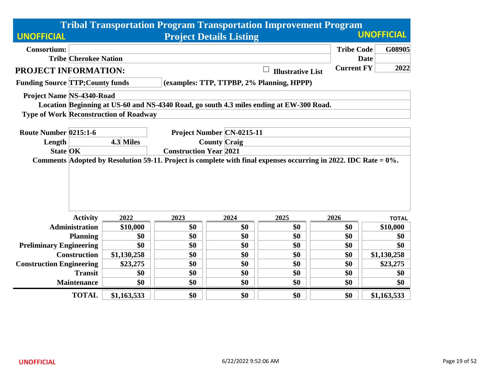|                                         |                               |                                               |      |                                | <b>Tribal Transportation Program Transportation Improvement Program</b>                                             |                   |                   |  |  |  |
|-----------------------------------------|-------------------------------|-----------------------------------------------|------|--------------------------------|---------------------------------------------------------------------------------------------------------------------|-------------------|-------------------|--|--|--|
| <b>UNOFFICIAL</b>                       |                               |                                               |      | <b>Project Details Listing</b> |                                                                                                                     |                   | <b>UNOFFICIAL</b> |  |  |  |
| <b>Consortium:</b>                      |                               |                                               |      |                                |                                                                                                                     | <b>Tribe Code</b> | G08905            |  |  |  |
|                                         | <b>Tribe Cherokee Nation</b>  |                                               |      |                                |                                                                                                                     |                   | <b>Date</b>       |  |  |  |
| PROJECT INFORMATION:                    |                               |                                               |      |                                | <b>Illustrative List</b>                                                                                            | <b>Current FY</b> | 2022              |  |  |  |
| <b>Funding Source TTP; County funds</b> |                               |                                               |      |                                | (examples: TTP, TTPBP, 2% Planning, HPPP)                                                                           |                   |                   |  |  |  |
| <b>Project Name NS-4340-Road</b>        |                               |                                               |      |                                |                                                                                                                     |                   |                   |  |  |  |
|                                         |                               |                                               |      |                                | Location Beginning at US-60 and NS-4340 Road, go south 4.3 miles ending at EW-300 Road.                             |                   |                   |  |  |  |
|                                         |                               | <b>Type of Work Reconstruction of Roadway</b> |      |                                |                                                                                                                     |                   |                   |  |  |  |
|                                         |                               |                                               |      |                                |                                                                                                                     |                   |                   |  |  |  |
| Route Number 0215:1-6                   |                               |                                               |      | Project Number CN-0215-11      |                                                                                                                     |                   |                   |  |  |  |
| Length                                  |                               | 4.3 Miles                                     |      | <b>County Craig</b>            |                                                                                                                     |                   |                   |  |  |  |
| <b>State OK</b>                         | <b>Construction Year 2021</b> |                                               |      |                                |                                                                                                                     |                   |                   |  |  |  |
|                                         |                               |                                               |      |                                | Comments Adopted by Resolution 59-11. Project is complete with final expenses occurring in 2022. IDC Rate = $0\%$ . |                   |                   |  |  |  |
|                                         | <b>Activity</b>               | 2022                                          | 2023 | 2024                           | 2025                                                                                                                | 2026              | <b>TOTAL</b>      |  |  |  |
|                                         | <b>Administration</b>         | \$10,000                                      | \$0  | \$0                            | \$0                                                                                                                 | \$0               | \$10,000          |  |  |  |
|                                         | <b>Planning</b>               | \$0                                           | \$0  | \$0                            | \$0                                                                                                                 | \$0               | \$0               |  |  |  |
| <b>Preliminary Engineering</b>          |                               | \$0                                           | \$0  | \$0                            | \$0                                                                                                                 | \$0               | \$0               |  |  |  |
|                                         | <b>Construction</b>           | \$1,130,258                                   | \$0  | \$0                            | \$0                                                                                                                 | \$0               | \$1,130,258       |  |  |  |
| <b>Construction Engineering</b>         |                               | \$23,275                                      | \$0  | \$0                            | \$0                                                                                                                 | \$0               | \$23,275          |  |  |  |
|                                         | <b>Transit</b>                | \$0                                           | \$0  | \$0                            | \$0                                                                                                                 | \$0               | \$0               |  |  |  |
|                                         | <b>Maintenance</b>            | \$0                                           | \$0  | \$0                            | \$0                                                                                                                 | \$0               | \$0               |  |  |  |
|                                         | <b>TOTAL</b>                  | \$1,163,533                                   | \$0  | \$0                            | \$0                                                                                                                 | \$0               | \$1,163,533       |  |  |  |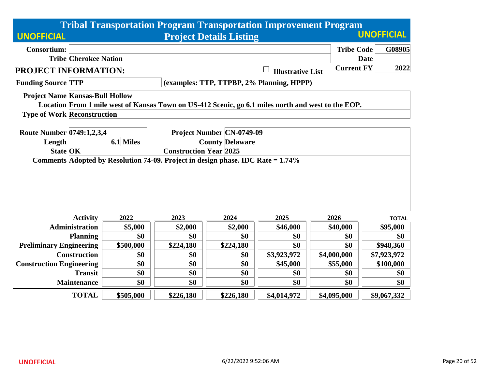|                                        |                               |                                                                                 |                        |                                  | <b>Tribal Transportation Program Transportation Improvement Program</b>                            |                   |                   |  |  |
|----------------------------------------|-------------------------------|---------------------------------------------------------------------------------|------------------------|----------------------------------|----------------------------------------------------------------------------------------------------|-------------------|-------------------|--|--|
| <b>UNOFFICIAL</b>                      |                               |                                                                                 |                        | <b>Project Details Listing</b>   |                                                                                                    |                   | <b>UNOFFICIAL</b> |  |  |
| <b>Consortium:</b>                     |                               |                                                                                 |                        |                                  |                                                                                                    | <b>Tribe Code</b> | G08905            |  |  |
|                                        | <b>Tribe Cherokee Nation</b>  |                                                                                 |                        |                                  |                                                                                                    |                   | <b>Date</b>       |  |  |
| <b>PROJECT INFORMATION:</b>            |                               |                                                                                 |                        |                                  | <b>Illustrative List</b>                                                                           | <b>Current FY</b> | 2022              |  |  |
| <b>Funding Source TTP</b>              |                               |                                                                                 |                        |                                  | (examples: TTP, TTPBP, 2% Planning, HPPP)                                                          |                   |                   |  |  |
| <b>Project Name Kansas-Bull Hollow</b> |                               |                                                                                 |                        |                                  |                                                                                                    |                   |                   |  |  |
|                                        |                               |                                                                                 |                        |                                  | Location From 1 mile west of Kansas Town on US-412 Scenic, go 6.1 miles north and west to the EOP. |                   |                   |  |  |
| <b>Type of Work Reconstruction</b>     |                               |                                                                                 |                        |                                  |                                                                                                    |                   |                   |  |  |
|                                        |                               |                                                                                 |                        |                                  |                                                                                                    |                   |                   |  |  |
| Route Number 0749:1,2,3,4              |                               |                                                                                 |                        | <b>Project Number CN-0749-09</b> |                                                                                                    |                   |                   |  |  |
| Length                                 |                               | 6.1 Miles                                                                       | <b>County Delaware</b> |                                  |                                                                                                    |                   |                   |  |  |
| <b>State OK</b>                        | <b>Construction Year 2025</b> |                                                                                 |                        |                                  |                                                                                                    |                   |                   |  |  |
|                                        |                               | Comments Adopted by Resolution 74-09. Project in design phase. IDC Rate = 1.74% |                        |                                  |                                                                                                    |                   |                   |  |  |
|                                        |                               |                                                                                 |                        |                                  |                                                                                                    |                   |                   |  |  |
|                                        |                               |                                                                                 |                        |                                  |                                                                                                    |                   |                   |  |  |
|                                        |                               |                                                                                 |                        |                                  |                                                                                                    |                   |                   |  |  |
|                                        |                               |                                                                                 |                        |                                  |                                                                                                    |                   |                   |  |  |
|                                        |                               |                                                                                 |                        |                                  |                                                                                                    |                   |                   |  |  |
|                                        | <b>Activity</b>               | 2022                                                                            | 2023                   | 2024                             | 2025                                                                                               | 2026              | <b>TOTAL</b>      |  |  |
|                                        | <b>Administration</b>         | \$5,000                                                                         | \$2,000                | \$2,000                          | \$46,000                                                                                           | \$40,000          | \$95,000          |  |  |
|                                        | <b>Planning</b>               | \$0                                                                             | \$0                    | \$0                              | \$0                                                                                                | \$0               | \$0               |  |  |
| <b>Preliminary Engineering</b>         |                               | \$500,000                                                                       | \$224,180              | \$224,180                        | \$0                                                                                                | \$0               | \$948,360         |  |  |
|                                        | <b>Construction</b>           | \$0                                                                             | \$0                    | \$0                              | \$3,923,972                                                                                        | \$4,000,000       | \$7,923,972       |  |  |
| <b>Construction Engineering</b>        |                               | \$0                                                                             | \$0                    | \$0                              | \$45,000                                                                                           | \$55,000          | \$100,000         |  |  |
|                                        | <b>Transit</b>                | \$0                                                                             | \$0                    | \$0                              | \$0                                                                                                | \$0               | \$0               |  |  |
|                                        | <b>Maintenance</b>            | \$0                                                                             | \$0                    | \$0                              | \$0                                                                                                | \$0               | \$0               |  |  |
|                                        | <b>TOTAL</b>                  | \$505,000                                                                       | \$226,180              | \$226,180                        | \$4,014,972                                                                                        | \$4,095,000       | \$9,067,332       |  |  |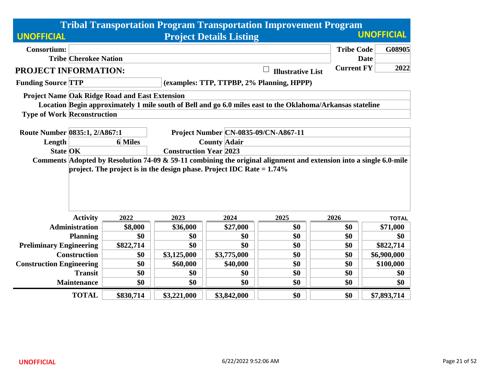|                                 |                                                                                                                                                     |                                                        |             |                                                                          | <b>Tribal Transportation Program Transportation Improvement Program</b>                                    |                   |                   |  |  |  |
|---------------------------------|-----------------------------------------------------------------------------------------------------------------------------------------------------|--------------------------------------------------------|-------------|--------------------------------------------------------------------------|------------------------------------------------------------------------------------------------------------|-------------------|-------------------|--|--|--|
| <b>UNOFFICIAL</b>               |                                                                                                                                                     |                                                        |             | <b>Project Details Listing</b>                                           |                                                                                                            |                   | <b>UNOFFICIAL</b> |  |  |  |
| <b>Consortium:</b>              |                                                                                                                                                     |                                                        |             |                                                                          |                                                                                                            | <b>Tribe Code</b> | G08905            |  |  |  |
|                                 | <b>Tribe Cherokee Nation</b>                                                                                                                        |                                                        |             |                                                                          |                                                                                                            |                   | <b>Date</b>       |  |  |  |
| <b>PROJECT INFORMATION:</b>     |                                                                                                                                                     |                                                        |             |                                                                          | <b>Illustrative List</b>                                                                                   | <b>Current FY</b> | 2022              |  |  |  |
| <b>Funding Source TTP</b>       |                                                                                                                                                     |                                                        |             |                                                                          | (examples: TTP, TTPBP, 2% Planning, HPPP)                                                                  |                   |                   |  |  |  |
|                                 |                                                                                                                                                     | <b>Project Name Oak Ridge Road and East Extension</b>  |             |                                                                          |                                                                                                            |                   |                   |  |  |  |
|                                 |                                                                                                                                                     |                                                        |             |                                                                          | Location Begin approximately 1 mile south of Bell and go 6.0 miles east to the Oklahoma/Arkansas stateline |                   |                   |  |  |  |
|                                 | <b>Type of Work Reconstruction</b>                                                                                                                  |                                                        |             |                                                                          |                                                                                                            |                   |                   |  |  |  |
|                                 |                                                                                                                                                     |                                                        |             |                                                                          |                                                                                                            |                   |                   |  |  |  |
| Route Number 0835:1, 2/A867:1   |                                                                                                                                                     |                                                        |             | <b>Project Number CN-0835-09/CN-A867-11</b>                              |                                                                                                            |                   |                   |  |  |  |
| Length                          |                                                                                                                                                     | <b>6</b> Miles                                         |             | <b>County Adair</b>                                                      |                                                                                                            |                   |                   |  |  |  |
| <b>State OK</b>                 | <b>Construction Year 2023</b><br>Comments Adopted by Resolution 74-09 & 59-11 combining the original alignment and extension into a single 6.0-mile |                                                        |             |                                                                          |                                                                                                            |                   |                   |  |  |  |
|                                 |                                                                                                                                                     |                                                        |             | project. The project is in the design phase. Project IDC Rate $= 1.74\%$ |                                                                                                            |                   |                   |  |  |  |
|                                 | <b>Activity</b>                                                                                                                                     | 2022                                                   | 2023        | 2024                                                                     | 2025                                                                                                       | 2026              | <b>TOTAL</b>      |  |  |  |
|                                 | <b>Administration</b>                                                                                                                               | \$8,000                                                | \$36,000    | \$27,000                                                                 | \$0                                                                                                        | \$0               | \$71,000          |  |  |  |
|                                 | <b>Planning</b>                                                                                                                                     | \$0                                                    | \$0         | \$0                                                                      | \$0                                                                                                        | \$0               | \$0               |  |  |  |
| <b>Preliminary Engineering</b>  |                                                                                                                                                     | \$822,714                                              | \$0         | \$0                                                                      | \$0                                                                                                        | \$0               | \$822,714         |  |  |  |
|                                 | <b>Construction</b>                                                                                                                                 | \$0                                                    | \$3,125,000 | \$3,775,000                                                              | \$0                                                                                                        | \$0               | \$6,900,000       |  |  |  |
| <b>Construction Engineering</b> |                                                                                                                                                     | \$0<br>\$0<br>\$60,000<br>\$0<br>\$100,000<br>\$40,000 |             |                                                                          |                                                                                                            |                   |                   |  |  |  |
|                                 | <b>Transit</b>                                                                                                                                      | \$0                                                    | \$0         | \$0                                                                      | \$0                                                                                                        | \$0               | \$0               |  |  |  |
|                                 | <b>Maintenance</b>                                                                                                                                  | \$0                                                    | \$0         | \$0                                                                      | \$0                                                                                                        | \$0               | \$0               |  |  |  |
|                                 | <b>TOTAL</b>                                                                                                                                        | \$830,714                                              | \$3,221,000 | \$3,842,000                                                              | \$0                                                                                                        | \$0               | \$7,893,714       |  |  |  |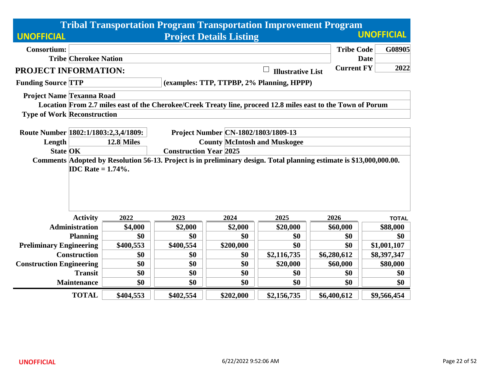|                                    |                                                                                                                     |                                                                                                                                  |                               |                                | <b>Tribal Transportation Program Transportation Improvement Program</b>                                      |                   |                   |  |  |
|------------------------------------|---------------------------------------------------------------------------------------------------------------------|----------------------------------------------------------------------------------------------------------------------------------|-------------------------------|--------------------------------|--------------------------------------------------------------------------------------------------------------|-------------------|-------------------|--|--|
| <b>UNOFFICIAL</b>                  |                                                                                                                     |                                                                                                                                  |                               | <b>Project Details Listing</b> |                                                                                                              |                   | <b>UNOFFICIAL</b> |  |  |
| <b>Consortium:</b>                 |                                                                                                                     |                                                                                                                                  |                               |                                |                                                                                                              | <b>Tribe Code</b> | G08905            |  |  |
|                                    | <b>Tribe Cherokee Nation</b>                                                                                        |                                                                                                                                  |                               |                                |                                                                                                              |                   | <b>Date</b>       |  |  |
| PROJECT INFORMATION:               |                                                                                                                     |                                                                                                                                  |                               |                                | <b>Illustrative List</b>                                                                                     | <b>Current FY</b> | 2022              |  |  |
| <b>Funding Source TTP</b>          |                                                                                                                     |                                                                                                                                  |                               |                                | (examples: TTP, TTPBP, 2% Planning, HPPP)                                                                    |                   |                   |  |  |
| Project Name Texanna Road          |                                                                                                                     |                                                                                                                                  |                               |                                |                                                                                                              |                   |                   |  |  |
|                                    |                                                                                                                     |                                                                                                                                  |                               |                                | Location From 2.7 miles east of the Cherokee/Creek Treaty line, proceed 12.8 miles east to the Town of Porum |                   |                   |  |  |
| <b>Type of Work Reconstruction</b> |                                                                                                                     |                                                                                                                                  |                               |                                |                                                                                                              |                   |                   |  |  |
|                                    |                                                                                                                     |                                                                                                                                  |                               |                                |                                                                                                              |                   |                   |  |  |
| Length                             |                                                                                                                     | Route Number 1802:1/1803:2,3,4/1809:<br>Project Number CN-1802/1803/1809-13<br>12.8 Miles<br><b>County McIntosh and Muskogee</b> |                               |                                |                                                                                                              |                   |                   |  |  |
| <b>State OK</b>                    |                                                                                                                     |                                                                                                                                  | <b>Construction Year 2025</b> |                                |                                                                                                              |                   |                   |  |  |
|                                    | Comments Adopted by Resolution 56-13. Project is in preliminary design. Total planning estimate is \$13,000,000.00. |                                                                                                                                  |                               |                                |                                                                                                              |                   |                   |  |  |
|                                    | <b>IDC</b> Rate = $1.74\%$ .                                                                                        |                                                                                                                                  |                               |                                |                                                                                                              |                   |                   |  |  |
|                                    | <b>Activity</b>                                                                                                     | 2022                                                                                                                             | 2023                          | 2024                           | 2025                                                                                                         | 2026              | <b>TOTAL</b>      |  |  |
|                                    | <b>Administration</b>                                                                                               | \$4,000                                                                                                                          | \$2,000                       | \$2,000                        | \$20,000                                                                                                     | \$60,000          | \$88,000          |  |  |
|                                    | <b>Planning</b>                                                                                                     | \$0                                                                                                                              | \$0                           | \$0                            | \$0                                                                                                          | \$0               | \$0               |  |  |
| <b>Preliminary Engineering</b>     |                                                                                                                     | \$400,553                                                                                                                        | \$400,554                     | \$200,000                      | \$0                                                                                                          | \$0               | \$1,001,107       |  |  |
|                                    | <b>Construction</b>                                                                                                 | \$0                                                                                                                              | \$0                           | \$0                            | \$2,116,735                                                                                                  | \$6,280,612       | \$8,397,347       |  |  |
| <b>Construction Engineering</b>    | \$0<br>\$0<br>\$0<br>\$80,000<br>\$20,000<br>\$60,000                                                               |                                                                                                                                  |                               |                                |                                                                                                              |                   |                   |  |  |
|                                    | <b>Transit</b>                                                                                                      | \$0                                                                                                                              | \$0                           | \$0                            | \$0                                                                                                          | \$0               | \$0               |  |  |
|                                    | <b>Maintenance</b>                                                                                                  | \$0                                                                                                                              | \$0                           | \$0                            | \$0                                                                                                          | \$0               | \$0               |  |  |
|                                    | <b>TOTAL</b>                                                                                                        | \$404,553                                                                                                                        | \$402,554                     | \$202,000                      | \$2,156,735                                                                                                  | \$6,400,612       | \$9,566,454       |  |  |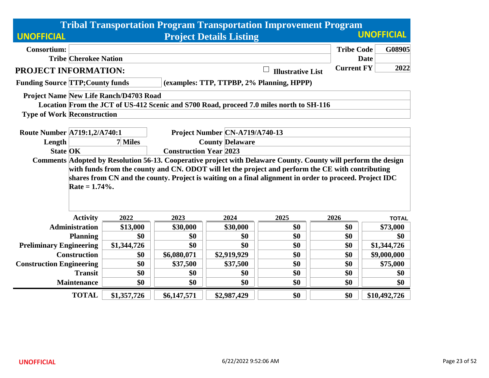|                                         |                                                                                                                                                                                                                                                                                                                                                    |                                                                                                                   |             |                                | <b>Tribal Transportation Program Transportation Improvement Program</b>                 |                   |                   |  |  |  |
|-----------------------------------------|----------------------------------------------------------------------------------------------------------------------------------------------------------------------------------------------------------------------------------------------------------------------------------------------------------------------------------------------------|-------------------------------------------------------------------------------------------------------------------|-------------|--------------------------------|-----------------------------------------------------------------------------------------|-------------------|-------------------|--|--|--|
| <b>UNOFFICIAL</b>                       |                                                                                                                                                                                                                                                                                                                                                    |                                                                                                                   |             | <b>Project Details Listing</b> |                                                                                         |                   | <b>UNOFFICIAL</b> |  |  |  |
| <b>Consortium:</b>                      |                                                                                                                                                                                                                                                                                                                                                    |                                                                                                                   |             |                                |                                                                                         | <b>Tribe Code</b> | G08905            |  |  |  |
|                                         | <b>Tribe Cherokee Nation</b>                                                                                                                                                                                                                                                                                                                       |                                                                                                                   |             |                                |                                                                                         |                   | <b>Date</b>       |  |  |  |
| <b>PROJECT INFORMATION:</b>             |                                                                                                                                                                                                                                                                                                                                                    |                                                                                                                   |             |                                | $\Box$<br><b>Illustrative List</b>                                                      | <b>Current FY</b> | 2022              |  |  |  |
| <b>Funding Source TTP; County funds</b> |                                                                                                                                                                                                                                                                                                                                                    |                                                                                                                   |             |                                | (examples: TTP, TTPBP, 2% Planning, HPPP)                                               |                   |                   |  |  |  |
|                                         |                                                                                                                                                                                                                                                                                                                                                    | Project Name New Life Ranch/D4703 Road                                                                            |             |                                |                                                                                         |                   |                   |  |  |  |
|                                         |                                                                                                                                                                                                                                                                                                                                                    |                                                                                                                   |             |                                | Location From the JCT of US-412 Scenic and S700 Road, proceed 7.0 miles north to SH-116 |                   |                   |  |  |  |
| <b>Type of Work Reconstruction</b>      |                                                                                                                                                                                                                                                                                                                                                    |                                                                                                                   |             |                                |                                                                                         |                   |                   |  |  |  |
|                                         |                                                                                                                                                                                                                                                                                                                                                    |                                                                                                                   |             |                                |                                                                                         |                   |                   |  |  |  |
| Length                                  |                                                                                                                                                                                                                                                                                                                                                    | <b>Route Number A719:1,2/A740:1</b><br>Project Number CN-A719/A740-13<br><b>County Delaware</b><br><b>7</b> Miles |             |                                |                                                                                         |                   |                   |  |  |  |
| <b>State OK</b>                         |                                                                                                                                                                                                                                                                                                                                                    | <b>Construction Year 2023</b>                                                                                     |             |                                |                                                                                         |                   |                   |  |  |  |
|                                         | Comments Adopted by Resolution 56-13. Cooperative project with Delaware County. County will perform the design<br>with funds from the county and CN. ODOT will let the project and perform the CE with contributing<br>shares from CN and the county. Project is waiting on a final alignment in order to proceed. Project IDC<br>Rate = $1.74%$ . |                                                                                                                   |             |                                |                                                                                         |                   |                   |  |  |  |
|                                         | <b>Activity</b>                                                                                                                                                                                                                                                                                                                                    | 2022                                                                                                              | 2023        | 2024                           | 2025                                                                                    | 2026              | <b>TOTAL</b>      |  |  |  |
|                                         | <b>Administration</b>                                                                                                                                                                                                                                                                                                                              | \$13,000                                                                                                          | \$30,000    | \$30,000                       | \$0                                                                                     | \$0               | \$73,000          |  |  |  |
|                                         | <b>Planning</b>                                                                                                                                                                                                                                                                                                                                    | \$0                                                                                                               | \$0         | \$0                            | \$0                                                                                     | \$0               | \$0               |  |  |  |
| <b>Preliminary Engineering</b>          |                                                                                                                                                                                                                                                                                                                                                    | \$1,344,726                                                                                                       | \$0         | \$0                            | \$0                                                                                     | \$0               | \$1,344,726       |  |  |  |
|                                         | <b>Construction</b>                                                                                                                                                                                                                                                                                                                                | \$0                                                                                                               | \$6,080,071 | \$2,919,929                    | \$0                                                                                     | \$0               | \$9,000,000       |  |  |  |
| <b>Construction Engineering</b>         |                                                                                                                                                                                                                                                                                                                                                    | \$0                                                                                                               | \$37,500    | \$37,500                       | \$0                                                                                     | \$0               | \$75,000          |  |  |  |
|                                         | <b>Transit</b>                                                                                                                                                                                                                                                                                                                                     | \$0                                                                                                               | \$0         | \$0                            | \$0                                                                                     | \$0               | \$0               |  |  |  |
|                                         | <b>Maintenance</b>                                                                                                                                                                                                                                                                                                                                 | \$0                                                                                                               | \$0         | \$0                            | \$0                                                                                     | \$0               | \$0               |  |  |  |
|                                         | <b>TOTAL</b>                                                                                                                                                                                                                                                                                                                                       | \$1,357,726                                                                                                       | \$6,147,571 | \$2,987,429                    | \$0                                                                                     | \$0               | \$10,492,726      |  |  |  |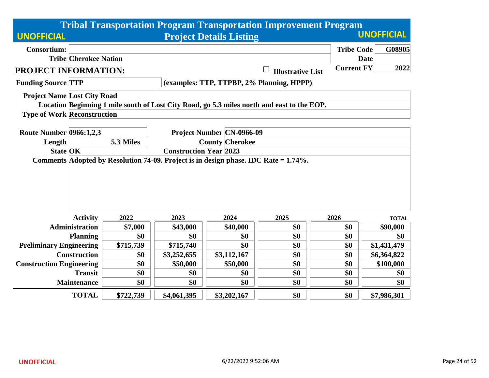|                                    |                              |                                                                                                                      |             |                                  | <b>Tribal Transportation Program Transportation Improvement Program</b>                    |                   |                   |  |  |  |
|------------------------------------|------------------------------|----------------------------------------------------------------------------------------------------------------------|-------------|----------------------------------|--------------------------------------------------------------------------------------------|-------------------|-------------------|--|--|--|
| <b>UNOFFICIAL</b>                  |                              |                                                                                                                      |             | <b>Project Details Listing</b>   |                                                                                            |                   | <b>UNOFFICIAL</b> |  |  |  |
| <b>Consortium:</b>                 |                              |                                                                                                                      |             |                                  |                                                                                            | <b>Tribe Code</b> | G08905            |  |  |  |
|                                    | <b>Tribe Cherokee Nation</b> |                                                                                                                      |             |                                  |                                                                                            | <b>Date</b>       |                   |  |  |  |
| <b>PROJECT INFORMATION:</b>        |                              |                                                                                                                      |             |                                  | <b>Illustrative List</b>                                                                   | <b>Current FY</b> | 2022              |  |  |  |
| <b>Funding Source TTP</b>          |                              |                                                                                                                      |             |                                  | (examples: TTP, TTPBP, 2% Planning, HPPP)                                                  |                   |                   |  |  |  |
| <b>Project Name Lost City Road</b> |                              |                                                                                                                      |             |                                  |                                                                                            |                   |                   |  |  |  |
|                                    |                              |                                                                                                                      |             |                                  | Location Beginning 1 mile south of Lost City Road, go 5.3 miles north and east to the EOP. |                   |                   |  |  |  |
| <b>Type of Work Reconstruction</b> |                              |                                                                                                                      |             |                                  |                                                                                            |                   |                   |  |  |  |
|                                    |                              |                                                                                                                      |             | <b>Project Number CN-0966-09</b> |                                                                                            |                   |                   |  |  |  |
| <b>Route Number 0966:1,2,3</b>     |                              | 5.3 Miles                                                                                                            |             |                                  |                                                                                            |                   |                   |  |  |  |
| Length<br><b>State OK</b>          |                              | <b>County Cherokee</b>                                                                                               |             |                                  |                                                                                            |                   |                   |  |  |  |
|                                    |                              | <b>Construction Year 2023</b><br>Comments Adopted by Resolution 74-09. Project is in design phase. IDC Rate = 1.74%. |             |                                  |                                                                                            |                   |                   |  |  |  |
|                                    |                              |                                                                                                                      |             |                                  |                                                                                            |                   |                   |  |  |  |
|                                    |                              |                                                                                                                      |             |                                  |                                                                                            |                   |                   |  |  |  |
|                                    |                              |                                                                                                                      |             |                                  |                                                                                            |                   |                   |  |  |  |
|                                    |                              |                                                                                                                      |             |                                  |                                                                                            |                   |                   |  |  |  |
|                                    | <b>Activity</b>              | 2022                                                                                                                 | 2023        | 2024                             | 2025                                                                                       | 2026              | <b>TOTAL</b>      |  |  |  |
|                                    | <b>Administration</b>        | \$7,000                                                                                                              | \$43,000    | \$40,000                         | \$0                                                                                        | \$0               | \$90,000          |  |  |  |
|                                    | <b>Planning</b>              | \$0                                                                                                                  | \$0         | \$0                              | \$0                                                                                        | \$0               | \$0               |  |  |  |
| <b>Preliminary Engineering</b>     |                              | \$715,739                                                                                                            | \$715,740   | \$0                              | \$0                                                                                        | \$0               | \$1,431,479       |  |  |  |
|                                    | <b>Construction</b>          | \$0                                                                                                                  | \$3,252,655 | \$3,112,167                      | \$0                                                                                        | \$0               | \$6,364,822       |  |  |  |
| <b>Construction Engineering</b>    |                              | \$0                                                                                                                  | \$50,000    | \$50,000                         | \$0                                                                                        | \$0               | \$100,000         |  |  |  |
|                                    | <b>Transit</b>               | \$0                                                                                                                  | \$0         | \$0                              | \$0                                                                                        | \$0               | \$0               |  |  |  |
|                                    | <b>Maintenance</b>           | \$0                                                                                                                  | \$0         | \$0                              | \$0                                                                                        | \$0               | \$0               |  |  |  |
|                                    | <b>TOTAL</b>                 | \$722,739                                                                                                            | \$4,061,395 | \$3,202,167                      | \$0                                                                                        | \$0               | \$7,986,301       |  |  |  |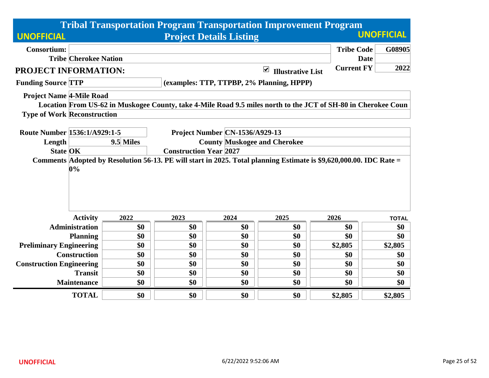|                                                                                                               |           |                                     |                                | <b>Tribal Transportation Program Transportation Improvement Program</b> |                   |                   |  |  |
|---------------------------------------------------------------------------------------------------------------|-----------|-------------------------------------|--------------------------------|-------------------------------------------------------------------------|-------------------|-------------------|--|--|
| <b>UNOFFICIAL</b>                                                                                             |           |                                     | <b>Project Details Listing</b> |                                                                         |                   | <b>UNOFFICIAL</b> |  |  |
| <b>Consortium:</b>                                                                                            |           |                                     |                                |                                                                         | <b>Tribe Code</b> | G08905            |  |  |
| <b>Tribe Cherokee Nation</b>                                                                                  |           |                                     |                                |                                                                         | <b>Date</b>       |                   |  |  |
| <b>PROJECT INFORMATION:</b>                                                                                   |           |                                     |                                | $\blacktriangledown$<br><b>Illustrative List</b>                        | <b>Current FY</b> | 2022              |  |  |
| <b>Funding Source TTP</b>                                                                                     |           |                                     |                                | (examples: TTP, TTPBP, 2% Planning, HPPP)                               |                   |                   |  |  |
| <b>Project Name 4-Mile Road</b>                                                                               |           |                                     |                                |                                                                         |                   |                   |  |  |
| Location From US-62 in Muskogee County, take 4-Mile Road 9.5 miles north to the JCT of SH-80 in Cherokee Coun |           |                                     |                                |                                                                         |                   |                   |  |  |
| <b>Type of Work Reconstruction</b>                                                                            |           |                                     |                                |                                                                         |                   |                   |  |  |
| Route Number 1536:1/A929:1-5                                                                                  |           |                                     | Project Number CN-1536/A929-13 |                                                                         |                   |                   |  |  |
| Length                                                                                                        | 9.5 Miles | <b>County Muskogee and Cherokee</b> |                                |                                                                         |                   |                   |  |  |
| <b>State OK</b>                                                                                               |           | <b>Construction Year 2027</b>       |                                |                                                                         |                   |                   |  |  |
| 0%                                                                                                            |           |                                     |                                |                                                                         |                   |                   |  |  |
| <b>Activity</b>                                                                                               | 2022      | 2023                                | 2024                           | 2025                                                                    | 2026              | <b>TOTAL</b>      |  |  |
| <b>Administration</b>                                                                                         | \$0       | \$0                                 | \$0                            | \$0                                                                     | \$0               | \$0               |  |  |
| <b>Planning</b>                                                                                               | \$0       | \$0                                 | \$0                            | \$0                                                                     | \$0               | \$0               |  |  |
| <b>Preliminary Engineering</b>                                                                                | \$0       | \$0                                 | \$0                            | \$0                                                                     | \$2,805           | \$2,805           |  |  |
| <b>Construction</b>                                                                                           | \$0       | \$0                                 | \$0                            | \$0                                                                     | \$0               | \$0               |  |  |
| <b>Construction Engineering</b>                                                                               | \$0       | \$0                                 | \$0                            | \$0                                                                     | \$0               | \$0               |  |  |
| <b>Transit</b>                                                                                                | \$0       | \$0                                 | \$0                            | \$0                                                                     | \$0               | \$0               |  |  |
| <b>Maintenance</b>                                                                                            | \$0       | \$0                                 | \$0                            | \$0                                                                     | \$0               | \$0               |  |  |
| <b>TOTAL</b>                                                                                                  | \$0       | \$0                                 | \$0                            | \$0                                                                     | \$2,805           | \$2,805           |  |  |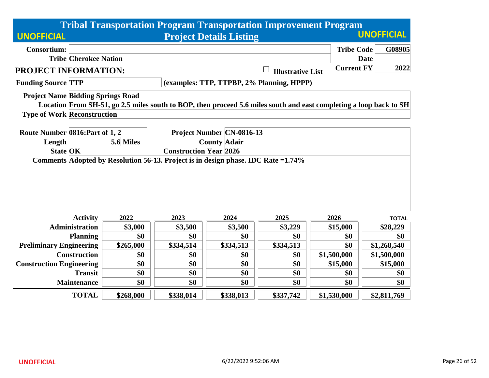|                                          |                              |                                                                                                                     |           |                                  | <b>Tribal Transportation Program Transportation Improvement Program</b>                                            |                   |                   |  |  |  |
|------------------------------------------|------------------------------|---------------------------------------------------------------------------------------------------------------------|-----------|----------------------------------|--------------------------------------------------------------------------------------------------------------------|-------------------|-------------------|--|--|--|
| <b>UNOFFICIAL</b>                        |                              |                                                                                                                     |           | <b>Project Details Listing</b>   |                                                                                                                    |                   | <b>UNOFFICIAL</b> |  |  |  |
| <b>Consortium:</b>                       |                              |                                                                                                                     |           |                                  |                                                                                                                    | <b>Tribe Code</b> | G08905            |  |  |  |
|                                          | <b>Tribe Cherokee Nation</b> |                                                                                                                     |           |                                  |                                                                                                                    |                   | <b>Date</b>       |  |  |  |
| <b>PROJECT INFORMATION:</b>              |                              |                                                                                                                     |           |                                  | <b>Illustrative List</b>                                                                                           | <b>Current FY</b> | 2022              |  |  |  |
| <b>Funding Source TTP</b>                |                              |                                                                                                                     |           |                                  | (examples: TTP, TTPBP, 2% Planning, HPPP)                                                                          |                   |                   |  |  |  |
| <b>Project Name Bidding Springs Road</b> |                              |                                                                                                                     |           |                                  |                                                                                                                    |                   |                   |  |  |  |
|                                          |                              |                                                                                                                     |           |                                  | Location From SH-51, go 2.5 miles south to BOP, then proceed 5.6 miles south and east completing a loop back to SH |                   |                   |  |  |  |
| <b>Type of Work Reconstruction</b>       |                              |                                                                                                                     |           |                                  |                                                                                                                    |                   |                   |  |  |  |
|                                          |                              |                                                                                                                     |           |                                  |                                                                                                                    |                   |                   |  |  |  |
| Route Number 0816: Part of 1, 2          |                              |                                                                                                                     |           | <b>Project Number CN-0816-13</b> |                                                                                                                    |                   |                   |  |  |  |
| Length                                   |                              | 5.6 Miles                                                                                                           |           | <b>County Adair</b>              |                                                                                                                    |                   |                   |  |  |  |
| <b>State OK</b>                          |                              | <b>Construction Year 2026</b><br>Comments Adopted by Resolution 56-13. Project is in design phase. IDC Rate = 1.74% |           |                                  |                                                                                                                    |                   |                   |  |  |  |
|                                          |                              |                                                                                                                     |           |                                  |                                                                                                                    |                   |                   |  |  |  |
|                                          |                              |                                                                                                                     |           |                                  |                                                                                                                    |                   |                   |  |  |  |
|                                          |                              |                                                                                                                     |           |                                  |                                                                                                                    |                   |                   |  |  |  |
|                                          |                              |                                                                                                                     |           |                                  |                                                                                                                    |                   |                   |  |  |  |
|                                          | <b>Activity</b>              | 2022                                                                                                                | 2023      | 2024                             | 2025                                                                                                               | 2026              | <b>TOTAL</b>      |  |  |  |
|                                          | <b>Administration</b>        | \$3,000                                                                                                             | \$3,500   | \$3,500                          | \$3,229                                                                                                            | \$15,000          | \$28,229          |  |  |  |
|                                          | <b>Planning</b>              | \$0                                                                                                                 | \$0       | \$0                              | \$0                                                                                                                | \$0               | \$0               |  |  |  |
| <b>Preliminary Engineering</b>           |                              | \$265,000                                                                                                           | \$334,514 | \$334,513                        | \$334,513                                                                                                          | \$0               | \$1,268,540       |  |  |  |
|                                          | <b>Construction</b>          | \$0                                                                                                                 | \$0       | \$0                              | \$0                                                                                                                | \$1,500,000       | \$1,500,000       |  |  |  |
| <b>Construction Engineering</b>          |                              | \$0                                                                                                                 | \$0       | \$0                              | \$0                                                                                                                | \$15,000          | \$15,000          |  |  |  |
|                                          | <b>Transit</b>               | \$0                                                                                                                 | \$0       | \$0                              | \$0                                                                                                                | \$0               | \$0               |  |  |  |
|                                          | <b>Maintenance</b>           | \$0                                                                                                                 | \$0       | \$0                              | \$0                                                                                                                | \$0               | \$0               |  |  |  |
|                                          | <b>TOTAL</b>                 | \$268,000                                                                                                           | \$338,014 | \$338,013                        | \$337,742                                                                                                          | \$1,530,000       | \$2,811,769       |  |  |  |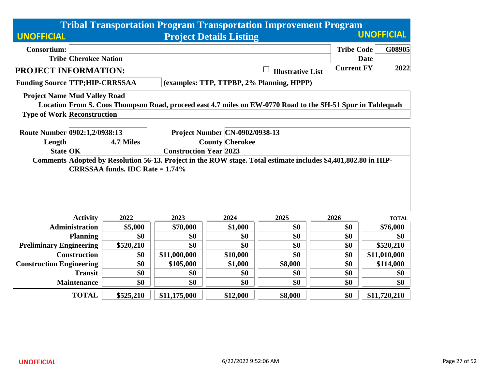|                                       |                                                                                                                |                                        |              | <b>Tribal Transportation Program Transportation Improvement Program</b>                                    |                          |                   |                   |  |  |
|---------------------------------------|----------------------------------------------------------------------------------------------------------------|----------------------------------------|--------------|------------------------------------------------------------------------------------------------------------|--------------------------|-------------------|-------------------|--|--|
| <b>UNOFFICIAL</b>                     |                                                                                                                |                                        |              | <b>Project Details Listing</b>                                                                             |                          |                   | <b>UNOFFICIAL</b> |  |  |
| <b>Consortium:</b>                    |                                                                                                                |                                        |              |                                                                                                            |                          | <b>Tribe Code</b> | G08905            |  |  |
|                                       | <b>Tribe Cherokee Nation</b>                                                                                   |                                        |              |                                                                                                            |                          |                   | <b>Date</b>       |  |  |
| PROJECT INFORMATION:                  |                                                                                                                |                                        |              |                                                                                                            | <b>Illustrative List</b> | <b>Current FY</b> | 2022              |  |  |
| <b>Funding Source TTP;HIP-CRRSSAA</b> |                                                                                                                |                                        |              | (examples: TTP, TTPBP, 2% Planning, HPPP)                                                                  |                          |                   |                   |  |  |
| <b>Project Name Mud Valley Road</b>   |                                                                                                                |                                        |              |                                                                                                            |                          |                   |                   |  |  |
|                                       |                                                                                                                |                                        |              | Location From S. Coos Thompson Road, proceed east 4.7 miles on EW-0770 Road to the SH-51 Spur in Tahlequah |                          |                   |                   |  |  |
| <b>Type of Work Reconstruction</b>    |                                                                                                                |                                        |              |                                                                                                            |                          |                   |                   |  |  |
|                                       |                                                                                                                |                                        |              |                                                                                                            |                          |                   |                   |  |  |
| Route Number 0902:1,2/0938:13         |                                                                                                                |                                        |              | <b>Project Number CN-0902/0938-13</b>                                                                      |                          |                   |                   |  |  |
| Length                                |                                                                                                                | <b>County Cherokee</b><br>4.7 Miles    |              |                                                                                                            |                          |                   |                   |  |  |
| <b>State OK</b>                       |                                                                                                                | <b>Construction Year 2023</b>          |              |                                                                                                            |                          |                   |                   |  |  |
|                                       | Comments Adopted by Resolution 56-13. Project in the ROW stage. Total estimate includes \$4,401,802.80 in HIP- |                                        |              |                                                                                                            |                          |                   |                   |  |  |
|                                       |                                                                                                                | <b>CRRSSAA funds. IDC Rate = 1.74%</b> |              |                                                                                                            |                          |                   |                   |  |  |
|                                       |                                                                                                                |                                        |              |                                                                                                            |                          |                   |                   |  |  |
|                                       |                                                                                                                |                                        |              |                                                                                                            |                          |                   |                   |  |  |
|                                       |                                                                                                                |                                        |              |                                                                                                            |                          |                   |                   |  |  |
|                                       |                                                                                                                |                                        |              |                                                                                                            |                          |                   |                   |  |  |
|                                       | <b>Activity</b>                                                                                                | 2022                                   | 2023         | 2024                                                                                                       | 2025                     | 2026              | <b>TOTAL</b>      |  |  |
|                                       | <b>Administration</b>                                                                                          | \$5,000                                | \$70,000     | \$1,000                                                                                                    | \$0                      | \$0               | \$76,000          |  |  |
|                                       | <b>Planning</b>                                                                                                | \$0                                    | \$0          | \$0                                                                                                        | \$0                      | \$0               | \$0               |  |  |
| <b>Preliminary Engineering</b>        |                                                                                                                | \$520,210                              | \$0          | \$0                                                                                                        | \$0                      | \$0               | \$520,210         |  |  |
|                                       | <b>Construction</b>                                                                                            | \$0                                    | \$11,000,000 | \$10,000                                                                                                   | \$0                      | \$0               | \$11,010,000      |  |  |
| <b>Construction Engineering</b>       |                                                                                                                | \$0                                    | \$105,000    | \$1,000                                                                                                    | \$8,000                  | \$0               | \$114,000         |  |  |
|                                       | <b>Transit</b>                                                                                                 | \$0                                    | \$0          | \$0                                                                                                        | \$0                      | \$0               | \$0               |  |  |
|                                       | Maintenance                                                                                                    | \$0                                    | \$0          | \$0                                                                                                        | \$0                      | \$0               | \$0               |  |  |
|                                       | <b>TOTAL</b>                                                                                                   | \$525,210                              | \$11,175,000 | \$12,000                                                                                                   | \$8,000                  | \$0               | \$11,720,210      |  |  |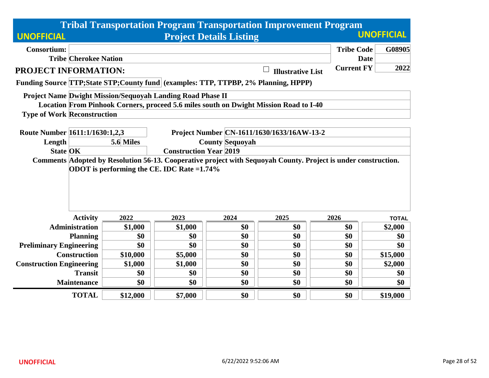| <b>Tribal Transportation Program Transportation Improvement Program</b>                                        |                                                                                    |                                     |                                                            |                                |                                                                                       |                   |                   |  |  |  |
|----------------------------------------------------------------------------------------------------------------|------------------------------------------------------------------------------------|-------------------------------------|------------------------------------------------------------|--------------------------------|---------------------------------------------------------------------------------------|-------------------|-------------------|--|--|--|
| <b>UNOFFICIAL</b>                                                                                              |                                                                                    |                                     |                                                            | <b>Project Details Listing</b> |                                                                                       |                   | <b>UNOFFICIAL</b> |  |  |  |
| <b>Consortium:</b>                                                                                             |                                                                                    |                                     |                                                            |                                |                                                                                       | <b>Tribe Code</b> | G08905            |  |  |  |
|                                                                                                                | <b>Tribe Cherokee Nation</b>                                                       |                                     |                                                            |                                |                                                                                       |                   | <b>Date</b>       |  |  |  |
| <b>PROJECT INFORMATION:</b>                                                                                    |                                                                                    |                                     |                                                            |                                | <b>Illustrative List</b>                                                              | <b>Current FY</b> | 2022              |  |  |  |
|                                                                                                                | Funding Source TTP;State STP;County fund (examples: TTP, TTPBP, 2% Planning, HPPP) |                                     |                                                            |                                |                                                                                       |                   |                   |  |  |  |
|                                                                                                                |                                                                                    |                                     | Project Name Dwight Mission/Sequoyah Landing Road Phase II |                                |                                                                                       |                   |                   |  |  |  |
|                                                                                                                |                                                                                    |                                     |                                                            |                                | Location From Pinhook Corners, proceed 5.6 miles south on Dwight Mission Road to I-40 |                   |                   |  |  |  |
| <b>Type of Work Reconstruction</b>                                                                             |                                                                                    |                                     |                                                            |                                |                                                                                       |                   |                   |  |  |  |
|                                                                                                                |                                                                                    |                                     |                                                            |                                |                                                                                       |                   |                   |  |  |  |
| Route Number 1611:1/1630:1,2,3                                                                                 |                                                                                    |                                     |                                                            |                                | Project Number CN-1611/1630/1633/16AW-13-2                                            |                   |                   |  |  |  |
| Length                                                                                                         |                                                                                    | <b>County Sequoyah</b><br>5.6 Miles |                                                            |                                |                                                                                       |                   |                   |  |  |  |
|                                                                                                                | <b>Construction Year 2019</b><br><b>State OK</b>                                   |                                     |                                                            |                                |                                                                                       |                   |                   |  |  |  |
| Comments Adopted by Resolution 56-13. Cooperative project with Sequoyah County. Project is under construction. |                                                                                    |                                     |                                                            |                                |                                                                                       |                   |                   |  |  |  |
|                                                                                                                |                                                                                    |                                     | ODOT is performing the CE. IDC Rate = 1.74%                |                                |                                                                                       |                   |                   |  |  |  |
|                                                                                                                |                                                                                    |                                     |                                                            |                                |                                                                                       |                   |                   |  |  |  |
|                                                                                                                |                                                                                    |                                     |                                                            |                                |                                                                                       |                   |                   |  |  |  |
|                                                                                                                |                                                                                    |                                     |                                                            |                                |                                                                                       |                   |                   |  |  |  |
|                                                                                                                |                                                                                    |                                     |                                                            |                                |                                                                                       |                   |                   |  |  |  |
|                                                                                                                | <b>Activity</b>                                                                    | 2022                                | 2023                                                       | 2024                           | 2025                                                                                  | 2026              | <b>TOTAL</b>      |  |  |  |
|                                                                                                                | <b>Administration</b>                                                              | \$1,000                             | \$1,000                                                    | \$0                            | \$0                                                                                   | \$0               | \$2,000           |  |  |  |
|                                                                                                                | <b>Planning</b>                                                                    | \$0                                 | \$0                                                        | \$0                            | \$0                                                                                   | \$0               | \$0               |  |  |  |
| <b>Preliminary Engineering</b>                                                                                 |                                                                                    | \$0                                 | \$0                                                        | \$0                            | \$0                                                                                   | \$0               | \$0               |  |  |  |
|                                                                                                                | <b>Construction</b>                                                                | \$10,000                            | \$5,000                                                    | \$0                            | \$0                                                                                   | \$0               | \$15,000          |  |  |  |
| <b>Construction Engineering</b>                                                                                |                                                                                    | \$1,000                             | \$1,000                                                    | \$0                            | \$0                                                                                   | \$0               | \$2,000           |  |  |  |
|                                                                                                                | <b>Transit</b>                                                                     | \$0                                 | \$0                                                        | \$0                            | \$0                                                                                   | \$0               | \$0               |  |  |  |
|                                                                                                                | <b>Maintenance</b>                                                                 | \$0                                 | \$0                                                        | \$0                            | \$0                                                                                   | \$0               | \$0               |  |  |  |
|                                                                                                                | <b>TOTAL</b>                                                                       | \$12,000                            | \$7,000                                                    | \$0                            | \$0                                                                                   | \$0               | \$19,000          |  |  |  |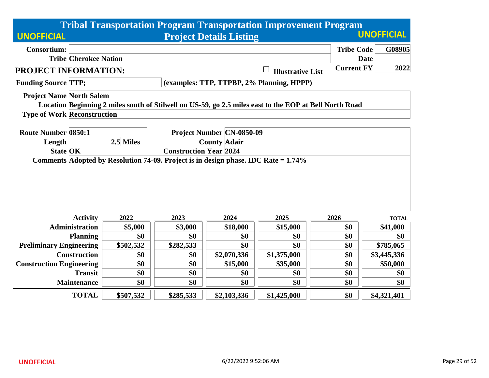|                                    |                                                                                    |                                  |           |                                  | <b>Tribal Transportation Program Transportation Improvement Program</b>                                |                   |                   |  |  |
|------------------------------------|------------------------------------------------------------------------------------|----------------------------------|-----------|----------------------------------|--------------------------------------------------------------------------------------------------------|-------------------|-------------------|--|--|
| <b>UNOFFICIAL</b>                  |                                                                                    |                                  |           | <b>Project Details Listing</b>   |                                                                                                        |                   | <b>UNOFFICIAL</b> |  |  |
| <b>Consortium:</b>                 |                                                                                    |                                  |           |                                  |                                                                                                        | <b>Tribe Code</b> | G08905            |  |  |
|                                    | <b>Tribe Cherokee Nation</b>                                                       |                                  |           |                                  |                                                                                                        | <b>Date</b>       |                   |  |  |
| PROJECT INFORMATION:               |                                                                                    |                                  |           |                                  | <b>Illustrative List</b>                                                                               | <b>Current FY</b> | 2022              |  |  |
| <b>Funding Source TTP;</b>         |                                                                                    |                                  |           |                                  | (examples: TTP, TTPBP, 2% Planning, HPPP)                                                              |                   |                   |  |  |
| <b>Project Name North Salem</b>    |                                                                                    |                                  |           |                                  |                                                                                                        |                   |                   |  |  |
|                                    |                                                                                    |                                  |           |                                  | Location Beginning 2 miles south of Stilwell on US-59, go 2.5 miles east to the EOP at Bell North Road |                   |                   |  |  |
| <b>Type of Work Reconstruction</b> |                                                                                    |                                  |           |                                  |                                                                                                        |                   |                   |  |  |
|                                    |                                                                                    |                                  |           |                                  |                                                                                                        |                   |                   |  |  |
| <b>Route Number 0850:1</b>         |                                                                                    |                                  |           | <b>Project Number CN-0850-09</b> |                                                                                                        |                   |                   |  |  |
| Length                             |                                                                                    | 2.5 Miles<br><b>County Adair</b> |           |                                  |                                                                                                        |                   |                   |  |  |
| <b>State OK</b>                    |                                                                                    | <b>Construction Year 2024</b>    |           |                                  |                                                                                                        |                   |                   |  |  |
|                                    | Comments Adopted by Resolution 74-09. Project is in design phase. IDC Rate = 1.74% |                                  |           |                                  |                                                                                                        |                   |                   |  |  |
|                                    | <b>Activity</b>                                                                    | 2022                             | 2023      | 2024                             | 2025                                                                                                   | 2026              | <b>TOTAL</b>      |  |  |
|                                    | <b>Administration</b>                                                              | \$5,000                          | \$3,000   | \$18,000                         | \$15,000                                                                                               | \$0               | \$41,000          |  |  |
|                                    | <b>Planning</b>                                                                    | \$0                              | \$0       | \$0                              | \$0                                                                                                    | \$0               | \$0               |  |  |
| <b>Preliminary Engineering</b>     |                                                                                    | \$502,532                        | \$282,533 | \$0                              | \$0                                                                                                    | \$0               | \$785,065         |  |  |
|                                    | <b>Construction</b>                                                                | \$0                              | \$0       | \$2,070,336                      | \$1,375,000                                                                                            | \$0               | \$3,445,336       |  |  |
| <b>Construction Engineering</b>    |                                                                                    | \$0                              | \$0       | \$15,000                         | \$35,000                                                                                               | \$0               | \$50,000          |  |  |
|                                    | <b>Transit</b>                                                                     | \$0                              | \$0       | \$0                              | \$0                                                                                                    | \$0               | \$0               |  |  |
|                                    | Maintenance                                                                        | \$0                              | \$0       | \$0                              | \$0                                                                                                    | \$0               | \$0               |  |  |
|                                    | <b>TOTAL</b>                                                                       | \$507,532                        | \$285,533 | \$2,103,336                      | \$1,425,000                                                                                            | \$0               | \$4,321,401       |  |  |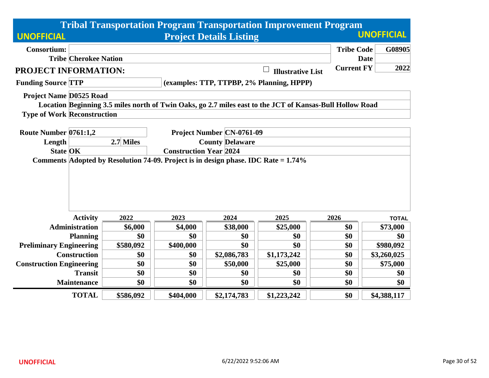|                                    |                                                                                    |                                     |           |                                | <b>Tribal Transportation Program Transportation Improvement Program</b>                                  |                   |                   |  |  |
|------------------------------------|------------------------------------------------------------------------------------|-------------------------------------|-----------|--------------------------------|----------------------------------------------------------------------------------------------------------|-------------------|-------------------|--|--|
| <b>UNOFFICIAL</b>                  |                                                                                    |                                     |           | <b>Project Details Listing</b> |                                                                                                          |                   | <b>UNOFFICIAL</b> |  |  |
| <b>Consortium:</b>                 |                                                                                    |                                     |           |                                |                                                                                                          | <b>Tribe Code</b> | G08905            |  |  |
|                                    | <b>Tribe Cherokee Nation</b>                                                       |                                     |           |                                |                                                                                                          |                   | <b>Date</b>       |  |  |
| PROJECT INFORMATION:               |                                                                                    |                                     |           |                                | <b>Illustrative List</b>                                                                                 | <b>Current FY</b> | 2022              |  |  |
| <b>Funding Source TTP</b>          |                                                                                    |                                     |           |                                | (examples: TTP, TTPBP, 2% Planning, HPPP)                                                                |                   |                   |  |  |
| <b>Project Name D0525 Road</b>     |                                                                                    |                                     |           |                                |                                                                                                          |                   |                   |  |  |
|                                    |                                                                                    |                                     |           |                                | Location Beginning 3.5 miles north of Twin Oaks, go 2.7 miles east to the JCT of Kansas-Bull Hollow Road |                   |                   |  |  |
| <b>Type of Work Reconstruction</b> |                                                                                    |                                     |           |                                |                                                                                                          |                   |                   |  |  |
|                                    |                                                                                    |                                     |           |                                |                                                                                                          |                   |                   |  |  |
| Route Number 0761:1,2              |                                                                                    | <b>Project Number CN-0761-09</b>    |           |                                |                                                                                                          |                   |                   |  |  |
| Length                             |                                                                                    | 2.7 Miles<br><b>County Delaware</b> |           |                                |                                                                                                          |                   |                   |  |  |
|                                    | <b>State OK</b><br><b>Construction Year 2024</b>                                   |                                     |           |                                |                                                                                                          |                   |                   |  |  |
|                                    | Comments Adopted by Resolution 74-09. Project is in design phase. IDC Rate = 1.74% |                                     |           |                                |                                                                                                          |                   |                   |  |  |
|                                    |                                                                                    |                                     |           |                                |                                                                                                          |                   |                   |  |  |
|                                    |                                                                                    |                                     |           |                                |                                                                                                          |                   |                   |  |  |
|                                    |                                                                                    |                                     |           |                                |                                                                                                          |                   |                   |  |  |
|                                    |                                                                                    |                                     |           |                                |                                                                                                          |                   |                   |  |  |
|                                    | <b>Activity</b>                                                                    | 2022                                | 2023      | 2024                           | 2025                                                                                                     | 2026              | <b>TOTAL</b>      |  |  |
|                                    | <b>Administration</b>                                                              | \$6,000                             | \$4,000   | \$38,000                       | \$25,000                                                                                                 | \$0               | \$73,000          |  |  |
|                                    | <b>Planning</b>                                                                    | \$0                                 | \$0       | \$0                            | \$0                                                                                                      | \$0               | \$0               |  |  |
| <b>Preliminary Engineering</b>     |                                                                                    | \$580,092                           | \$400,000 | \$0                            | \$0                                                                                                      | \$0               | \$980,092         |  |  |
|                                    | <b>Construction</b>                                                                | \$0                                 | \$0       | \$2,086,783                    | \$1,173,242                                                                                              | \$0               | \$3,260,025       |  |  |
| <b>Construction Engineering</b>    |                                                                                    | \$0                                 | \$0       | \$50,000                       | \$25,000                                                                                                 | \$0               | \$75,000          |  |  |
|                                    | <b>Transit</b>                                                                     | \$0                                 | \$0       | \$0                            | \$0                                                                                                      | \$0               | \$0               |  |  |
|                                    | Maintenance                                                                        | \$0                                 | \$0       | \$0                            | \$0                                                                                                      | \$0               | \$0               |  |  |
|                                    | <b>TOTAL</b>                                                                       | \$586,092                           | \$404,000 | \$2,174,783                    | \$1,223,242                                                                                              | \$0               | \$4,388,117       |  |  |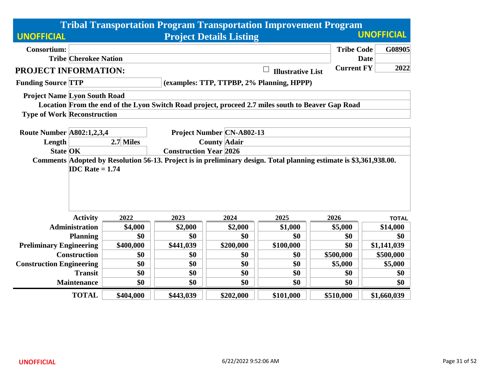|                                                                                                                    |           |                               |                                  | <b>Tribal Transportation Program Transportation Improvement Program</b> |                   |                   |
|--------------------------------------------------------------------------------------------------------------------|-----------|-------------------------------|----------------------------------|-------------------------------------------------------------------------|-------------------|-------------------|
| <b>UNOFFICIAL</b>                                                                                                  |           |                               | <b>Project Details Listing</b>   |                                                                         |                   | <b>UNOFFICIAL</b> |
| <b>Consortium:</b>                                                                                                 |           |                               |                                  |                                                                         | <b>Tribe Code</b> | G08905            |
| <b>Tribe Cherokee Nation</b>                                                                                       |           |                               |                                  |                                                                         |                   | <b>Date</b>       |
| PROJECT INFORMATION:                                                                                               |           |                               |                                  | <b>Illustrative List</b>                                                | <b>Current FY</b> | 2022              |
| <b>Funding Source TTP</b>                                                                                          |           |                               |                                  | (examples: TTP, TTPBP, 2% Planning, HPPP)                               |                   |                   |
| <b>Project Name Lyon South Road</b>                                                                                |           |                               |                                  |                                                                         |                   |                   |
| Location From the end of the Lyon Switch Road project, proceed 2.7 miles south to Beaver Gap Road                  |           |                               |                                  |                                                                         |                   |                   |
| <b>Type of Work Reconstruction</b>                                                                                 |           |                               |                                  |                                                                         |                   |                   |
| <b>Route Number A802:1,2,3,4</b>                                                                                   |           |                               | <b>Project Number CN-A802-13</b> |                                                                         |                   |                   |
| Length                                                                                                             | 2.7 Miles |                               | <b>County Adair</b>              |                                                                         |                   |                   |
| <b>State OK</b>                                                                                                    |           | <b>Construction Year 2026</b> |                                  |                                                                         |                   |                   |
| Comments Adopted by Resolution 56-13. Project is in preliminary design. Total planning estimate is \$3,361,938.00. |           |                               |                                  |                                                                         |                   |                   |
| <b>IDC</b> Rate $= 1.74$                                                                                           |           |                               |                                  |                                                                         |                   |                   |
|                                                                                                                    |           |                               |                                  |                                                                         |                   |                   |
|                                                                                                                    |           |                               |                                  |                                                                         |                   |                   |
|                                                                                                                    |           |                               |                                  |                                                                         |                   |                   |
|                                                                                                                    |           |                               |                                  |                                                                         |                   |                   |
| <b>Activity</b>                                                                                                    | 2022      | 2023                          | 2024                             | 2025                                                                    | 2026              | <b>TOTAL</b>      |
| <b>Administration</b>                                                                                              | \$4,000   | \$2,000                       | \$2,000                          | \$1,000                                                                 | \$5,000           | \$14,000          |
| <b>Planning</b>                                                                                                    | \$0       | \$0                           | \$0                              | \$0                                                                     | \$0               | \$0               |
| <b>Preliminary Engineering</b>                                                                                     | \$400,000 | \$441,039                     | \$200,000                        | \$100,000                                                               | \$0               | \$1,141,039       |
| <b>Construction</b>                                                                                                | \$0       | \$0                           | \$0                              | \$0                                                                     | \$500,000         | \$500,000         |
| <b>Construction Engineering</b>                                                                                    | \$0       | \$0                           | \$0                              | \$0                                                                     | \$5,000           | \$5,000           |
| <b>Transit</b>                                                                                                     | \$0       | \$0                           | \$0                              | \$0                                                                     | \$0               | \$0               |
| <b>Maintenance</b>                                                                                                 | \$0       | \$0                           | \$0                              | \$0                                                                     | \$0               | \$0               |
| <b>TOTAL</b>                                                                                                       | \$404,000 | \$443,039                     | \$202,000                        | \$101,000                                                               | \$510,000         | \$1,660,039       |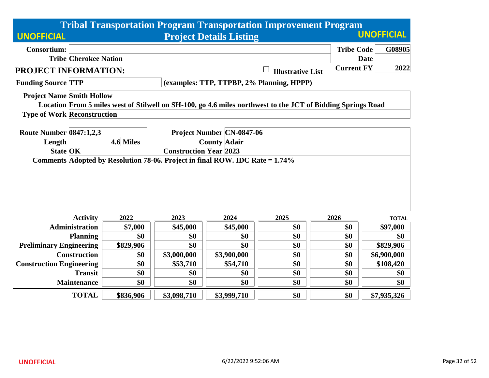|                                                                              |           |                               |                                  | <b>Tribal Transportation Program Transportation Improvement Program</b>                                     |                   |                   |
|------------------------------------------------------------------------------|-----------|-------------------------------|----------------------------------|-------------------------------------------------------------------------------------------------------------|-------------------|-------------------|
| <b>UNOFFICIAL</b>                                                            |           |                               | <b>Project Details Listing</b>   |                                                                                                             |                   | <b>UNOFFICIAL</b> |
| <b>Consortium:</b>                                                           |           |                               |                                  |                                                                                                             | <b>Tribe Code</b> | G08905            |
| <b>Tribe Cherokee Nation</b>                                                 |           |                               |                                  |                                                                                                             | <b>Date</b>       |                   |
| <b>PROJECT INFORMATION:</b>                                                  |           |                               |                                  | <b>Illustrative List</b>                                                                                    | <b>Current FY</b> | 2022              |
| <b>Funding Source TTP</b>                                                    |           |                               |                                  | (examples: TTP, TTPBP, 2% Planning, HPPP)                                                                   |                   |                   |
| <b>Project Name Smith Hollow</b>                                             |           |                               |                                  |                                                                                                             |                   |                   |
|                                                                              |           |                               |                                  | Location From 5 miles west of Stilwell on SH-100, go 4.6 miles northwest to the JCT of Bidding Springs Road |                   |                   |
| <b>Type of Work Reconstruction</b>                                           |           |                               |                                  |                                                                                                             |                   |                   |
| <b>Route Number 0847:1,2,3</b>                                               |           |                               | <b>Project Number CN-0847-06</b> |                                                                                                             |                   |                   |
| Length                                                                       | 4.6 Miles |                               | <b>County Adair</b>              |                                                                                                             |                   |                   |
| <b>State OK</b>                                                              |           | <b>Construction Year 2023</b> |                                  |                                                                                                             |                   |                   |
| Comments Adopted by Resolution 78-06. Project in final ROW. IDC Rate = 1.74% |           |                               |                                  |                                                                                                             |                   |                   |
|                                                                              |           |                               |                                  |                                                                                                             |                   |                   |
|                                                                              |           |                               |                                  |                                                                                                             |                   |                   |
|                                                                              |           |                               |                                  |                                                                                                             |                   |                   |
|                                                                              |           |                               |                                  |                                                                                                             |                   |                   |
|                                                                              |           |                               |                                  |                                                                                                             |                   |                   |
| <b>Activity</b>                                                              | 2022      | 2023                          | 2024                             | 2025                                                                                                        | 2026              | <b>TOTAL</b>      |
| <b>Administration</b>                                                        | \$7,000   | \$45,000                      | \$45,000                         | \$0                                                                                                         | \$0               | \$97,000          |
| <b>Planning</b>                                                              | \$0       | \$0                           | \$0                              | \$0                                                                                                         | \$0               | \$0               |
| <b>Preliminary Engineering</b>                                               | \$829,906 | \$0                           | \$0                              | \$0                                                                                                         | \$0               | \$829,906         |
| <b>Construction</b>                                                          | \$0       | \$3,000,000                   | \$3,900,000                      | \$0                                                                                                         | \$0               | \$6,900,000       |
| <b>Construction Engineering</b>                                              | \$0       | \$53,710                      | \$54,710                         | \$0                                                                                                         | \$0               | \$108,420         |
| <b>Transit</b>                                                               | \$0       | \$0                           | \$0                              | \$0                                                                                                         | \$0               | \$0               |
| <b>Maintenance</b>                                                           | \$0       | \$0                           | \$0                              | \$0                                                                                                         | \$0               | \$0               |
| <b>TOTAL</b>                                                                 | \$836,906 | \$3,098,710                   | \$3,999,710                      | \$0                                                                                                         | \$0               | \$7,935,326       |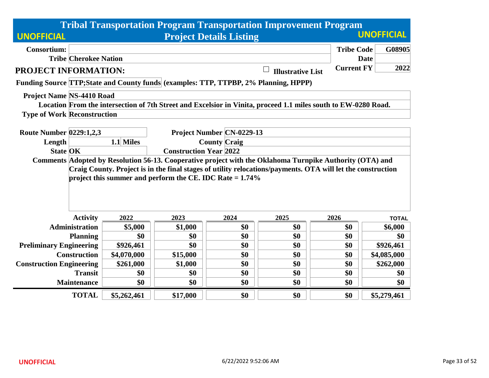|                                    |                                                                                                                                           |                                  |                                                             |                                | <b>Tribal Transportation Program Transportation Improvement Program</b>                                        |                   |                   |  |  |
|------------------------------------|-------------------------------------------------------------------------------------------------------------------------------------------|----------------------------------|-------------------------------------------------------------|--------------------------------|----------------------------------------------------------------------------------------------------------------|-------------------|-------------------|--|--|
| <b>UNOFFICIAL</b>                  |                                                                                                                                           |                                  |                                                             | <b>Project Details Listing</b> |                                                                                                                |                   | <b>UNOFFICIAL</b> |  |  |
| <b>Consortium:</b>                 |                                                                                                                                           |                                  |                                                             |                                |                                                                                                                | <b>Tribe Code</b> | G08905            |  |  |
|                                    | <b>Tribe Cherokee Nation</b>                                                                                                              |                                  |                                                             |                                |                                                                                                                |                   | <b>Date</b>       |  |  |
| PROJECT INFORMATION:               |                                                                                                                                           |                                  |                                                             |                                | <b>Illustrative List</b>                                                                                       | <b>Current FY</b> | 2022              |  |  |
|                                    |                                                                                                                                           |                                  |                                                             |                                | Funding Source TTP; State and County funds (examples: TTP, TTPBP, 2% Planning, HPPP)                           |                   |                   |  |  |
| <b>Project Name NS-4410 Road</b>   |                                                                                                                                           |                                  |                                                             |                                |                                                                                                                |                   |                   |  |  |
|                                    |                                                                                                                                           |                                  |                                                             |                                | Location From the intersection of 7th Street and Excelsior in Vinita, proceed 1.1 miles south to EW-0280 Road. |                   |                   |  |  |
| <b>Type of Work Reconstruction</b> |                                                                                                                                           |                                  |                                                             |                                |                                                                                                                |                   |                   |  |  |
|                                    |                                                                                                                                           |                                  |                                                             |                                |                                                                                                                |                   |                   |  |  |
| <b>Route Number 0229:1,2,3</b>     |                                                                                                                                           | Project Number   CN-0229-13      |                                                             |                                |                                                                                                                |                   |                   |  |  |
| Length                             |                                                                                                                                           | 1.1 Miles<br><b>County Craig</b> |                                                             |                                |                                                                                                                |                   |                   |  |  |
| <b>State OK</b>                    | <b>Construction Year 2022</b><br>Comments Adopted by Resolution 56-13. Cooperative project with the Oklahoma Turnpike Authority (OTA) and |                                  |                                                             |                                |                                                                                                                |                   |                   |  |  |
|                                    |                                                                                                                                           |                                  |                                                             |                                | Craig County. Project is in the final stages of utility relocations/payments. OTA will let the construction    |                   |                   |  |  |
|                                    |                                                                                                                                           |                                  | project this summer and perform the CE. IDC Rate $= 1.74\%$ |                                |                                                                                                                |                   |                   |  |  |
|                                    |                                                                                                                                           |                                  |                                                             |                                |                                                                                                                |                   |                   |  |  |
|                                    |                                                                                                                                           |                                  |                                                             |                                |                                                                                                                |                   |                   |  |  |
|                                    |                                                                                                                                           |                                  |                                                             |                                |                                                                                                                |                   |                   |  |  |
|                                    | <b>Activity</b>                                                                                                                           | 2022                             | 2023                                                        | 2024                           | 2025                                                                                                           | 2026              | <b>TOTAL</b>      |  |  |
|                                    | Administration                                                                                                                            | \$5,000                          | \$1,000                                                     | \$0                            | \$0                                                                                                            | \$0               | \$6,000           |  |  |
|                                    | <b>Planning</b>                                                                                                                           | \$0                              | \$0                                                         | \$0                            | \$0                                                                                                            | \$0               | \$0               |  |  |
| <b>Preliminary Engineering</b>     |                                                                                                                                           | \$926,461                        | \$0                                                         | \$0                            | \$0                                                                                                            | \$0               | \$926,461         |  |  |
|                                    | <b>Construction</b>                                                                                                                       | \$4,070,000                      | \$15,000                                                    | \$0                            | \$0                                                                                                            | \$0               | \$4,085,000       |  |  |
| <b>Construction Engineering</b>    |                                                                                                                                           | \$261,000                        | \$1,000                                                     | \$0                            | \$0                                                                                                            | \$0               | \$262,000         |  |  |
|                                    | <b>Transit</b>                                                                                                                            | \$0                              | \$0                                                         | \$0                            | \$0                                                                                                            | \$0               | \$0               |  |  |
|                                    | <b>Maintenance</b>                                                                                                                        | \$0                              | \$0                                                         | \$0                            | \$0                                                                                                            | \$0               | \$0               |  |  |
|                                    | <b>TOTAL</b>                                                                                                                              | \$5,262,461                      | \$17,000                                                    | \$0                            | \$0                                                                                                            | \$0               | \$5,279,461       |  |  |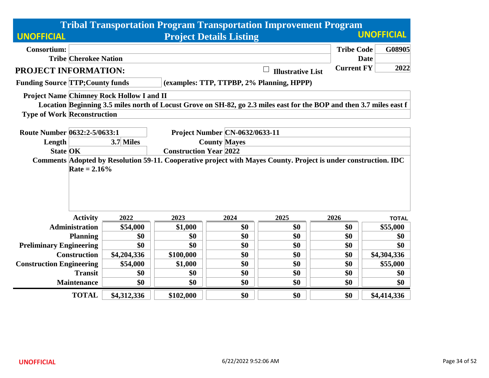|                                         |                              |                                                                                                                                                  |           |                                       | <b>Tribal Transportation Program Transportation Improvement Program</b>                                              |                   |                   |  |  |  |
|-----------------------------------------|------------------------------|--------------------------------------------------------------------------------------------------------------------------------------------------|-----------|---------------------------------------|----------------------------------------------------------------------------------------------------------------------|-------------------|-------------------|--|--|--|
| <b>UNOFFICIAL</b>                       |                              |                                                                                                                                                  |           | <b>Project Details Listing</b>        |                                                                                                                      |                   | <b>UNOFFICIAL</b> |  |  |  |
| <b>Consortium:</b>                      |                              |                                                                                                                                                  |           |                                       |                                                                                                                      | <b>Tribe Code</b> | G08905            |  |  |  |
|                                         | <b>Tribe Cherokee Nation</b> |                                                                                                                                                  |           |                                       |                                                                                                                      |                   | <b>Date</b>       |  |  |  |
| PROJECT INFORMATION:                    |                              |                                                                                                                                                  |           |                                       | <b>Illustrative List</b>                                                                                             | <b>Current FY</b> | 2022              |  |  |  |
| <b>Funding Source TTP; County funds</b> |                              |                                                                                                                                                  |           |                                       | (examples: TTP, TTPBP, 2% Planning, HPPP)                                                                            |                   |                   |  |  |  |
|                                         |                              | <b>Project Name Chimney Rock Hollow I and II</b>                                                                                                 |           |                                       |                                                                                                                      |                   |                   |  |  |  |
|                                         |                              |                                                                                                                                                  |           |                                       | Location Beginning 3.5 miles north of Locust Grove on SH-82, go 2.3 miles east for the BOP and then 3.7 miles east f |                   |                   |  |  |  |
| <b>Type of Work Reconstruction</b>      |                              |                                                                                                                                                  |           |                                       |                                                                                                                      |                   |                   |  |  |  |
|                                         |                              |                                                                                                                                                  |           |                                       |                                                                                                                      |                   |                   |  |  |  |
| Route Number 0632:2-5/0633:1            |                              |                                                                                                                                                  |           | <b>Project Number CN-0632/0633-11</b> |                                                                                                                      |                   |                   |  |  |  |
| Length                                  |                              | 3.7 Miles                                                                                                                                        |           | <b>County Mayes</b>                   |                                                                                                                      |                   |                   |  |  |  |
| <b>State OK</b>                         |                              | <b>Construction Year 2022</b><br>Comments Adopted by Resolution 59-11. Cooperative project with Mayes County. Project is under construction. IDC |           |                                       |                                                                                                                      |                   |                   |  |  |  |
|                                         | Rate = $2.16\%$              |                                                                                                                                                  |           |                                       |                                                                                                                      |                   |                   |  |  |  |
|                                         | <b>Activity</b>              | 2022                                                                                                                                             | 2023      | 2024                                  | 2025                                                                                                                 | 2026              | <b>TOTAL</b>      |  |  |  |
|                                         | <b>Administration</b>        | \$54,000                                                                                                                                         | \$1,000   | \$0                                   | \$0                                                                                                                  | \$0               | \$55,000          |  |  |  |
|                                         | <b>Planning</b>              | \$0                                                                                                                                              | \$0       | \$0                                   | \$0                                                                                                                  | \$0               | \$0               |  |  |  |
| <b>Preliminary Engineering</b>          |                              | \$0                                                                                                                                              | \$0       | \$0                                   | \$0                                                                                                                  | \$0               | \$0               |  |  |  |
|                                         | <b>Construction</b>          | \$4,204,336                                                                                                                                      | \$100,000 | \$0                                   | \$0                                                                                                                  | \$0               | \$4,304,336       |  |  |  |
| <b>Construction Engineering</b>         |                              | \$54,000                                                                                                                                         | \$1,000   | \$0                                   | \$0                                                                                                                  | \$0               | \$55,000          |  |  |  |
|                                         | <b>Transit</b>               | \$0                                                                                                                                              | \$0       | \$0                                   | \$0                                                                                                                  | \$0               | \$0               |  |  |  |
|                                         | <b>Maintenance</b>           | \$0                                                                                                                                              | \$0       | \$0                                   | \$0                                                                                                                  | \$0               | \$0               |  |  |  |
|                                         | <b>TOTAL</b>                 | \$4,312,336                                                                                                                                      | \$102,000 | \$0                                   | \$0                                                                                                                  | \$0               | \$4,414,336       |  |  |  |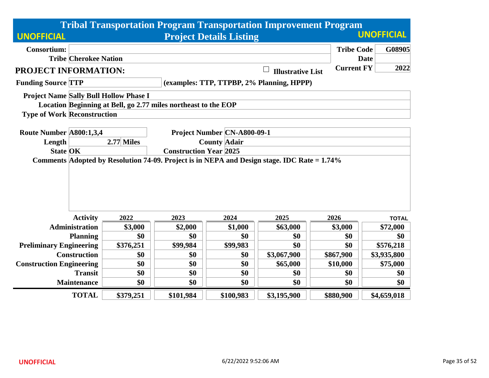|                                    |                              |                                                                                                                              |           |                                | <b>Tribal Transportation Program Transportation Improvement Program</b> |                   |                   |  |  |
|------------------------------------|------------------------------|------------------------------------------------------------------------------------------------------------------------------|-----------|--------------------------------|-------------------------------------------------------------------------|-------------------|-------------------|--|--|
| <b>UNOFFICIAL</b>                  |                              |                                                                                                                              |           | <b>Project Details Listing</b> |                                                                         |                   | <b>UNOFFICIAL</b> |  |  |
| <b>Consortium:</b>                 |                              |                                                                                                                              |           |                                |                                                                         | <b>Tribe Code</b> | G08905            |  |  |
|                                    | <b>Tribe Cherokee Nation</b> |                                                                                                                              |           |                                |                                                                         | <b>Date</b>       |                   |  |  |
| <b>PROJECT INFORMATION:</b>        |                              |                                                                                                                              |           |                                | <b>Illustrative List</b>                                                | <b>Current FY</b> | 2022              |  |  |
| <b>Funding Source TTP</b>          |                              |                                                                                                                              |           |                                | (examples: TTP, TTPBP, 2% Planning, HPPP)                               |                   |                   |  |  |
|                                    |                              | <b>Project Name Sally Bull Hollow Phase I</b>                                                                                |           |                                |                                                                         |                   |                   |  |  |
|                                    |                              | Location Beginning at Bell, go 2.77 miles northeast to the EOP                                                               |           |                                |                                                                         |                   |                   |  |  |
| <b>Type of Work Reconstruction</b> |                              |                                                                                                                              |           |                                |                                                                         |                   |                   |  |  |
|                                    |                              |                                                                                                                              |           |                                |                                                                         |                   |                   |  |  |
| Route Number A800:1,3,4            |                              |                                                                                                                              |           | Project Number CN-A800-09-1    |                                                                         |                   |                   |  |  |
| Length                             |                              | 2.77 Miles<br><b>County Adair</b>                                                                                            |           |                                |                                                                         |                   |                   |  |  |
| <b>State OK</b>                    |                              | <b>Construction Year 2025</b><br>Comments Adopted by Resolution 74-09. Project is in NEPA and Design stage. IDC Rate = 1.74% |           |                                |                                                                         |                   |                   |  |  |
|                                    |                              |                                                                                                                              |           |                                |                                                                         |                   |                   |  |  |
|                                    |                              |                                                                                                                              |           |                                |                                                                         |                   |                   |  |  |
|                                    |                              |                                                                                                                              |           |                                |                                                                         |                   |                   |  |  |
|                                    |                              |                                                                                                                              |           |                                |                                                                         |                   |                   |  |  |
|                                    |                              |                                                                                                                              |           |                                |                                                                         |                   |                   |  |  |
|                                    | <b>Activity</b>              | 2022                                                                                                                         | 2023      | 2024                           | 2025                                                                    | 2026              | <b>TOTAL</b>      |  |  |
|                                    | <b>Administration</b>        | \$3,000                                                                                                                      | \$2,000   | \$1,000                        | \$63,000                                                                | \$3,000           | \$72,000          |  |  |
|                                    | <b>Planning</b>              | \$0                                                                                                                          | \$0       | \$0                            | \$0                                                                     | \$0               | \$0               |  |  |
| <b>Preliminary Engineering</b>     |                              | \$376,251                                                                                                                    | \$99,984  | \$99,983                       | \$0                                                                     | \$0               | \$576,218         |  |  |
|                                    | <b>Construction</b>          | \$0                                                                                                                          | \$0       | \$0                            | \$3,067,900                                                             | \$867,900         | \$3,935,800       |  |  |
| <b>Construction Engineering</b>    |                              | \$0                                                                                                                          | \$0       | \$0                            | \$65,000                                                                | \$10,000          | \$75,000          |  |  |
|                                    | <b>Transit</b>               | \$0                                                                                                                          | \$0       | \$0                            | \$0                                                                     | \$0               | \$0               |  |  |
|                                    | <b>Maintenance</b>           | \$0                                                                                                                          | \$0       | \$0                            | \$0                                                                     | \$0               | \$0               |  |  |
|                                    | <b>TOTAL</b>                 | \$379,251                                                                                                                    | \$101,984 | \$100,983                      | \$3,195,900                                                             | \$880,900         | \$4,659,018       |  |  |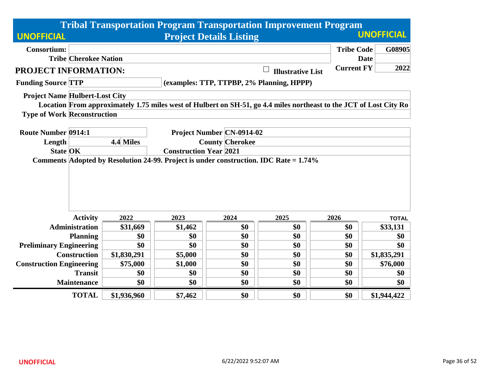|                                       |                              |             |                               |                                                            | <b>Tribal Transportation Program Transportation Improvement Program</b>                                            |                   |                   |
|---------------------------------------|------------------------------|-------------|-------------------------------|------------------------------------------------------------|--------------------------------------------------------------------------------------------------------------------|-------------------|-------------------|
| <b>UNOFFICIAL</b>                     |                              |             |                               | <b>Project Details Listing</b>                             |                                                                                                                    |                   | <b>UNOFFICIAL</b> |
| <b>Consortium:</b>                    |                              |             |                               |                                                            |                                                                                                                    | <b>Tribe Code</b> | G08905            |
|                                       | <b>Tribe Cherokee Nation</b> |             |                               |                                                            |                                                                                                                    |                   | <b>Date</b>       |
| PROJECT INFORMATION:                  |                              |             |                               |                                                            | <b>Illustrative List</b>                                                                                           | <b>Current FY</b> | 2022              |
| <b>Funding Source TTP</b>             |                              |             |                               |                                                            | (examples: TTP, TTPBP, 2% Planning, HPPP)                                                                          |                   |                   |
| <b>Project Name Hulbert-Lost City</b> |                              |             |                               |                                                            |                                                                                                                    |                   |                   |
|                                       |                              |             |                               |                                                            | Location From approximately 1.75 miles west of Hulbert on SH-51, go 4.4 miles northeast to the JCT of Lost City Ro |                   |                   |
| <b>Type of Work Reconstruction</b>    |                              |             |                               |                                                            |                                                                                                                    |                   |                   |
| <b>Route Number 0914:1</b>            |                              |             |                               |                                                            |                                                                                                                    |                   |                   |
|                                       |                              | 4.4 Miles   |                               | <b>Project Number CN-0914-02</b><br><b>County Cherokee</b> |                                                                                                                    |                   |                   |
| Length<br><b>State OK</b>             |                              |             | <b>Construction Year 2021</b> |                                                            |                                                                                                                    |                   |                   |
|                                       |                              |             |                               |                                                            | Comments Adopted by Resolution 24-99. Project is under construction. IDC Rate = 1.74%                              |                   |                   |
|                                       |                              |             |                               |                                                            |                                                                                                                    |                   |                   |
|                                       | <b>Activity</b>              | 2022        | 2023                          | 2024                                                       | 2025                                                                                                               | 2026              | <b>TOTAL</b>      |
|                                       | <b>Administration</b>        | \$31,669    | \$1,462                       | \$0                                                        | \$0                                                                                                                | \$0               | \$33,131          |
|                                       | <b>Planning</b>              | \$0         | \$0                           | \$0                                                        | \$0                                                                                                                | \$0               | \$0               |
| <b>Preliminary Engineering</b>        |                              | \$0         | \$0                           | \$0                                                        | \$0                                                                                                                | \$0               | \$0               |
|                                       | <b>Construction</b>          | \$1,830,291 | \$5,000                       | \$0                                                        | \$0                                                                                                                | \$0               | \$1,835,291       |
| <b>Construction Engineering</b>       |                              | \$75,000    | \$1,000                       | \$0                                                        | \$0                                                                                                                | \$0               | \$76,000          |
|                                       | <b>Transit</b>               | \$0         | \$0                           | \$0                                                        | \$0                                                                                                                | \$0               | \$0               |
|                                       | <b>Maintenance</b>           | \$0         | \$0                           | \$0                                                        | \$0                                                                                                                | \$0               | \$0               |
|                                       | <b>TOTAL</b>                 | \$1,936,960 | \$7,462                       | \$0                                                        | \$0                                                                                                                | \$0               | \$1,944,422       |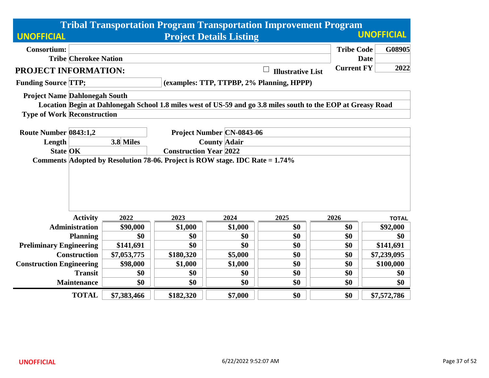|                                      |                                                                                                               |             |           |                                  | <b>Tribal Transportation Program Transportation Improvement Program</b>                                      |                   |                   |  |
|--------------------------------------|---------------------------------------------------------------------------------------------------------------|-------------|-----------|----------------------------------|--------------------------------------------------------------------------------------------------------------|-------------------|-------------------|--|
| <b>UNOFFICIAL</b>                    |                                                                                                               |             |           | <b>Project Details Listing</b>   |                                                                                                              |                   | <b>UNOFFICIAL</b> |  |
| <b>Consortium:</b>                   |                                                                                                               |             |           |                                  |                                                                                                              | <b>Tribe Code</b> | G08905            |  |
|                                      | <b>Tribe Cherokee Nation</b>                                                                                  |             |           |                                  |                                                                                                              | <b>Date</b>       |                   |  |
| PROJECT INFORMATION:                 |                                                                                                               |             |           |                                  | <b>Illustrative List</b>                                                                                     | <b>Current FY</b> | 2022              |  |
| <b>Funding Source TTP;</b>           |                                                                                                               |             |           |                                  | (examples: TTP, TTPBP, 2% Planning, HPPP)                                                                    |                   |                   |  |
| <b>Project Name Dahlonegah South</b> |                                                                                                               |             |           |                                  |                                                                                                              |                   |                   |  |
|                                      |                                                                                                               |             |           |                                  | Location Begin at Dahlonegah School 1.8 miles west of US-59 and go 3.8 miles south to the EOP at Greasy Road |                   |                   |  |
| <b>Type of Work Reconstruction</b>   |                                                                                                               |             |           |                                  |                                                                                                              |                   |                   |  |
|                                      |                                                                                                               |             |           |                                  |                                                                                                              |                   |                   |  |
| Route Number 0843:1,2                |                                                                                                               | 3.8 Miles   |           | <b>Project Number CN-0843-06</b> |                                                                                                              |                   |                   |  |
| Length                               |                                                                                                               |             |           | <b>County Adair</b>              |                                                                                                              |                   |                   |  |
| <b>State OK</b>                      | <b>Construction Year 2022</b><br>Comments Adopted by Resolution 78-06. Project is ROW stage. IDC Rate = 1.74% |             |           |                                  |                                                                                                              |                   |                   |  |
|                                      |                                                                                                               |             |           |                                  |                                                                                                              |                   |                   |  |
|                                      | <b>Activity</b>                                                                                               | 2022        | 2023      | 2024                             | 2025                                                                                                         | 2026              | <b>TOTAL</b>      |  |
|                                      | <b>Administration</b>                                                                                         | \$90,000    | \$1,000   | \$1,000                          | \$0                                                                                                          | \$0               | \$92,000          |  |
|                                      | <b>Planning</b>                                                                                               | \$0         | \$0       | \$0                              | \$0                                                                                                          | \$0               | \$0               |  |
| <b>Preliminary Engineering</b>       |                                                                                                               | \$141,691   | \$0       | \$0                              | \$0                                                                                                          | \$0               | \$141,691         |  |
|                                      | <b>Construction</b>                                                                                           | \$7,053,775 | \$180,320 | \$5,000                          | \$0                                                                                                          | \$0               | \$7,239,095       |  |
| <b>Construction Engineering</b>      |                                                                                                               | \$98,000    | \$1,000   | \$1,000                          | \$0                                                                                                          | \$0               | \$100,000         |  |
|                                      | <b>Transit</b>                                                                                                | \$0         | \$0       | \$0                              | \$0                                                                                                          | \$0               | \$0               |  |
|                                      | <b>Maintenance</b>                                                                                            | \$0         | \$0       | \$0                              | \$0                                                                                                          | \$0               | \$0               |  |
|                                      | <b>TOTAL</b>                                                                                                  | \$7,383,466 | \$182,320 | \$7,000                          | \$0                                                                                                          | \$0               | \$7,572,786       |  |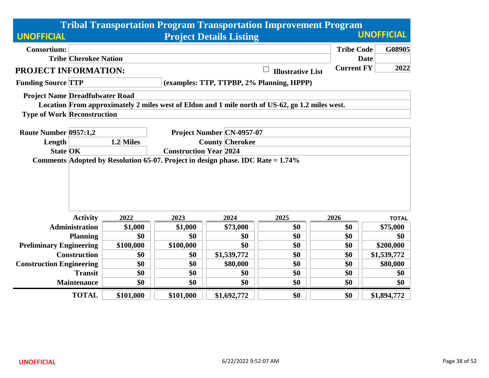|                                        |                                                                                                                                     |           |                        |                                  | <b>Tribal Transportation Program Transportation Improvement Program</b>                         |                   |                   |  |  |
|----------------------------------------|-------------------------------------------------------------------------------------------------------------------------------------|-----------|------------------------|----------------------------------|-------------------------------------------------------------------------------------------------|-------------------|-------------------|--|--|
| <b>UNOFFICIAL</b>                      |                                                                                                                                     |           |                        | <b>Project Details Listing</b>   |                                                                                                 |                   | <b>UNOFFICIAL</b> |  |  |
| <b>Consortium:</b>                     |                                                                                                                                     |           |                        |                                  |                                                                                                 | <b>Tribe Code</b> | G08905            |  |  |
|                                        | <b>Tribe Cherokee Nation</b>                                                                                                        |           |                        |                                  |                                                                                                 |                   | <b>Date</b>       |  |  |
| <b>PROJECT INFORMATION:</b>            |                                                                                                                                     |           |                        |                                  | <b>Illustrative List</b>                                                                        | <b>Current FY</b> | 2022              |  |  |
| <b>Funding Source TTP</b>              |                                                                                                                                     |           |                        |                                  | (examples: TTP, TTPBP, 2% Planning, HPPP)                                                       |                   |                   |  |  |
| <b>Project Name Dreadfulwater Road</b> |                                                                                                                                     |           |                        |                                  |                                                                                                 |                   |                   |  |  |
|                                        |                                                                                                                                     |           |                        |                                  | Location From approximately 2 miles west of Eldon and 1 mile north of US-62, go 1.2 miles west. |                   |                   |  |  |
| <b>Type of Work Reconstruction</b>     |                                                                                                                                     |           |                        |                                  |                                                                                                 |                   |                   |  |  |
|                                        |                                                                                                                                     |           |                        |                                  |                                                                                                 |                   |                   |  |  |
| Route Number 0957:1,2                  |                                                                                                                                     | 1.2 Miles |                        | <b>Project Number CN-0957-07</b> |                                                                                                 |                   |                   |  |  |
| Length                                 |                                                                                                                                     |           | <b>County Cherokee</b> |                                  |                                                                                                 |                   |                   |  |  |
|                                        | <b>State OK</b><br><b>Construction Year 2024</b><br>Comments Adopted by Resolution 65-07. Project in design phase. IDC Rate = 1.74% |           |                        |                                  |                                                                                                 |                   |                   |  |  |
|                                        |                                                                                                                                     |           |                        |                                  |                                                                                                 |                   |                   |  |  |
|                                        |                                                                                                                                     |           |                        |                                  |                                                                                                 |                   |                   |  |  |
|                                        |                                                                                                                                     |           |                        |                                  |                                                                                                 |                   |                   |  |  |
|                                        |                                                                                                                                     |           |                        |                                  |                                                                                                 |                   |                   |  |  |
|                                        | <b>Activity</b>                                                                                                                     | 2022      | 2023                   | 2024                             | 2025                                                                                            | 2026              | <b>TOTAL</b>      |  |  |
|                                        | <b>Administration</b>                                                                                                               | \$1,000   | \$1,000                | \$73,000                         | \$0                                                                                             | \$0               | \$75,000          |  |  |
|                                        | <b>Planning</b>                                                                                                                     | \$0       | \$0                    | \$0                              | \$0                                                                                             | \$0               | \$0               |  |  |
| <b>Preliminary Engineering</b>         |                                                                                                                                     | \$100,000 | \$100,000              | \$0                              | \$0                                                                                             | \$0               | \$200,000         |  |  |
|                                        | <b>Construction</b>                                                                                                                 | \$0       | \$0                    | \$1,539,772                      | \$0                                                                                             | \$0               | \$1,539,772       |  |  |
| <b>Construction Engineering</b>        |                                                                                                                                     | \$0       | \$0                    | \$80,000                         | \$0                                                                                             | \$0               | \$80,000          |  |  |
|                                        | <b>Transit</b>                                                                                                                      | \$0       | \$0                    | \$0                              | \$0                                                                                             | \$0               | \$0               |  |  |
|                                        | <b>Maintenance</b>                                                                                                                  | \$0       | \$0                    | \$0                              | \$0                                                                                             | \$0               | \$0               |  |  |
|                                        | <b>TOTAL</b>                                                                                                                        | \$101,000 | \$101,000              | \$1,692,772                      | \$0                                                                                             | \$0               | \$1,894,772       |  |  |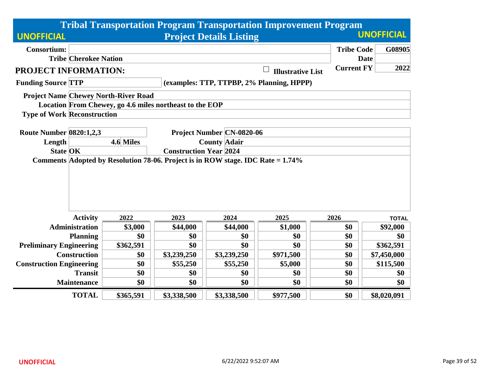|                                    |                              |                                             |                                                                                    |                                  | <b>Tribal Transportation Program Transportation Improvement Program</b> |                   |                   |  |
|------------------------------------|------------------------------|---------------------------------------------|------------------------------------------------------------------------------------|----------------------------------|-------------------------------------------------------------------------|-------------------|-------------------|--|
| <b>UNOFFICIAL</b>                  |                              |                                             |                                                                                    | <b>Project Details Listing</b>   |                                                                         |                   | <b>UNOFFICIAL</b> |  |
| <b>Consortium:</b>                 |                              |                                             |                                                                                    |                                  |                                                                         | <b>Tribe Code</b> | G08905            |  |
|                                    | <b>Tribe Cherokee Nation</b> |                                             |                                                                                    |                                  |                                                                         |                   | <b>Date</b>       |  |
| PROJECT INFORMATION:               |                              |                                             |                                                                                    |                                  | <b>Illustrative List</b>                                                | <b>Current FY</b> | 2022              |  |
| <b>Funding Source TTP</b>          |                              |                                             |                                                                                    |                                  | (examples: TTP, TTPBP, 2% Planning, HPPP)                               |                   |                   |  |
|                                    |                              | <b>Project Name Chewey North-River Road</b> |                                                                                    |                                  |                                                                         |                   |                   |  |
|                                    |                              |                                             | Location From Chewey, go 4.6 miles northeast to the EOP                            |                                  |                                                                         |                   |                   |  |
| <b>Type of Work Reconstruction</b> |                              |                                             |                                                                                    |                                  |                                                                         |                   |                   |  |
| <b>Route Number 0820:1,2,3</b>     |                              |                                             |                                                                                    | <b>Project Number CN-0820-06</b> |                                                                         |                   |                   |  |
| Length                             |                              | 4.6 Miles                                   |                                                                                    | <b>County Adair</b>              |                                                                         |                   |                   |  |
| <b>State OK</b>                    |                              | <b>Construction Year 2024</b>               |                                                                                    |                                  |                                                                         |                   |                   |  |
|                                    |                              |                                             | Comments Adopted by Resolution 78-06. Project is in ROW stage. IDC Rate $= 1.74\%$ |                                  |                                                                         |                   |                   |  |
|                                    |                              |                                             |                                                                                    |                                  |                                                                         |                   |                   |  |
|                                    |                              |                                             |                                                                                    |                                  |                                                                         |                   |                   |  |
|                                    |                              |                                             |                                                                                    |                                  |                                                                         |                   |                   |  |
|                                    |                              |                                             |                                                                                    |                                  |                                                                         |                   |                   |  |
|                                    | <b>Activity</b>              | 2022                                        | 2023                                                                               | 2024                             | 2025                                                                    | 2026              | <b>TOTAL</b>      |  |
|                                    | <b>Administration</b>        | \$3,000                                     | \$44,000                                                                           | \$44,000                         | \$1,000                                                                 | \$0               | \$92,000          |  |
|                                    | <b>Planning</b>              | \$0                                         | \$0                                                                                | \$0                              | \$0                                                                     | \$0               | \$0               |  |
| <b>Preliminary Engineering</b>     |                              | \$362,591                                   | \$0                                                                                | \$0                              | \$0                                                                     | \$0               | \$362,591         |  |
|                                    | <b>Construction</b>          | \$0                                         | \$3,239,250                                                                        | \$3,239,250                      | \$971,500                                                               | \$0               | \$7,450,000       |  |
| <b>Construction Engineering</b>    |                              | \$0                                         | \$55,250                                                                           | \$55,250                         | \$5,000                                                                 | \$0               | \$115,500         |  |
|                                    | <b>Transit</b>               | \$0                                         | \$0                                                                                | \$0                              | \$0                                                                     | \$0               | \$0               |  |
|                                    | <b>Maintenance</b>           | \$0                                         | \$0                                                                                | \$0                              | \$0                                                                     | \$0               | \$0               |  |
|                                    | <b>TOTAL</b>                 | \$365,591                                   | \$3,338,500                                                                        | \$3,338,500                      | \$977,500                                                               | \$0               | \$8,020,091       |  |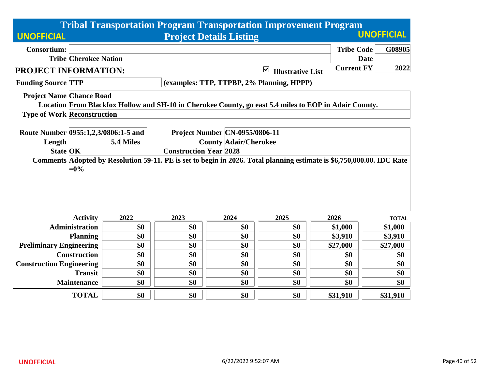|                                                                                                                                          |           |                               |                                       | <b>Tribal Transportation Program Transportation Improvement Program</b> |                   |                   |
|------------------------------------------------------------------------------------------------------------------------------------------|-----------|-------------------------------|---------------------------------------|-------------------------------------------------------------------------|-------------------|-------------------|
| <b>UNOFFICIAL</b>                                                                                                                        |           |                               | <b>Project Details Listing</b>        |                                                                         |                   | <b>UNOFFICIAL</b> |
| <b>Consortium:</b>                                                                                                                       |           |                               |                                       |                                                                         | <b>Tribe Code</b> | G08905            |
| <b>Tribe Cherokee Nation</b>                                                                                                             |           |                               |                                       |                                                                         | <b>Date</b>       |                   |
| PROJECT INFORMATION:                                                                                                                     |           |                               |                                       | $\blacktriangledown$<br><b>Illustrative List</b>                        | <b>Current FY</b> | 2022              |
| <b>Funding Source TTP</b>                                                                                                                |           |                               |                                       | (examples: TTP, TTPBP, 2% Planning, HPPP)                               |                   |                   |
| <b>Project Name Chance Road</b>                                                                                                          |           |                               |                                       |                                                                         |                   |                   |
| Location From Blackfox Hollow and SH-10 in Cherokee County, go east 5.4 miles to EOP in Adair County.                                    |           |                               |                                       |                                                                         |                   |                   |
| <b>Type of Work Reconstruction</b>                                                                                                       |           |                               |                                       |                                                                         |                   |                   |
|                                                                                                                                          |           |                               |                                       |                                                                         |                   |                   |
| Route Number 0955:1,2,3/0806:1-5 and                                                                                                     |           |                               | <b>Project Number CN-0955/0806-11</b> |                                                                         |                   |                   |
| Length                                                                                                                                   | 5.4 Miles |                               | <b>County Adair/Cherokee</b>          |                                                                         |                   |                   |
| <b>State OK</b><br>Comments Adopted by Resolution 59-11. PE is set to begin in 2026. Total planning estimate is \$6,750,000.00. IDC Rate |           | <b>Construction Year 2028</b> |                                       |                                                                         |                   |                   |
| $=0\%$                                                                                                                                   |           |                               |                                       |                                                                         |                   |                   |
| <b>Activity</b>                                                                                                                          | 2022      | 2023                          | 2024                                  | 2025                                                                    | 2026              | <b>TOTAL</b>      |
| <b>Administration</b>                                                                                                                    | \$0       | \$0                           | \$0                                   | \$0                                                                     | \$1,000           | \$1,000           |
| <b>Planning</b>                                                                                                                          | \$0       | \$0                           | \$0                                   | \$0                                                                     | \$3,910           | \$3,910           |
| <b>Preliminary Engineering</b>                                                                                                           | \$0       | \$0                           | \$0                                   | \$0                                                                     | \$27,000          | \$27,000          |
| <b>Construction</b>                                                                                                                      | \$0       | \$0                           | \$0                                   | \$0                                                                     | \$0               | \$0               |
| <b>Construction Engineering</b>                                                                                                          | \$0       | \$0                           | \$0                                   | \$0                                                                     | \$0               | \$0               |
| <b>Transit</b>                                                                                                                           | \$0       | \$0                           | \$0                                   | \$0                                                                     | \$0               | \$0               |
| <b>Maintenance</b>                                                                                                                       | \$0       | \$0                           | \$0                                   | \$0                                                                     | \$0               | \$0               |
| <b>TOTAL</b>                                                                                                                             | \$0       | \$0                           | \$0                                   | \$0                                                                     | \$31,910          | \$31,910          |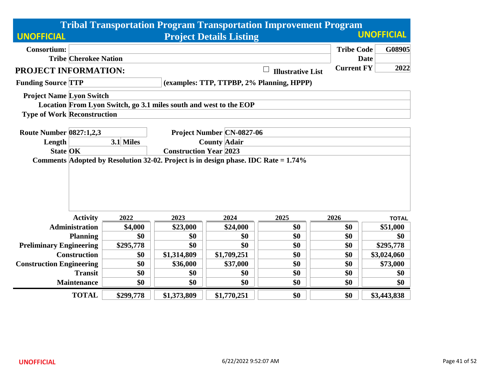|                                    |                              |           |                                                                   |                                                                                    | <b>Tribal Transportation Program Transportation Improvement Program</b> |                   |                   |
|------------------------------------|------------------------------|-----------|-------------------------------------------------------------------|------------------------------------------------------------------------------------|-------------------------------------------------------------------------|-------------------|-------------------|
| <b>UNOFFICIAL</b>                  |                              |           |                                                                   | <b>Project Details Listing</b>                                                     |                                                                         |                   | <b>UNOFFICIAL</b> |
| <b>Consortium:</b>                 |                              |           |                                                                   |                                                                                    |                                                                         | <b>Tribe Code</b> | G08905            |
|                                    | <b>Tribe Cherokee Nation</b> |           |                                                                   |                                                                                    |                                                                         | <b>Date</b>       |                   |
| PROJECT INFORMATION:               |                              |           |                                                                   |                                                                                    | <b>Illustrative List</b>                                                | <b>Current FY</b> | 2022              |
| <b>Funding Source TTP</b>          |                              |           |                                                                   |                                                                                    | (examples: TTP, TTPBP, 2% Planning, HPPP)                               |                   |                   |
| <b>Project Name Lyon Switch</b>    |                              |           |                                                                   |                                                                                    |                                                                         |                   |                   |
|                                    |                              |           | Location From Lyon Switch, go 3.1 miles south and west to the EOP |                                                                                    |                                                                         |                   |                   |
| <b>Type of Work Reconstruction</b> |                              |           |                                                                   |                                                                                    |                                                                         |                   |                   |
| <b>Route Number 0827:1,2,3</b>     |                              |           |                                                                   | <b>Project Number CN-0827-06</b>                                                   |                                                                         |                   |                   |
| Length                             |                              | 3.1 Miles |                                                                   | <b>County Adair</b>                                                                |                                                                         |                   |                   |
| <b>State OK</b>                    |                              |           | <b>Construction Year 2023</b>                                     |                                                                                    |                                                                         |                   |                   |
|                                    |                              |           |                                                                   | Comments Adopted by Resolution 32-02. Project is in design phase. IDC Rate = 1.74% |                                                                         |                   |                   |
|                                    |                              |           |                                                                   |                                                                                    |                                                                         |                   |                   |
|                                    |                              |           |                                                                   |                                                                                    |                                                                         |                   |                   |
|                                    |                              |           |                                                                   |                                                                                    |                                                                         |                   |                   |
|                                    | <b>Activity</b>              | 2022      | 2023                                                              | 2024                                                                               | 2025                                                                    | 2026              | <b>TOTAL</b>      |
|                                    | <b>Administration</b>        | \$4,000   | \$23,000                                                          | \$24,000                                                                           | \$0                                                                     | \$0               | \$51,000          |
|                                    | <b>Planning</b>              | \$0       | \$0                                                               | \$0                                                                                | \$0                                                                     | \$0               | \$0               |
| <b>Preliminary Engineering</b>     |                              | \$295,778 | \$0                                                               | \$0                                                                                | \$0                                                                     | \$0               | \$295,778         |
|                                    | <b>Construction</b>          | \$0       | \$1,314,809                                                       | \$1,709,251                                                                        | \$0                                                                     | \$0               | \$3,024,060       |
| <b>Construction Engineering</b>    |                              | \$0       | \$36,000                                                          | \$37,000                                                                           | \$0                                                                     | \$0               | \$73,000          |
|                                    | <b>Transit</b>               | \$0       | \$0                                                               | \$0                                                                                | \$0                                                                     | \$0               | \$0               |
|                                    | <b>Maintenance</b>           | \$0       | \$0                                                               | \$0                                                                                | \$0                                                                     | \$0               | \$0               |
|                                    | <b>TOTAL</b>                 | \$299,778 | \$1,373,809                                                       | \$1,770,251                                                                        | \$0                                                                     | \$0               | \$3,443,838       |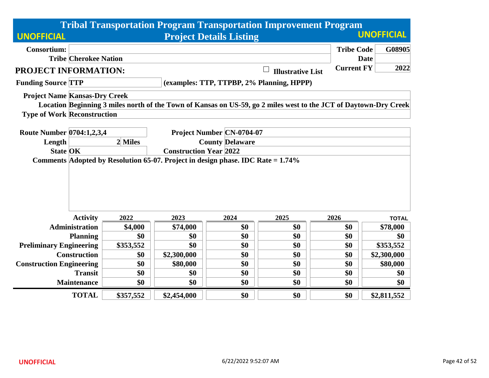|                                                                                                    |                               |           |             |                                  | <b>Tribal Transportation Program Transportation Improvement Program</b>                                          |                   |                   |  |
|----------------------------------------------------------------------------------------------------|-------------------------------|-----------|-------------|----------------------------------|------------------------------------------------------------------------------------------------------------------|-------------------|-------------------|--|
| <b>UNOFFICIAL</b>                                                                                  |                               |           |             | <b>Project Details Listing</b>   |                                                                                                                  |                   | <b>UNOFFICIAL</b> |  |
| <b>Consortium:</b>                                                                                 |                               |           |             |                                  |                                                                                                                  | <b>Tribe Code</b> | G08905            |  |
|                                                                                                    | <b>Tribe Cherokee Nation</b>  |           |             |                                  |                                                                                                                  | <b>Date</b>       |                   |  |
| <b>PROJECT INFORMATION:</b>                                                                        |                               |           |             |                                  | <b>Illustrative List</b>                                                                                         | <b>Current FY</b> | 2022              |  |
| <b>Funding Source TTP</b>                                                                          |                               |           |             |                                  | (examples: TTP, TTPBP, 2% Planning, HPPP)                                                                        |                   |                   |  |
| <b>Project Name Kansas-Dry Creek</b>                                                               |                               |           |             |                                  |                                                                                                                  |                   |                   |  |
|                                                                                                    |                               |           |             |                                  | Location Beginning 3 miles north of the Town of Kansas on US-59, go 2 miles west to the JCT of Daytown-Dry Creek |                   |                   |  |
| <b>Type of Work Reconstruction</b>                                                                 |                               |           |             |                                  |                                                                                                                  |                   |                   |  |
|                                                                                                    |                               |           |             |                                  |                                                                                                                  |                   |                   |  |
| Route Number 0704:1,2,3,4                                                                          |                               |           |             | <b>Project Number CN-0704-07</b> |                                                                                                                  |                   |                   |  |
| Length                                                                                             |                               | 2 Miles   |             | <b>County Delaware</b>           |                                                                                                                  |                   |                   |  |
| <b>State OK</b><br>Comments Adopted by Resolution 65-07. Project in design phase. IDC Rate = 1.74% | <b>Construction Year 2022</b> |           |             |                                  |                                                                                                                  |                   |                   |  |
|                                                                                                    |                               |           |             |                                  |                                                                                                                  |                   |                   |  |
|                                                                                                    | <b>Activity</b>               | 2022      | 2023        | 2024                             | 2025                                                                                                             | 2026              | <b>TOTAL</b>      |  |
|                                                                                                    | <b>Administration</b>         | \$4,000   | \$74,000    | \$0                              | \$0                                                                                                              | \$0               | \$78,000          |  |
|                                                                                                    | <b>Planning</b>               | \$0       | \$0         | \$0                              | \$0                                                                                                              | \$0               | \$0               |  |
| <b>Preliminary Engineering</b>                                                                     |                               | \$353,552 | \$0         | \$0                              | \$0                                                                                                              | \$0               | \$353,552         |  |
|                                                                                                    | <b>Construction</b>           | \$0       | \$2,300,000 | \$0                              | \$0                                                                                                              | \$0               | \$2,300,000       |  |
| <b>Construction Engineering</b>                                                                    |                               | \$0       | \$80,000    | \$0                              | \$0                                                                                                              | \$0               | \$80,000          |  |
|                                                                                                    | <b>Transit</b>                | \$0       | \$0         | \$0                              | \$0                                                                                                              | \$0               | \$0               |  |
|                                                                                                    | <b>Maintenance</b>            | \$0       | \$0         | \$0                              | \$0                                                                                                              | \$0               | \$0               |  |
|                                                                                                    | <b>TOTAL</b>                  | \$357,552 | \$2,454,000 | \$0                              | \$0                                                                                                              | \$0               | \$2,811,552       |  |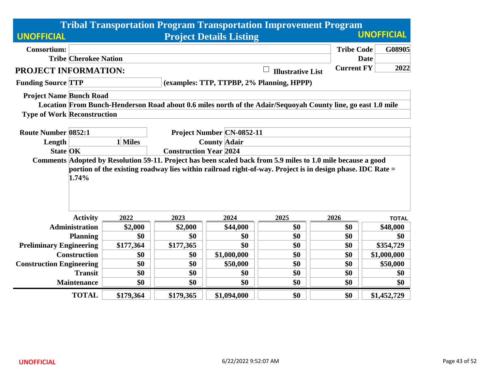|                                    |                               |                                                  |                                | <b>Tribal Transportation Program Transportation Improvement Program</b>                                      |                   |                   |  |  |
|------------------------------------|-------------------------------|--------------------------------------------------|--------------------------------|--------------------------------------------------------------------------------------------------------------|-------------------|-------------------|--|--|
| <b>UNOFFICIAL</b>                  |                               |                                                  | <b>Project Details Listing</b> |                                                                                                              |                   | <b>UNOFFICIAL</b> |  |  |
| <b>Consortium:</b>                 |                               |                                                  |                                |                                                                                                              | <b>Tribe Code</b> | G08905            |  |  |
| <b>Tribe Cherokee Nation</b>       |                               |                                                  |                                |                                                                                                              | <b>Date</b>       |                   |  |  |
| <b>PROJECT INFORMATION:</b>        |                               |                                                  |                                | <b>Illustrative List</b>                                                                                     | <b>Current FY</b> | 2022              |  |  |
| <b>Funding Source TTP</b>          |                               |                                                  |                                | (examples: TTP, TTPBP, 2% Planning, HPPP)                                                                    |                   |                   |  |  |
| <b>Project Name Bunch Road</b>     |                               |                                                  |                                |                                                                                                              |                   |                   |  |  |
|                                    |                               |                                                  |                                | Location From Bunch-Henderson Road about 0.6 miles north of the Adair/Sequoyah County line, go east 1.0 mile |                   |                   |  |  |
| <b>Type of Work Reconstruction</b> |                               |                                                  |                                |                                                                                                              |                   |                   |  |  |
| <b>Route Number 0852:1</b>         |                               |                                                  |                                |                                                                                                              |                   |                   |  |  |
| Length                             | 1 Miles                       | Project Number CN-0852-11<br><b>County Adair</b> |                                |                                                                                                              |                   |                   |  |  |
| <b>State OK</b>                    | <b>Construction Year 2024</b> |                                                  |                                |                                                                                                              |                   |                   |  |  |
| 1.74%                              |                               |                                                  |                                | portion of the existing roadway lies within railroad right-of-way. Project is in design phase. IDC Rate =    |                   |                   |  |  |
| <b>Activity</b>                    | 2022                          | 2023                                             | 2024                           | 2025                                                                                                         | 2026              | <b>TOTAL</b>      |  |  |
| <b>Administration</b>              | \$2,000                       | \$2,000                                          | \$44,000                       | \$0                                                                                                          | \$0               | \$48,000          |  |  |
| <b>Planning</b>                    | \$0                           | \$0                                              | \$0                            | \$0                                                                                                          | \$0               | \$0               |  |  |
| <b>Preliminary Engineering</b>     | \$177,364                     | \$177,365                                        | \$0                            | \$0                                                                                                          | \$0               | \$354,729         |  |  |
| <b>Construction</b>                | \$0                           | \$0                                              | \$1,000,000                    | \$0                                                                                                          | \$0               | \$1,000,000       |  |  |
| <b>Construction Engineering</b>    | \$0                           | \$0                                              | \$50,000                       | \$0                                                                                                          | \$0               | \$50,000          |  |  |
| <b>Transit</b>                     | \$0                           | \$0                                              | \$0                            | \$0                                                                                                          | \$0               | \$0               |  |  |
| <b>Maintenance</b>                 | \$0                           | \$0                                              | \$0                            | \$0                                                                                                          | \$0               | \$0               |  |  |
| <b>TOTAL</b>                       | \$179,364                     | \$179,365                                        | \$1,094,000                    | \$0                                                                                                          | \$0               | \$1,452,729       |  |  |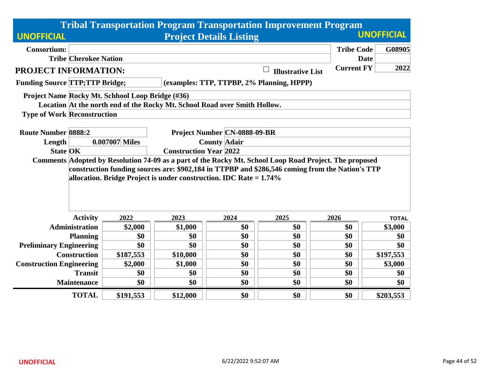|                                       |                                                                                                        |                                                  |                                                                           |                                | <b>Tribal Transportation Program Transportation Improvement Program</b>                         |                   |                   |  |  |  |
|---------------------------------------|--------------------------------------------------------------------------------------------------------|--------------------------------------------------|---------------------------------------------------------------------------|--------------------------------|-------------------------------------------------------------------------------------------------|-------------------|-------------------|--|--|--|
| <b>UNOFFICIAL</b>                     |                                                                                                        |                                                  |                                                                           | <b>Project Details Listing</b> |                                                                                                 |                   | <b>UNOFFICIAL</b> |  |  |  |
| <b>Consortium:</b>                    |                                                                                                        |                                                  |                                                                           |                                |                                                                                                 | <b>Tribe Code</b> | G08905            |  |  |  |
|                                       | <b>Tribe Cherokee Nation</b>                                                                           |                                                  |                                                                           |                                |                                                                                                 | <b>Date</b>       |                   |  |  |  |
| PROJECT INFORMATION:                  |                                                                                                        |                                                  |                                                                           |                                | <b>Illustrative List</b>                                                                        | <b>Current FY</b> | 2022              |  |  |  |
| <b>Funding Source TTP;TTP Bridge;</b> |                                                                                                        |                                                  |                                                                           |                                | (examples: TTP, TTPBP, 2% Planning, HPPP)                                                       |                   |                   |  |  |  |
|                                       |                                                                                                        | Project Name Rocky Mt. Schhool Loop Bridge (#36) |                                                                           |                                |                                                                                                 |                   |                   |  |  |  |
|                                       |                                                                                                        |                                                  | Location At the north end of the Rocky Mt. School Road over Smith Hollow. |                                |                                                                                                 |                   |                   |  |  |  |
|                                       | <b>Type of Work Reconstruction</b>                                                                     |                                                  |                                                                           |                                |                                                                                                 |                   |                   |  |  |  |
|                                       |                                                                                                        |                                                  |                                                                           |                                |                                                                                                 |                   |                   |  |  |  |
| <b>Route Number 0888:2</b>            |                                                                                                        | <b>Project Number CN-0888-09-BR</b>              |                                                                           |                                |                                                                                                 |                   |                   |  |  |  |
| Length                                |                                                                                                        | 0.007007 Miles                                   | <b>County Adair</b>                                                       |                                |                                                                                                 |                   |                   |  |  |  |
| <b>State OK</b>                       |                                                                                                        | <b>Construction Year 2022</b>                    |                                                                           |                                |                                                                                                 |                   |                   |  |  |  |
|                                       | Comments Adopted by Resolution 74-09 as a part of the Rocky Mt. School Loop Road Project. The proposed |                                                  |                                                                           |                                |                                                                                                 |                   |                   |  |  |  |
|                                       |                                                                                                        |                                                  |                                                                           |                                | construction funding sources are: \$902,184 in TTPBP and \$286,546 coming from the Nation's TTP |                   |                   |  |  |  |
|                                       |                                                                                                        |                                                  | allocation. Bridge Project is under construction. IDC Rate $= 1.74\%$     |                                |                                                                                                 |                   |                   |  |  |  |
|                                       |                                                                                                        |                                                  |                                                                           |                                |                                                                                                 |                   |                   |  |  |  |
|                                       |                                                                                                        |                                                  |                                                                           |                                |                                                                                                 |                   |                   |  |  |  |
|                                       |                                                                                                        |                                                  |                                                                           |                                |                                                                                                 |                   |                   |  |  |  |
|                                       | <b>Activity</b>                                                                                        | 2022                                             | 2023                                                                      | 2024                           | 2025                                                                                            | 2026              | <b>TOTAL</b>      |  |  |  |
|                                       | <b>Administration</b>                                                                                  | \$2,000                                          | \$1,000                                                                   | \$0                            | \$0                                                                                             | \$0               | \$3,000           |  |  |  |
|                                       | <b>Planning</b>                                                                                        | \$0                                              | \$0                                                                       | \$0                            | \$0                                                                                             | \$0               | \$0               |  |  |  |
| <b>Preliminary Engineering</b>        |                                                                                                        | \$0                                              | \$0                                                                       | \$0                            | \$0                                                                                             | \$0               | \$0               |  |  |  |
|                                       | <b>Construction</b>                                                                                    | \$187,553                                        | \$10,000                                                                  | \$0                            | \$0                                                                                             | \$0               | \$197,553         |  |  |  |
| <b>Construction Engineering</b>       |                                                                                                        | \$2,000                                          | \$1,000                                                                   | \$0                            | \$0                                                                                             | \$0               | \$3,000           |  |  |  |
|                                       | <b>Transit</b>                                                                                         | \$0                                              | \$0                                                                       | \$0                            | \$0                                                                                             | \$0               | \$0               |  |  |  |
|                                       | <b>Maintenance</b>                                                                                     | \$0                                              | \$0                                                                       | \$0                            | \$0                                                                                             | \$0               | \$0               |  |  |  |
|                                       | <b>TOTAL</b>                                                                                           | \$191,553                                        | \$12,000                                                                  | \$0                            | \$0                                                                                             | \$0               | \$203,553         |  |  |  |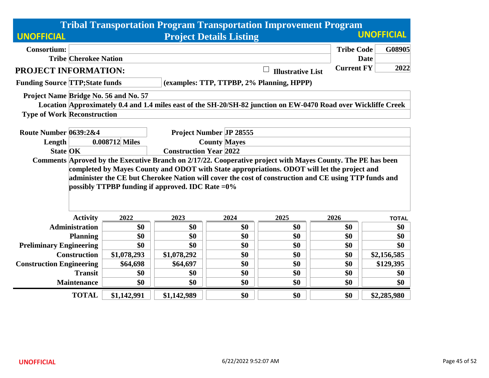|                                                                                                             |                               |                                                     |                                | <b>Tribal Transportation Program Transportation Improvement Program</b>                                        |                   |                   |  |
|-------------------------------------------------------------------------------------------------------------|-------------------------------|-----------------------------------------------------|--------------------------------|----------------------------------------------------------------------------------------------------------------|-------------------|-------------------|--|
| <b>UNOFFICIAL</b>                                                                                           |                               |                                                     | <b>Project Details Listing</b> |                                                                                                                |                   | <b>UNOFFICIAL</b> |  |
| <b>Consortium:</b>                                                                                          |                               |                                                     |                                |                                                                                                                | <b>Tribe Code</b> | G08905            |  |
| <b>Tribe Cherokee Nation</b>                                                                                |                               |                                                     |                                |                                                                                                                | <b>Date</b>       |                   |  |
| <b>PROJECT INFORMATION:</b>                                                                                 |                               |                                                     |                                | <b>Illustrative List</b>                                                                                       | <b>Current FY</b> | 2022              |  |
| <b>Funding Source TTP; State funds</b>                                                                      |                               |                                                     |                                | (examples: TTP, TTPBP, 2% Planning, HPPP)                                                                      |                   |                   |  |
| Project Name Bridge No. 56 and No. 57                                                                       |                               |                                                     |                                |                                                                                                                |                   |                   |  |
|                                                                                                             |                               |                                                     |                                | Location Approximately 0.4 and 1.4 miles east of the SH-20/SH-82 junction on EW-0470 Road over Wickliffe Creek |                   |                   |  |
| <b>Type of Work Reconstruction</b>                                                                          |                               |                                                     |                                |                                                                                                                |                   |                   |  |
| Route Number 0639:2&4                                                                                       |                               |                                                     | <b>Project Number JP 28555</b> |                                                                                                                |                   |                   |  |
| Length                                                                                                      | 0.008712 Miles                |                                                     | <b>County Mayes</b>            |                                                                                                                |                   |                   |  |
| <b>State OK</b>                                                                                             | <b>Construction Year 2022</b> |                                                     |                                |                                                                                                                |                   |                   |  |
| Comments Aproved by the Executive Branch on 2/17/22. Cooperative project with Mayes County. The PE has been |                               |                                                     |                                |                                                                                                                |                   |                   |  |
|                                                                                                             |                               |                                                     |                                | completed by Mayes County and ODOT with State appropriations. ODOT will let the project and                    |                   |                   |  |
|                                                                                                             |                               |                                                     |                                | administer the CE but Cherokee Nation will cover the cost of construction and CE using TTP funds and           |                   |                   |  |
|                                                                                                             |                               | possibly TTPBP funding if approved. IDC Rate $=0\%$ |                                |                                                                                                                |                   |                   |  |
|                                                                                                             |                               |                                                     |                                |                                                                                                                |                   |                   |  |
| <b>Activity</b>                                                                                             | 2022                          | 2023                                                | 2024                           | 2025                                                                                                           | 2026              | <b>TOTAL</b>      |  |
| <b>Administration</b>                                                                                       | \$0                           | \$0                                                 | \$0                            | \$0                                                                                                            | \$0               | \$0               |  |
| <b>Planning</b>                                                                                             | \$0                           | \$0                                                 | \$0                            | \$0                                                                                                            | \$0               | \$0               |  |
| <b>Preliminary Engineering</b>                                                                              | \$0                           | \$0                                                 | \$0                            | \$0                                                                                                            | \$0               | \$0               |  |
| <b>Construction</b>                                                                                         | \$1,078,293                   | \$1,078,292                                         | \$0                            | \$0                                                                                                            | \$0               | \$2,156,585       |  |
| <b>Construction Engineering</b>                                                                             | \$64,698                      | \$64,697                                            | \$0                            | \$0                                                                                                            | \$0               | \$129,395         |  |
| <b>Transit</b>                                                                                              | \$0                           | \$0                                                 | \$0                            | \$0                                                                                                            | \$0               | \$0               |  |
| <b>Maintenance</b>                                                                                          | \$0                           | \$0                                                 | \$0                            | \$0                                                                                                            | \$0               | \$0               |  |
| <b>TOTAL</b>                                                                                                | \$1,142,991                   | \$1,142,989                                         | \$0                            | \$0                                                                                                            | \$0               | \$2,285,980       |  |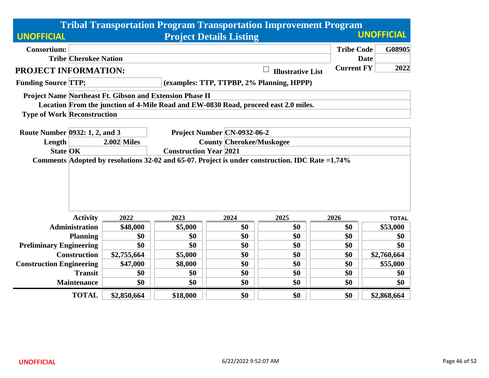|                                    |                              |                                                          |                               |                                 | <b>Tribal Transportation Program Transportation Improvement Program</b>                         |                   |                   |  |  |  |
|------------------------------------|------------------------------|----------------------------------------------------------|-------------------------------|---------------------------------|-------------------------------------------------------------------------------------------------|-------------------|-------------------|--|--|--|
| <b>UNOFFICIAL</b>                  |                              |                                                          |                               | <b>Project Details Listing</b>  |                                                                                                 |                   | <b>UNOFFICIAL</b> |  |  |  |
| <b>Consortium:</b>                 |                              |                                                          |                               |                                 |                                                                                                 | <b>Tribe Code</b> | G08905            |  |  |  |
|                                    | <b>Tribe Cherokee Nation</b> |                                                          |                               |                                 |                                                                                                 | <b>Date</b>       |                   |  |  |  |
| <b>PROJECT INFORMATION:</b>        |                              |                                                          |                               |                                 | $\Box$<br><b>Illustrative List</b>                                                              | <b>Current FY</b> | 2022              |  |  |  |
| <b>Funding Source TTP;</b>         |                              |                                                          |                               |                                 | (examples: TTP, TTPBP, 2% Planning, HPPP)                                                       |                   |                   |  |  |  |
|                                    |                              | Project Name Northeast Ft. Gibson and Extension Phase II |                               |                                 |                                                                                                 |                   |                   |  |  |  |
|                                    |                              |                                                          |                               |                                 | Location From the junction of 4-Mile Road and EW-0830 Road, proceed east 2.0 miles.             |                   |                   |  |  |  |
| <b>Type of Work Reconstruction</b> |                              |                                                          |                               |                                 |                                                                                                 |                   |                   |  |  |  |
|                                    |                              |                                                          |                               |                                 |                                                                                                 |                   |                   |  |  |  |
| Route Number 0932: 1, 2, and 3     |                              |                                                          |                               | Project Number CN-0932-06-2     |                                                                                                 |                   |                   |  |  |  |
| Length                             |                              | <b>2.002 Miles</b>                                       |                               | <b>County Cherokee/Muskogee</b> |                                                                                                 |                   |                   |  |  |  |
| <b>State OK</b>                    |                              |                                                          | <b>Construction Year 2021</b> |                                 |                                                                                                 |                   |                   |  |  |  |
|                                    |                              |                                                          |                               |                                 | Comments Adopted by resolutions 32-02 and 65-07. Project is under construction. IDC Rate =1.74% |                   |                   |  |  |  |
|                                    |                              |                                                          |                               |                                 |                                                                                                 |                   |                   |  |  |  |
|                                    |                              |                                                          |                               |                                 |                                                                                                 |                   |                   |  |  |  |
|                                    |                              |                                                          |                               |                                 |                                                                                                 |                   |                   |  |  |  |
|                                    |                              |                                                          |                               |                                 |                                                                                                 |                   |                   |  |  |  |
|                                    | <b>Activity</b>              | 2022                                                     | 2023                          | 2024                            | 2025                                                                                            | 2026              | <b>TOTAL</b>      |  |  |  |
|                                    | <b>Administration</b>        | \$48,000                                                 | \$5,000                       | \$0                             | \$0                                                                                             | \$0               | \$53,000          |  |  |  |
|                                    | <b>Planning</b>              | \$0                                                      | \$0                           | \$0                             | \$0                                                                                             | \$0               | \$0               |  |  |  |
| <b>Preliminary Engineering</b>     |                              | \$0                                                      | \$0                           | \$0                             | \$0                                                                                             | \$0               | \$0               |  |  |  |
|                                    | <b>Construction</b>          | \$2,755,664                                              | \$5,000                       | \$0                             | \$0                                                                                             | \$0               | \$2,760,664       |  |  |  |
| <b>Construction Engineering</b>    |                              | \$47,000                                                 | \$8,000                       | \$0                             | \$0                                                                                             | \$0               | \$55,000          |  |  |  |
|                                    | <b>Transit</b>               | \$0                                                      | \$0                           | \$0                             | \$0                                                                                             | \$0               | \$0               |  |  |  |
|                                    | <b>Maintenance</b>           | \$0                                                      | \$0                           | \$0                             | \$0                                                                                             | \$0               | \$0               |  |  |  |
|                                    | <b>TOTAL</b>                 | \$2,850,664                                              | \$18,000                      | \$0                             | \$0                                                                                             | \$0               | \$2,868,664       |  |  |  |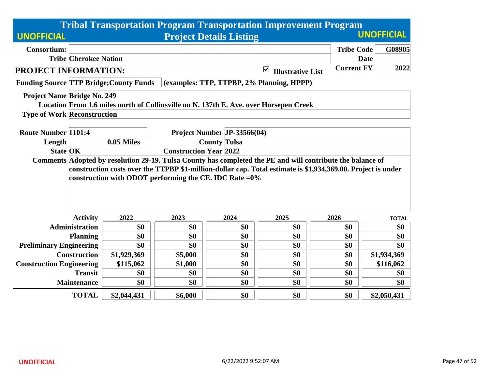|                                                                                                                                                                           |                                                     |                                                      |                             | <b>Tribal Transportation Program Transportation Improvement Program</b> |                   |              |  |  |
|---------------------------------------------------------------------------------------------------------------------------------------------------------------------------|-----------------------------------------------------|------------------------------------------------------|-----------------------------|-------------------------------------------------------------------------|-------------------|--------------|--|--|
| <b>UNOFFICIAL</b>                                                                                                                                                         | <b>UNOFFICIAL</b><br><b>Project Details Listing</b> |                                                      |                             |                                                                         |                   |              |  |  |
| <b>Consortium:</b>                                                                                                                                                        |                                                     |                                                      |                             |                                                                         | <b>Tribe Code</b> | G08905       |  |  |
| <b>Tribe Cherokee Nation</b>                                                                                                                                              |                                                     |                                                      |                             |                                                                         |                   | <b>Date</b>  |  |  |
| PROJECT INFORMATION:                                                                                                                                                      |                                                     |                                                      |                             | $\blacktriangledown$<br><b>Illustrative List</b>                        | <b>Current FY</b> | 2022         |  |  |
| <b>Funding Source TTP Bridge; County Funds</b>                                                                                                                            |                                                     |                                                      |                             | (examples: TTP, TTPBP, 2% Planning, HPPP)                               |                   |              |  |  |
| <b>Project Name Bridge No. 249</b>                                                                                                                                        |                                                     |                                                      |                             |                                                                         |                   |              |  |  |
| Location From 1.6 miles north of Collinsville on N. 137th E. Ave. over Horsepen Creek                                                                                     |                                                     |                                                      |                             |                                                                         |                   |              |  |  |
| <b>Type of Work Reconstruction</b>                                                                                                                                        |                                                     |                                                      |                             |                                                                         |                   |              |  |  |
| <b>Route Number 1101:4</b>                                                                                                                                                |                                                     |                                                      | Project Number JP-33566(04) |                                                                         |                   |              |  |  |
| Length                                                                                                                                                                    | $0.05$ Miles                                        |                                                      |                             |                                                                         |                   |              |  |  |
| <b>State OK</b>                                                                                                                                                           |                                                     | <b>County Tulsa</b><br><b>Construction Year 2022</b> |                             |                                                                         |                   |              |  |  |
| construction costs over the TTPBP \$1-million-dollar cap. Total estimate is \$1,934,369.00. Project is under<br>construction with ODOT performing the CE. IDC Rate $=0\%$ |                                                     |                                                      |                             |                                                                         |                   |              |  |  |
| <b>Activity</b>                                                                                                                                                           | 2022                                                | 2023                                                 | 2024                        | 2025                                                                    | 2026              | <b>TOTAL</b> |  |  |
| <b>Administration</b>                                                                                                                                                     | \$0                                                 | \$0                                                  | \$0                         | \$0                                                                     | \$0               | \$0          |  |  |
| <b>Planning</b>                                                                                                                                                           | \$0                                                 | \$0                                                  | \$0                         | \$0                                                                     | \$0               | \$0          |  |  |
| <b>Preliminary Engineering</b>                                                                                                                                            | \$0                                                 | \$0                                                  | \$0                         | \$0                                                                     | \$0               | \$0          |  |  |
| <b>Construction</b>                                                                                                                                                       | \$1,929,369                                         | \$5,000                                              | \$0                         | \$0                                                                     | \$0               | \$1,934,369  |  |  |
| <b>Construction Engineering</b>                                                                                                                                           | \$115,062                                           | \$1,000                                              | \$0                         | \$0                                                                     | \$0               | \$116,062    |  |  |
| <b>Transit</b>                                                                                                                                                            | \$0                                                 | \$0                                                  | \$0                         | \$0                                                                     | \$0               | \$0          |  |  |
| <b>Maintenance</b>                                                                                                                                                        | \$0                                                 | \$0                                                  | \$0                         | \$0                                                                     | \$0               | \$0          |  |  |
| <b>TOTAL</b>                                                                                                                                                              | \$2,044,431                                         | \$6,000                                              | \$0                         | \$0                                                                     | \$0               | \$2,050,431  |  |  |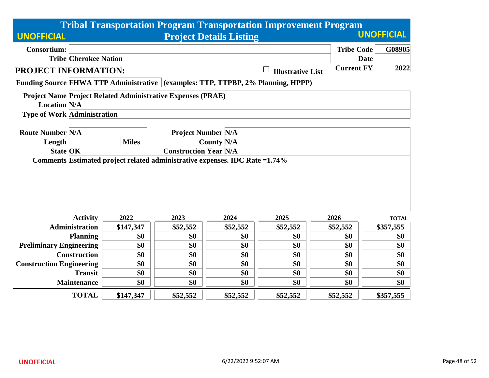|                                    |                              |              |                                                                    |                   | <b>Tribal Transportation Program Transportation Improvement Program</b>          |                   |              |
|------------------------------------|------------------------------|--------------|--------------------------------------------------------------------|-------------------|----------------------------------------------------------------------------------|-------------------|--------------|
| <b>UNOFFICIAL</b>                  |                              |              |                                                                    | <b>UNOFFICIAL</b> |                                                                                  |                   |              |
| <b>Consortium:</b>                 |                              |              |                                                                    |                   |                                                                                  | <b>Tribe Code</b> | G08905       |
|                                    | <b>Tribe Cherokee Nation</b> |              |                                                                    |                   |                                                                                  | <b>Date</b>       |              |
| <b>PROJECT INFORMATION:</b>        |                              |              |                                                                    |                   | <b>Illustrative List</b>                                                         | <b>Current FY</b> | 2022         |
|                                    |                              |              |                                                                    |                   | Funding Source FHWA TTP Administrative (examples: TTP, TTPBP, 2% Planning, HPPP) |                   |              |
|                                    |                              |              | <b>Project Name Project Related Administrative Expenses (PRAE)</b> |                   |                                                                                  |                   |              |
| <b>Location N/A</b>                |                              |              |                                                                    |                   |                                                                                  |                   |              |
| <b>Type of Work Administration</b> |                              |              |                                                                    |                   |                                                                                  |                   |              |
| <b>Route Number N/A</b>            |                              |              | <b>Project Number N/A</b>                                          |                   |                                                                                  |                   |              |
| Length                             |                              | <b>Miles</b> |                                                                    | <b>County N/A</b> |                                                                                  |                   |              |
| <b>State OK</b>                    |                              |              | <b>Construction Year N/A</b>                                       |                   |                                                                                  |                   |              |
|                                    |                              |              |                                                                    |                   |                                                                                  |                   |              |
|                                    | <b>Activity</b>              | 2022         | 2023                                                               | 2024              | 2025                                                                             | 2026              | <b>TOTAL</b> |
|                                    | <b>Administration</b>        | \$147,347    | \$52,552                                                           | \$52,552          | \$52,552                                                                         | \$52,552          | \$357,555    |
|                                    | <b>Planning</b>              | \$0          | \$0                                                                | \$0               | \$0                                                                              | \$0               | \$0          |
| <b>Preliminary Engineering</b>     |                              | \$0          | \$0                                                                | \$0               | \$0                                                                              | \$0               | \$0          |
|                                    | <b>Construction</b>          | \$0          | \$0                                                                | \$0               | \$0                                                                              | \$0               | \$0          |
| <b>Construction Engineering</b>    |                              | \$0          | \$0                                                                | \$0               | \$0                                                                              | \$0               | \$0          |
|                                    | <b>Transit</b>               | \$0          | \$0                                                                | \$0               | \$0                                                                              | \$0               | \$0          |
|                                    | <b>Maintenance</b>           | \$0          | \$0                                                                | \$0               | \$0                                                                              | \$0               | \$0          |
|                                    | <b>TOTAL</b>                 | \$147,347    | \$52,552                                                           | \$52,552          | \$52,552                                                                         | \$52,552          | \$357,555    |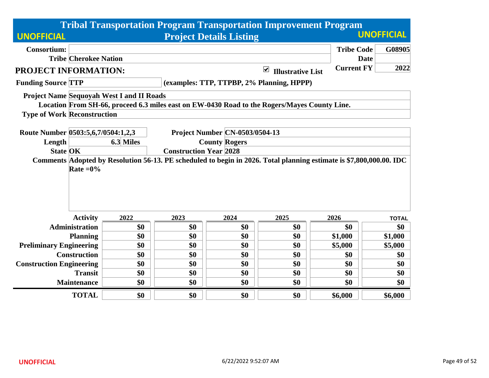|                                 |                                           |           |                                           |                                       | <b>Tribal Transportation Program Transportation Improvement Program</b>                                             |                   | <b>UNOFFICIAL</b> |  |  |
|---------------------------------|-------------------------------------------|-----------|-------------------------------------------|---------------------------------------|---------------------------------------------------------------------------------------------------------------------|-------------------|-------------------|--|--|
| <b>UNOFFICIAL</b>               |                                           |           |                                           | <b>Project Details Listing</b>        |                                                                                                                     |                   |                   |  |  |
| <b>Consortium:</b>              |                                           |           |                                           |                                       |                                                                                                                     | <b>Tribe Code</b> | G08905            |  |  |
|                                 | <b>Tribe Cherokee Nation</b>              |           |                                           |                                       |                                                                                                                     |                   | <b>Date</b>       |  |  |
| PROJECT INFORMATION:            |                                           |           |                                           |                                       | $\blacktriangledown$<br><b>Illustrative List</b>                                                                    | <b>Current FY</b> | 2022              |  |  |
| <b>Funding Source TTP</b>       |                                           |           | (examples: TTP, TTPBP, 2% Planning, HPPP) |                                       |                                                                                                                     |                   |                   |  |  |
|                                 | Project Name Sequoyah West I and II Roads |           |                                           |                                       |                                                                                                                     |                   |                   |  |  |
|                                 |                                           |           |                                           |                                       | Location From SH-66, proceed 6.3 miles east on EW-0430 Road to the Rogers/Mayes County Line.                        |                   |                   |  |  |
|                                 | <b>Type of Work Reconstruction</b>        |           |                                           |                                       |                                                                                                                     |                   |                   |  |  |
|                                 |                                           |           |                                           |                                       |                                                                                                                     |                   |                   |  |  |
|                                 | Route Number 0503:5,6,7/0504:1,2,3        |           |                                           | <b>Project Number CN-0503/0504-13</b> |                                                                                                                     |                   |                   |  |  |
| Length                          |                                           | 6.3 Miles |                                           | <b>County Rogers</b>                  |                                                                                                                     |                   |                   |  |  |
| <b>State OK</b>                 |                                           |           | <b>Construction Year 2028</b>             |                                       | Comments Adopted by Resolution 56-13. PE scheduled to begin in 2026. Total planning estimate is \$7,800,000.00. IDC |                   |                   |  |  |
|                                 | Rate $=0\%$                               |           |                                           |                                       |                                                                                                                     |                   |                   |  |  |
|                                 | <b>Activity</b>                           | 2022      | 2023                                      | 2024                                  | 2025                                                                                                                | 2026              | <b>TOTAL</b>      |  |  |
|                                 | <b>Administration</b>                     | \$0       | \$0                                       | \$0                                   | \$0                                                                                                                 | \$0               | \$0               |  |  |
|                                 | <b>Planning</b>                           | \$0       | \$0                                       | \$0                                   | \$0                                                                                                                 | \$1,000           | \$1,000           |  |  |
| <b>Preliminary Engineering</b>  |                                           | \$0       | \$0                                       | \$0                                   | \$0                                                                                                                 | \$5,000           | \$5,000           |  |  |
|                                 | <b>Construction</b>                       | \$0       | \$0                                       | \$0                                   | \$0                                                                                                                 | \$0               | \$0               |  |  |
| <b>Construction Engineering</b> |                                           | \$0       | \$0                                       | \$0                                   | \$0                                                                                                                 | \$0               | \$0               |  |  |
|                                 | <b>Transit</b>                            | \$0       | \$0                                       | \$0                                   | \$0                                                                                                                 | \$0               | \$0               |  |  |
|                                 | <b>Maintenance</b>                        | \$0       | \$0                                       | \$0                                   | \$0                                                                                                                 | \$0               | \$0               |  |  |
|                                 | <b>TOTAL</b>                              | \$0       | \$0                                       | \$0                                   | \$0                                                                                                                 | \$6,000           | \$6,000           |  |  |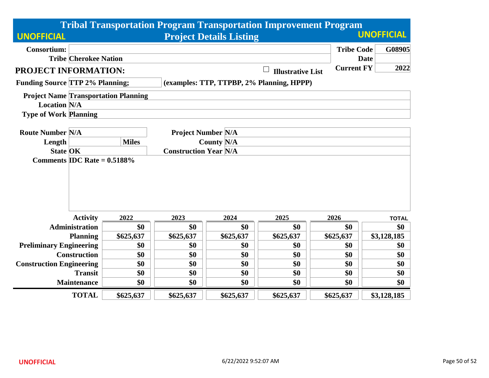|                                                   |              | <b>Tribal Transportation Program Transportation Improvement Program</b> |                                           |             |                   |                     |  |  |  |
|---------------------------------------------------|--------------|-------------------------------------------------------------------------|-------------------------------------------|-------------|-------------------|---------------------|--|--|--|
| <b>UNOFFICIAL</b>                                 |              | <b>UNOFFICIAL</b><br><b>Project Details Listing</b>                     |                                           |             |                   |                     |  |  |  |
| <b>Consortium:</b>                                |              |                                                                         |                                           |             | <b>Tribe Code</b> | G08905              |  |  |  |
| <b>Tribe Cherokee Nation</b>                      |              |                                                                         |                                           |             |                   | <b>Date</b>         |  |  |  |
| PROJECT INFORMATION:                              |              | <b>Current FY</b><br><b>Illustrative List</b>                           |                                           |             |                   |                     |  |  |  |
| <b>Funding Source TTP 2% Planning;</b>            |              |                                                                         | (examples: TTP, TTPBP, 2% Planning, HPPP) |             |                   |                     |  |  |  |
| <b>Project Name Transportation Planning</b>       |              |                                                                         |                                           |             |                   |                     |  |  |  |
| <b>Location N/A</b>                               |              |                                                                         |                                           |             |                   |                     |  |  |  |
| <b>Type of Work Planning</b>                      |              |                                                                         |                                           |             |                   |                     |  |  |  |
|                                                   |              |                                                                         |                                           |             |                   |                     |  |  |  |
| <b>Route Number N/A</b>                           | <b>Miles</b> | <b>Project Number N/A</b>                                               |                                           |             |                   |                     |  |  |  |
| Length                                            |              |                                                                         | <b>County N/A</b>                         |             |                   |                     |  |  |  |
| <b>State OK</b><br>Comments IDC Rate $= 0.5188\%$ |              | <b>Construction Year N/A</b>                                            |                                           |             |                   |                     |  |  |  |
|                                                   |              |                                                                         |                                           |             |                   |                     |  |  |  |
|                                                   |              |                                                                         |                                           |             |                   |                     |  |  |  |
|                                                   |              |                                                                         |                                           |             |                   |                     |  |  |  |
|                                                   |              |                                                                         |                                           |             |                   |                     |  |  |  |
|                                                   |              |                                                                         |                                           |             |                   |                     |  |  |  |
| <b>Activity</b><br><b>Administration</b>          | 2022<br>\$0  | 2023<br>\$0                                                             | 2024<br>\$0                               | 2025<br>\$0 | 2026              | <b>TOTAL</b><br>\$0 |  |  |  |
| <b>Planning</b>                                   | \$625,637    | \$625,637                                                               | \$625,637                                 | \$625,637   | \$0<br>\$625,637  | \$3,128,185         |  |  |  |
| <b>Preliminary Engineering</b>                    | \$0          | \$0                                                                     | \$0                                       | \$0         | \$0               | \$0                 |  |  |  |
| <b>Construction</b>                               | \$0          | \$0                                                                     | \$0                                       | \$0         | \$0               | \$0                 |  |  |  |
| <b>Construction Engineering</b>                   | \$0          | \$0                                                                     | \$0                                       | \$0         | \$0               | \$0                 |  |  |  |
| <b>Transit</b>                                    | \$0          | \$0                                                                     | \$0                                       | \$0         | \$0               | \$0                 |  |  |  |
| <b>Maintenance</b>                                | \$0          | \$0                                                                     | \$0                                       | \$0         | \$0               | \$0                 |  |  |  |
|                                                   |              |                                                                         |                                           |             |                   |                     |  |  |  |
| <b>TOTAL</b>                                      | \$625,637    | \$625,637                                                               | \$625,637                                 | \$625,637   | \$625,637         | \$3,128,185         |  |  |  |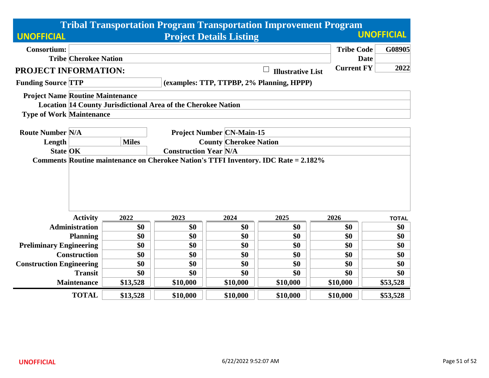|                                         |                              |              |                                                                      |                                  | <b>Tribal Transportation Program Transportation Improvement Program</b>             |                   |              |  |  |
|-----------------------------------------|------------------------------|--------------|----------------------------------------------------------------------|----------------------------------|-------------------------------------------------------------------------------------|-------------------|--------------|--|--|
| <b>UNOFFICIAL</b>                       |                              |              | <b>UNOFFICIAL</b><br><b>Project Details Listing</b>                  |                                  |                                                                                     |                   |              |  |  |
| <b>Consortium:</b>                      |                              |              |                                                                      |                                  |                                                                                     | <b>Tribe Code</b> | G08905       |  |  |
|                                         | <b>Tribe Cherokee Nation</b> |              |                                                                      |                                  |                                                                                     |                   | <b>Date</b>  |  |  |
| PROJECT INFORMATION:                    |                              |              |                                                                      |                                  | <b>Illustrative List</b>                                                            | <b>Current FY</b> | 2022         |  |  |
| <b>Funding Source TTP</b>               |                              |              | (examples: TTP, TTPBP, 2% Planning, HPPP)                            |                                  |                                                                                     |                   |              |  |  |
| <b>Project Name Routine Maintenance</b> |                              |              |                                                                      |                                  |                                                                                     |                   |              |  |  |
|                                         |                              |              | <b>Location 14 County Jurisdictional Area of the Cherokee Nation</b> |                                  |                                                                                     |                   |              |  |  |
| <b>Type of Work Maintenance</b>         |                              |              |                                                                      |                                  |                                                                                     |                   |              |  |  |
| <b>Route Number N/A</b>                 |                              |              |                                                                      | <b>Project Number CN-Main-15</b> |                                                                                     |                   |              |  |  |
| Length                                  |                              | <b>Miles</b> |                                                                      | <b>County Cherokee Nation</b>    |                                                                                     |                   |              |  |  |
| <b>State OK</b>                         |                              |              | <b>Construction Year N/A</b>                                         |                                  |                                                                                     |                   |              |  |  |
|                                         |                              |              |                                                                      |                                  | Comments Routine maintenance on Cherokee Nation's TTFI Inventory. IDC Rate = 2.182% |                   |              |  |  |
|                                         |                              |              |                                                                      |                                  |                                                                                     |                   |              |  |  |
|                                         |                              |              |                                                                      |                                  |                                                                                     |                   |              |  |  |
|                                         |                              |              |                                                                      |                                  |                                                                                     |                   |              |  |  |
|                                         |                              |              |                                                                      |                                  |                                                                                     |                   |              |  |  |
|                                         |                              |              |                                                                      |                                  |                                                                                     |                   |              |  |  |
|                                         | <b>Activity</b>              | 2022         | 2023                                                                 | 2024                             | 2025                                                                                | 2026              | <b>TOTAL</b> |  |  |
|                                         | <b>Administration</b>        | \$0          | \$0                                                                  | \$0                              | \$0                                                                                 | \$0               | \$0          |  |  |
|                                         | <b>Planning</b>              | \$0          | \$0                                                                  | \$0                              | \$0                                                                                 | \$0               | \$0          |  |  |
| <b>Preliminary Engineering</b>          |                              | \$0          | \$0                                                                  | \$0                              | \$0                                                                                 | \$0               | \$0          |  |  |
|                                         | <b>Construction</b>          | \$0          | \$0                                                                  | \$0                              | \$0                                                                                 | \$0               | \$0          |  |  |
| <b>Construction Engineering</b>         |                              | \$0          | \$0                                                                  | \$0                              | \$0                                                                                 | \$0               | \$0          |  |  |
|                                         | <b>Transit</b>               | \$0          | \$0                                                                  | \$0                              | \$0                                                                                 | \$0               | \$0          |  |  |
|                                         | <b>Maintenance</b>           | \$13,528     | \$10,000                                                             | \$10,000                         | \$10,000                                                                            | \$10,000          | \$53,528     |  |  |
|                                         | <b>TOTAL</b>                 | \$13,528     | \$10,000                                                             | \$10,000                         | \$10,000                                                                            | \$10,000          | \$53,528     |  |  |